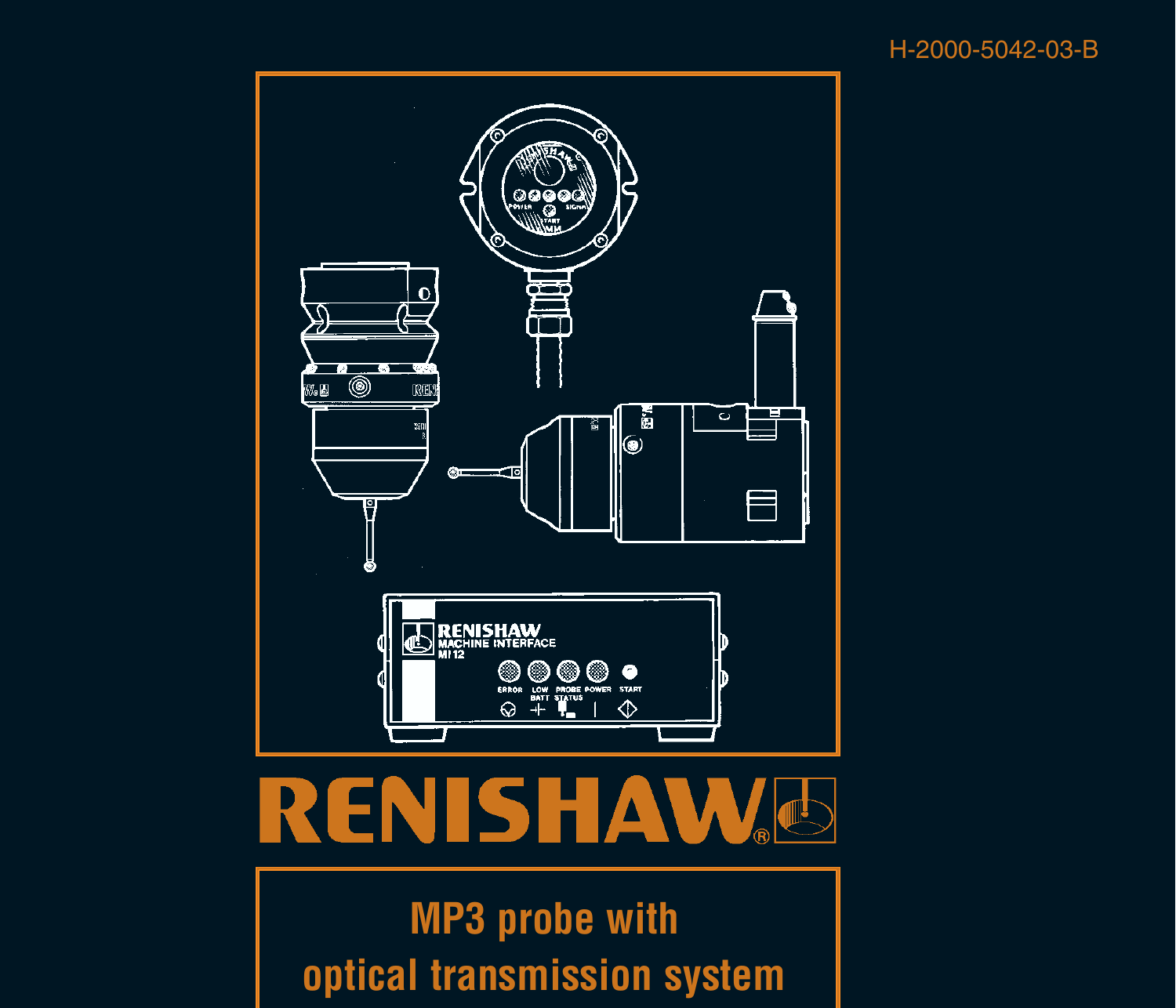#### H-2000-5042-03-B



# **RENISHAW**

**MP3 probe with optical transmission system**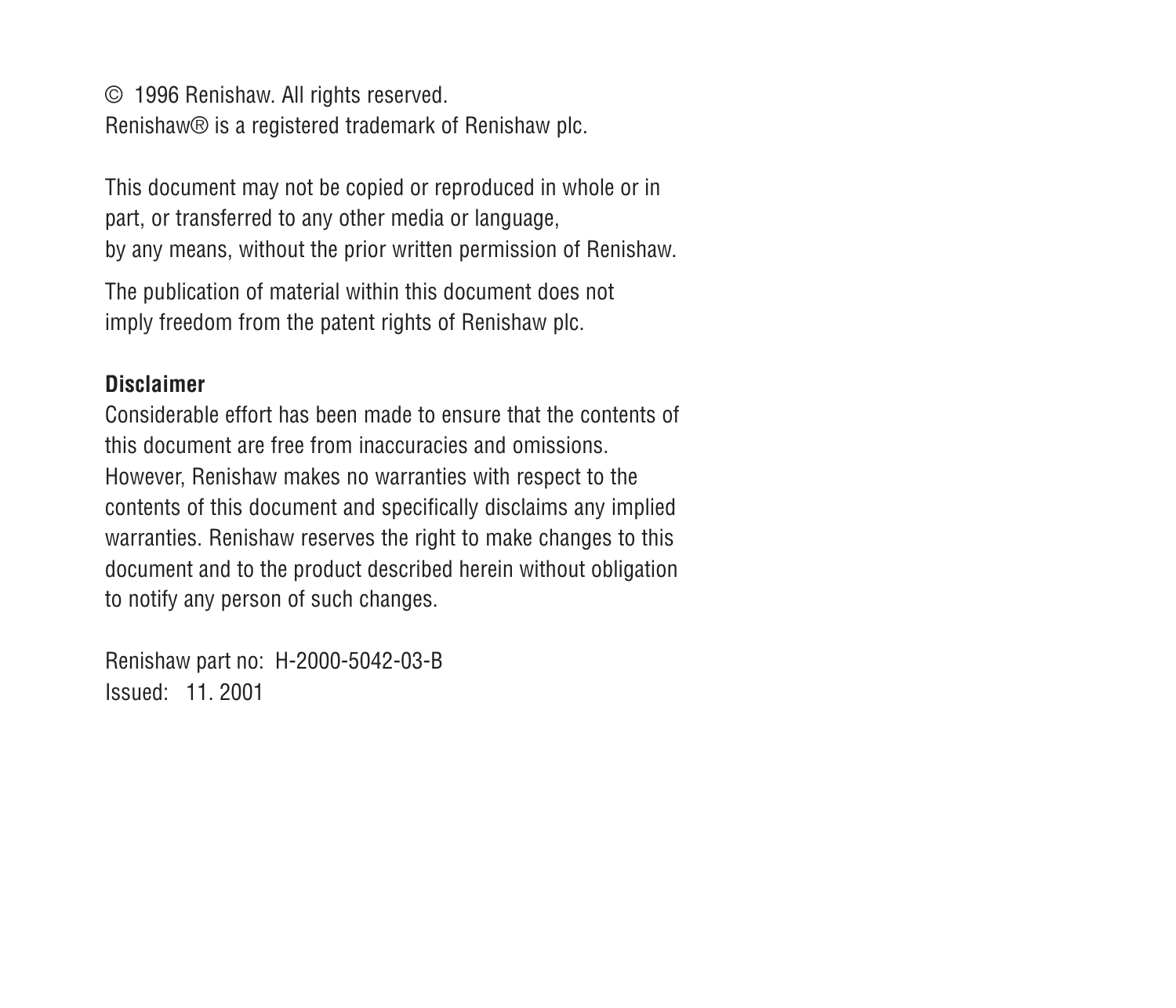© 1996 Renishaw. All rights reserved. Renishaw® is a registered trademark of Renishaw plc.

This document may not be copied or reproduced in whole or in part, or transferred to any other media or language, by any means, without the prior written permission of Renishaw.

The publication of material within this document does not imply freedom from the patent rights of Renishaw plc.

#### **Disclaimer**

Considerable effort has been made to ensure that the contents ofthis document are free from inaccuracies and omissions.However, Renishaw makes no warranties with respect to the contents of this document and specifically disclaims any implied warranties. Renishaw reserves the right to make changes to this document and to the product described herein without obligation to notify any person of such changes.

Renishaw part no: H-2000-5042-03-B Issued: 11. 2001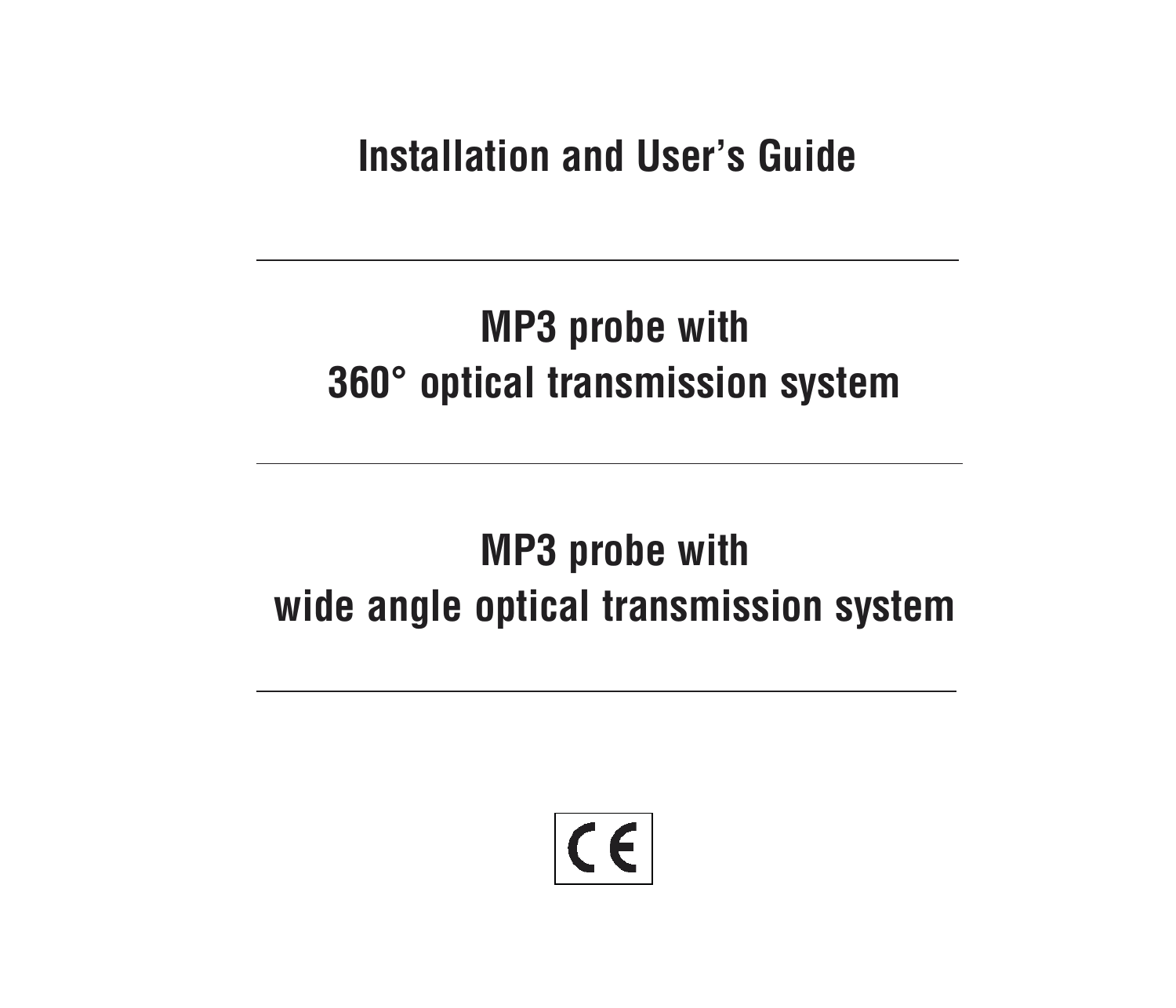**Installation and User's Guide**

## **MP3 probe with 360° optical transmission system**

## **MP3 probe with wide angle optical transmission system**

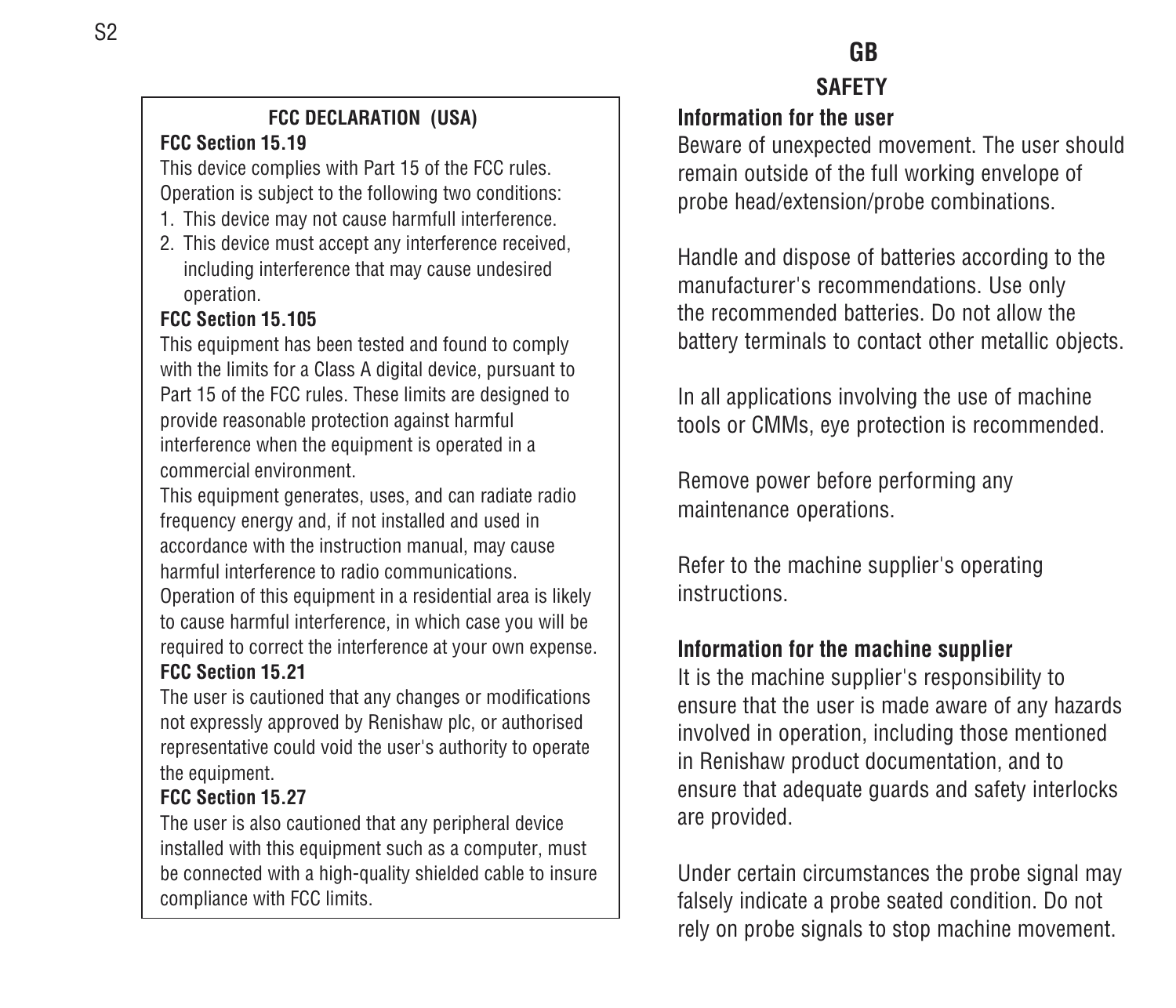#### **FCC DECLARATION (USA) FCC Section 15.19**

This device complies with Part 15 of the FCC rules. Operation is subject to the following two conditions:

- 1. This device may not cause harmfull interference.
- 2. This device must accept any interference received, including interference that may cause undesired operation.

#### **FCC Section 15.105**

This equipment has been tested and found to comply with the limits for a Class A digital device, pursuant to Part 15 of the FCC rules. These limits are designed to provide reasonable protection against harmful interference when the equipment is operated in a commercial environment.

This equipment generates, uses, and can radiate radio frequency energy and, if not installed and used in accordance with the instruction manual, may cause harmful interference to radio communications.Operation of this equipment in a residential area is likely to cause harmful interference, in which case you will be required to correct the interference at your own expense.

#### **FCC Section 15.21**

The user is cautioned that any changes or modifications not expressly approved by Renishaw plc, or authorised representative could void the user's authority to operate the equipment.

#### **FCC Section 15.27**

The user is also cautioned that any peripheral device installed with this equipment such as a computer, must be connected with a high-quality shielded cable to insure compliance with FCC limits.

#### **GB SAFETY**

#### **Information for the user**

Beware of unexpected movement. The user should remain outside of the full working envelope of probe head/extension/probe combinations.

Handle and dispose of batteries according to the manufacturer's recommendations. Use only the recommended batteries. Do not allow thebattery terminals to contact other metallic objects.

In all applications involving the use of machine tools or CMMs, eye protection is recommended.

Remove power before performing any maintenance operations.

Refer to the machine supplier's operating instructions.

#### **Information for the machine supplier**

It is the machine supplier's responsibility to ensure that the user is made aware of any hazards involved in operation, including those mentioned in Renishaw product documentation, and to ensure that adequate guards and safety interlocks are provided.

Under certain circumstances the probe signal may falsely indicate a probe seated condition. Do not rely on probe signals to stop machine movement.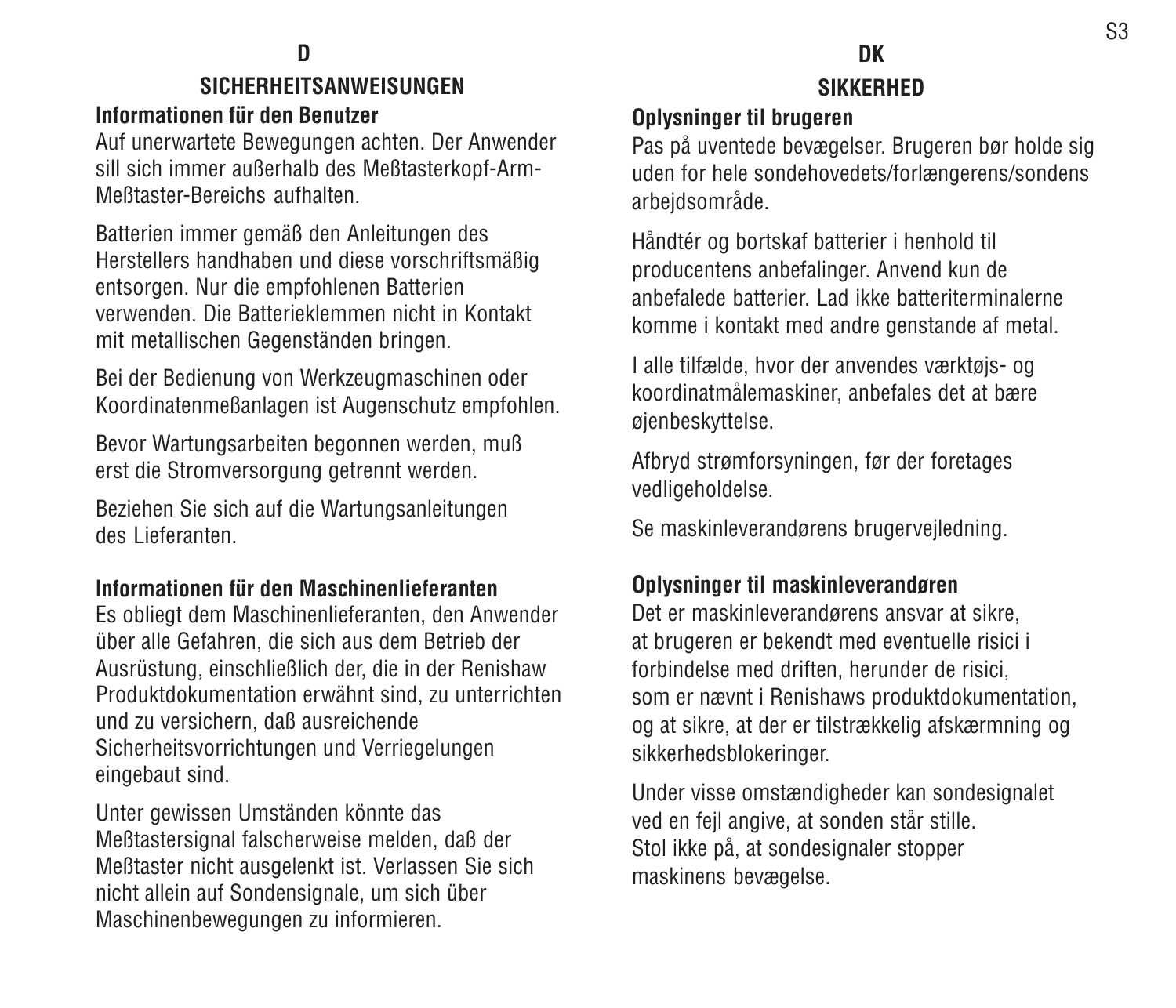### **SICHERHEITSANWEISUNGEN**

#### **Informationen für den Benutzer**

Auf unerwartete Bewegungen achten. Der Anwender sill sich immer außerhalb des Meßtasterkopf-Arm-Meßtaster-Bereichs aufhalten.

Batterien immer gemäß den Anleitungen des Herstellers handhaben und diese vorschriftsmäßig entsorgen. Nur die empfohlenen Batterien verwenden. Die Batterieklemmen nicht in Kontaktmit metallischen Gegenständen bringen.

Bei der Bedienung von Werkzeugmaschinen oder Koordinatenmeßanlagen ist Augenschutz empfohlen.

Bevor Wartungsarbeiten begonnen werden, muß erst die Stromversorgung getrennt werden.

Beziehen Sie sich auf die Wartungsanleitungen des Lieferanten.

#### **Informationen für den Maschinenlieferanten**

Es obliegt dem Maschinenlieferanten, den Anwender über alle Gefahren, die sich aus dem Betrieb der Ausrüstung, einschließlich der, die in der Renishaw Produktdokumentation erwähnt sind, zu unterrichten und zu versichern, daß ausreichende Sicherheitsvorrichtungen und Verriegelungen eingebaut sind.

Unter gewissen Umständen könnte das Meßtastersignal falscherweise melden, daß der Meßtaster nicht ausgelenkt ist. Verlassen Sie sich nicht allein auf Sondensignale, um sich über Maschinenbewegungen zu informieren.

#### **DKSIKKERHED**

#### **Oplysninger til brugeren**

Pas på uventede bevægelser. Brugeren bør holde sig uden for hele sondehovedets/forlængerens/sondens arbejdsområde.

Håndtér og bortskaf batterier i henhold til producentens anbefalinger. Anvend kun de anbefalede batterier. Lad ikke batteriterminalernekomme i kontakt med andre genstande af metal.

I alle tilfælde, hvor der anvendes værktøjs- og koordinatmålemaskiner, anbefales det at bære øjenbeskyttelse.

Afbryd strømforsyningen, før der foretages vedligeholdelse.

Se maskinleverandørens brugervejledning.

#### **Oplysninger til maskinleverandøren**

Det er maskinleverandørens ansvar at sikre, at brugeren er bekendt med eventuelle risici i forbindelse med driften, herunder de risici, som er nævnt i Renishaws produktdokumentation, og at sikre, at der er tilstrækkelig afskærmning og sikkerhedsblokeringer.

Under visse omstændigheder kan sondesignalet ved en fejl angive, at sonden står stille. Stol ikke på, at sondesignaler stopper maskinens bevægelse.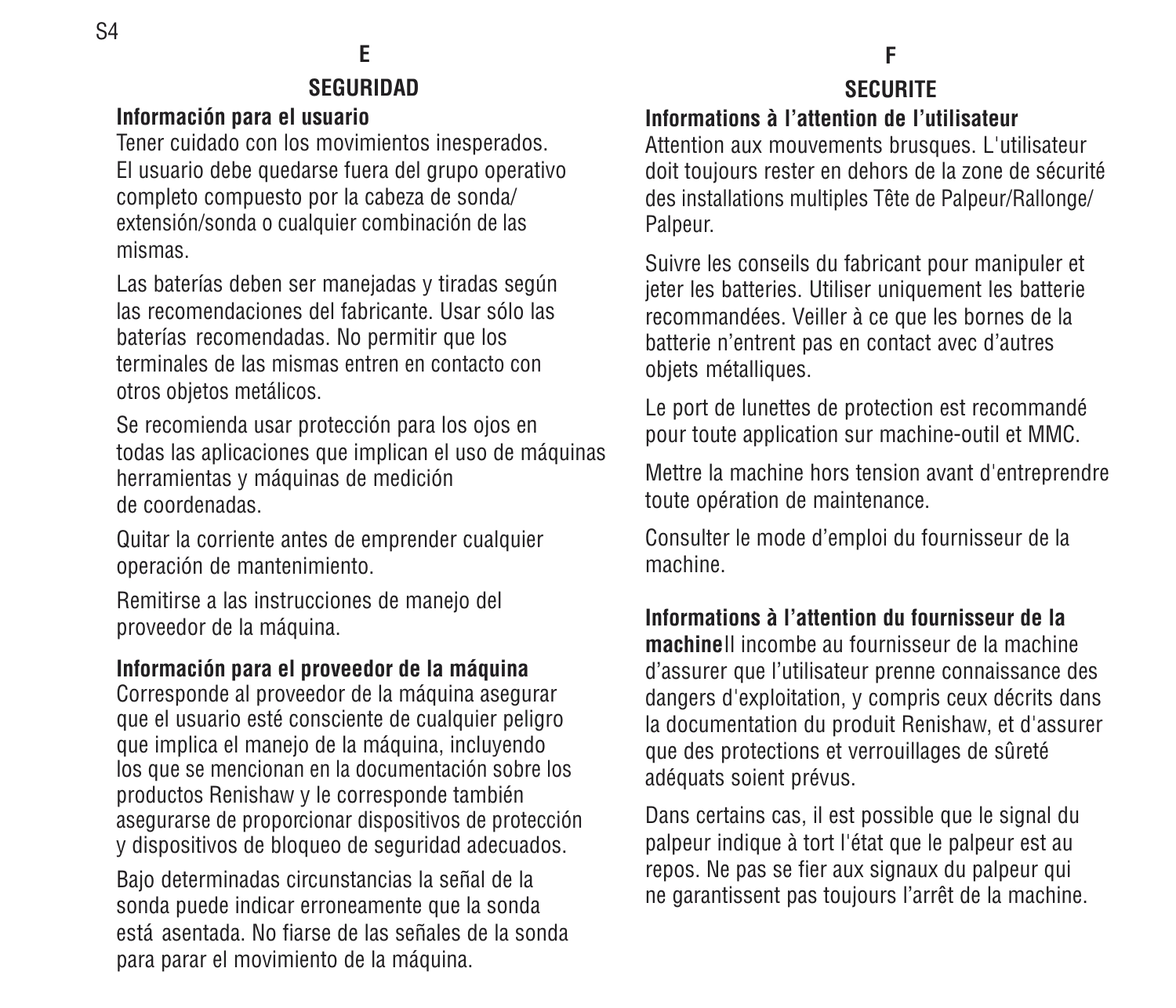#### **SEGURIDAD**

#### **Información para el usuario**

Tener cuidado con los movimientos inesperados. El usuario debe quedarse fuera del grupo operativo completo compuesto por la cabeza de sonda/ extensión/sonda o cualquier combinación de las mismas.

Las baterías deben ser manejadas y tiradas según las recomendaciones del fabricante. Usar sólo lasbaterías recomendadas. No permitir que los terminales de las mismas entren en contacto conotros objetos metálicos.

Se recomienda usar protección para los ojos en todas las aplicaciones que implican el uso de máquinas herramientas y máquinas de medición de coordenadas.

Quitar la corriente antes de emprender cualquier operación de mantenimiento.

Remitirse a las instrucciones de manejo del proveedor de la máquina.

#### **Información para el proveedor de la máquina**

Corresponde al proveedor de la máquina asegurar que el usuario esté consciente de cualquier peligro que implica el manejo de la máquina, incluyendo los que se mencionan en la documentación sobre los productos Renishaw y le corresponde también asegurarse de proporcionar dispositivos de protección y dispositivos de bloqueo de seguridad adecuados.

Bajo determinadas circunstancias la señal de la sonda puede indicar erroneamente que la sonda está asentada. No fiarse de las señales de la sondapara parar el movimiento de la máquina.

#### **FSECURITE**

**Informations à l'attention de l'utilisateur**

Attention aux mouvements brusques. L'utilisateur doit toujours rester en dehors de la zone de sécurité des installations multiples Tête de Palpeur/Rallonge/ Palpeur.

Suivre les conseils du fabricant pour manipuler et jeter les batteries. Utiliser uniquement les batterie recommandées. Veiller à ce que les bornes de la batterie n'entrent pas en contact avec d'autres objets métalliques.

Le port de lunettes de protection est recommandé pour toute application sur machine-outil et MMC.

Mettre la machine hors tension avant d'entreprendre toute opération de maintenance.

Consulter le mode d'emploi du fournisseur de la machine.

#### **Informations à l'attention du fournisseur de la**

**machine**Il incombe au fournisseur de la machined'assurer que l'utilisateur prenne connaissance des dangers d'exploitation, y compris ceux décrits dans la documentation du produit Renishaw, et d'assurer que des protections et verrouillages de sûreté adéquats soient prévus.

Dans certains cas, il est possible que le signal du palpeur indique à tort l'état que le palpeur est au repos. Ne pas se fier aux signaux du palpeur qui ne garantissent pas toujours l'arrêt de la machine.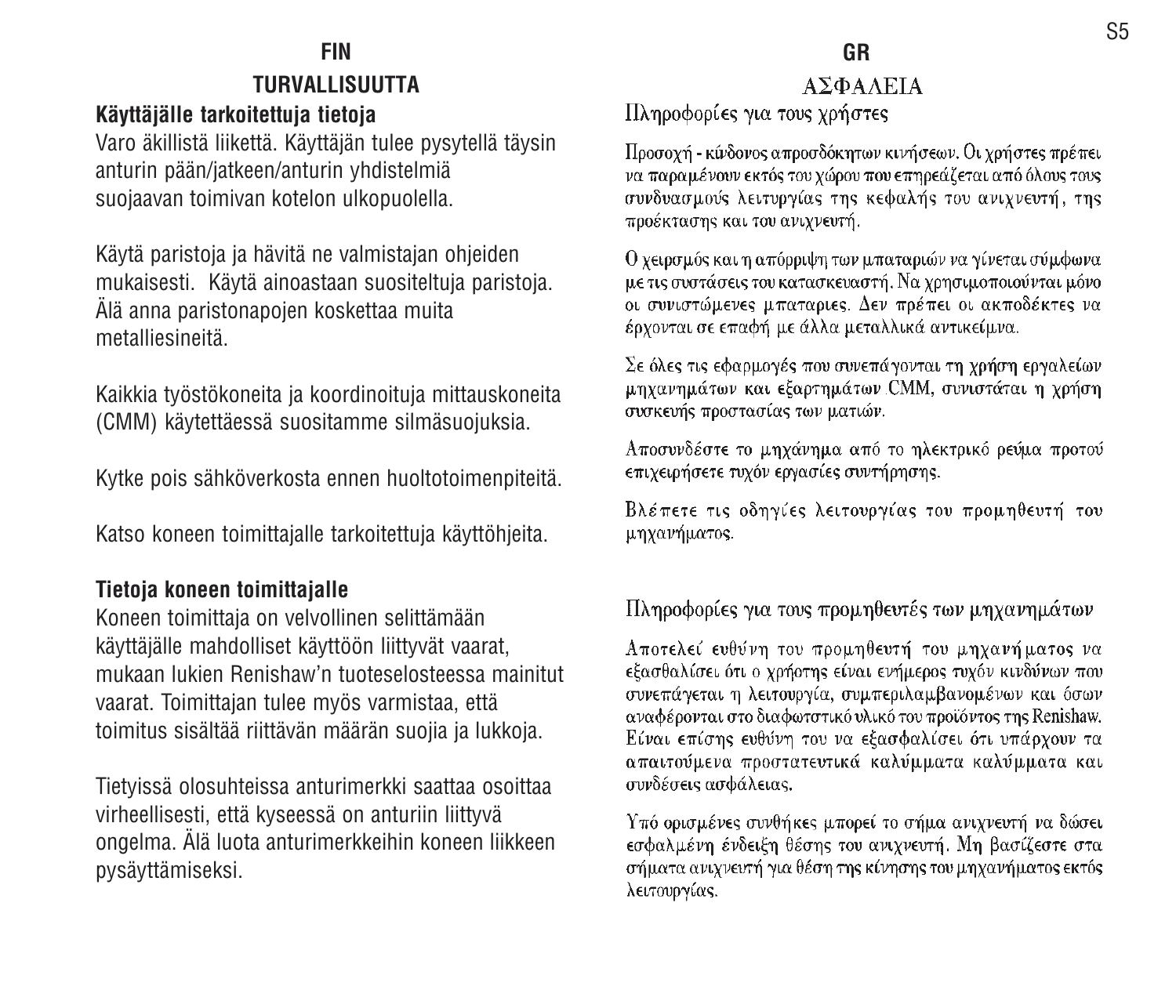#### **FIN**

#### **TURVALLISUUTTA**

#### **Käyttäjälle tarkoitettuja tietoja**

Varo äkillistä liikettä. Käyttäjän tulee pysytellä täysin anturin pään/jatkeen/anturin yhdistelmiä suojaavan toimivan kotelon ulkopuolella.

Käytä paristoja ja hävitä ne valmistajan ohjeiden mukaisesti. Käytä ainoastaan suositeltuja paristoja. Älä anna paristonapojen koskettaa muita metalliesineitä.

Kaikkia työstökoneita ja koordinoituja mittauskoneita (CMM) käytettäessä suositamme silmäsuojuksia.

Kytke pois sähköverkosta ennen huoltotoimenpiteitä.

Katso koneen toimittajalle tarkoitettuja käyttöhjeita.

#### **Tietoja koneen toimittajalle**

Koneen toimittaja on velvollinen selittämään käyttäjälle mahdolliset käyttöön liittyvät vaarat, mukaan lukien Renishaw'n tuoteselosteessa mainitutvaarat. Toimittajan tulee myös varmistaa, että toimitus sisältää riittävän määrän suojia ja lukkoja.

Tietyissä olosuhteissa anturimerkki saattaa osoittaa virheellisesti, että kyseessä on anturiin liittyvä ongelma. Älä luota anturimerkkeihin koneen liikkeen pysäyttämiseksi.

#### ΑΣΦΑΛΕΙΑ

#### Πληροφορίες για τους χρήστες

Προσοχή - κίνδονος απροσδόκητων κινήσεων. Οι χρήστες πρέπει να παραμένουν εκτός του χώρου που επηρεάζεται από όλους τους συνδυασμούς λειτυργίας της κεφαλής του ανιχνευτή, της προέκτασης και του ανιγνευτή.

Ο χειρσμός και η απόρριψη των μπαταριών να γίνεται σύμφωνα με τις συστάσεις του κατασκευαστή. Να χρησιμοποιούνται μόνο οι συνιστώμενες μπαταριες. Δεν πρέπει οι ακποδέκτες να έρχονται σε επαφή με άλλα μεταλλικά αντικείμνα.

Σε όλες τις εφαρμογές που συνεπάγονται τη χρήση εργαλείων μηχανημάτων και εξαρτημάτων CMM, συνιστάται η χρήση συσκευής προστασίας των ματιών.

Αποσυνδέστε το μηχάνημα από το ηλεκτρικό ρεύμα προτού επιχειρήσετε τυχόν εργασίες συντήρησης.

Βλέπετε τις οδηγίες λειτουργίας του προμηθευτή του μηχανήματος.

#### Πληροφορίες για τους προμηθευτές των μηχανημάτων

Αποτελεί ευθύνη του προμηθευτή του μηχανήματος να εξασθαλίσει ότι ο χρήστης είναι ενήμερος τυχόν κινδύνων που συνεπάγεται η λειτουργία, συμπεριλαμβανομένων και όσων αναφέρονται στο διαφωτστικό υλικό του προϊόντος της Renishaw. Είναι επίσης ευθύνη του να εξασφαλίσει ότι υπάρχουν τα απαιτούμενα προστατευτικά καλύμματα καλύμματα και συνδέσεις ασφάλειας.

Υπό ορισμένες συνθήκες μπορεί το σήμα ανιχνευτή να δώσει εσφαλμένη ένδειξη θέσης του ανιχνευτή. Μη βασίζεστε στα σήματα ανιγνευτή για θέση της κίνησης του μηγανήματος εκτός λειτουργίας.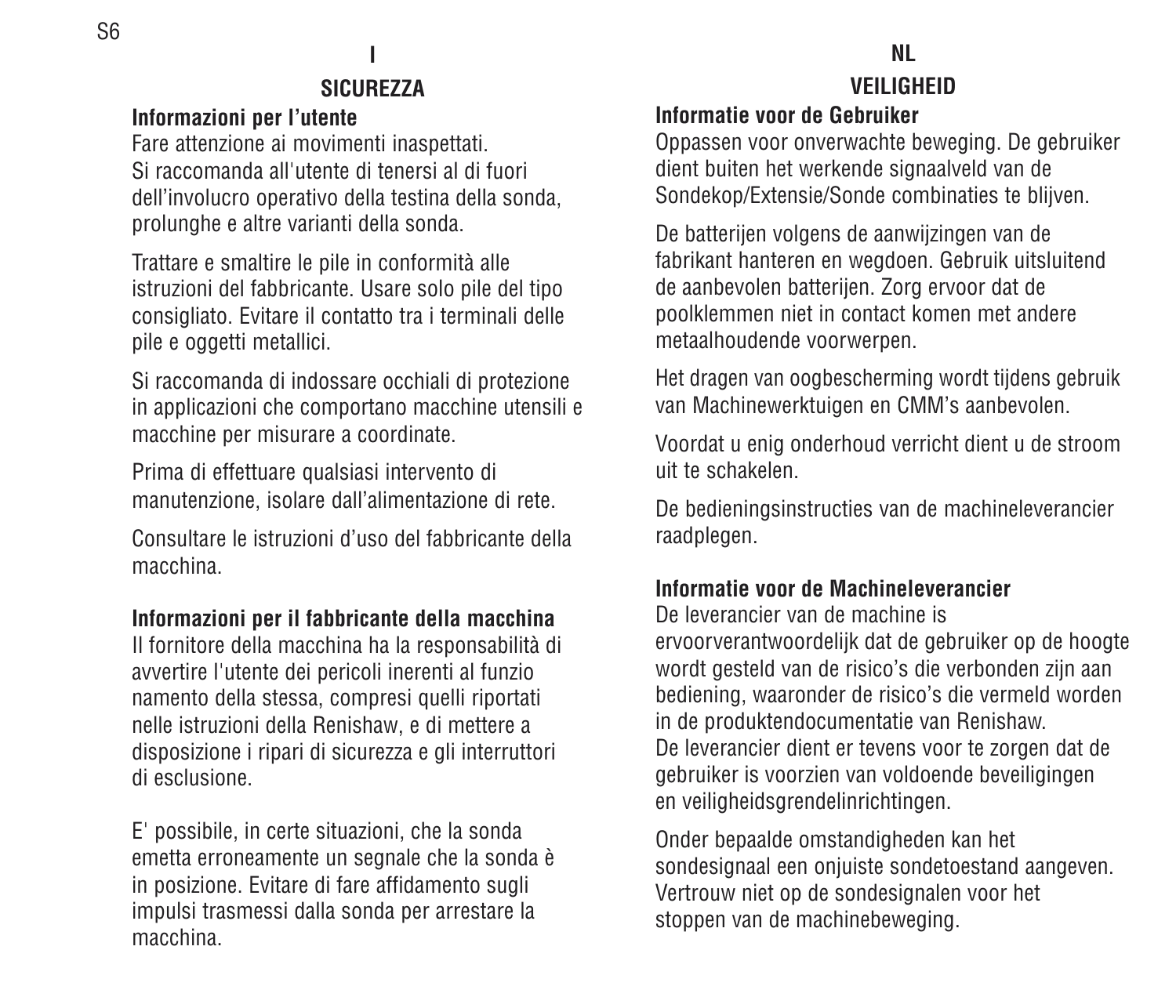#### ı **SICUREZZA**

#### **Informazioni per l'utente**

Fare attenzione ai movimenti inaspettati. Si raccomanda all'utente di tenersi al di fuoridell'involucro operativo della testina della sonda, prolunghe e altre varianti della sonda.

Trattare e smaltire le pile in conformità alle istruzioni del fabbricante. Usare solo pile del tipo consigliato. Evitare il contatto tra i terminali delle pile e oggetti metallici.

Si raccomanda di indossare occhiali di protezione in applicazioni che comportano macchine utensili e macchine per misurare a coordinate.

Prima di effettuare qualsiasi intervento di manutenzione, isolare dall'alimentazione di rete.

Consultare le istruzioni d'uso del fabbricante dellamacchina.

#### **Informazioni per il fabbricante della macchina**

Il fornitore della macchina ha la responsabilità di avvertire l'utente dei pericoli inerenti al funzio namento della stessa, compresi quelli riportati nelle istruzioni della Renishaw, e di mettere a disposizione i ripari di sicurezza e gli interruttori di esclusione.

E' possibile, in certe situazioni, che la sonda emetta erroneamente un segnale che la sonda è in posizione. Evitare di fare affidamento sugli impulsi trasmessi dalla sonda per arrestare la macchina.

#### **NLVEILIGHEID**

#### **Informatie voor de Gebruiker**

Oppassen voor onverwachte beweging. De gebruiker dient buiten het werkende signaalveld van de Sondekop/Extensie/Sonde combinaties te blijven.

De batterijen volgens de aanwijzingen van de fabrikant hanteren en wegdoen. Gebruik uitsluitend de aanbevolen batterijen. Zorg ervoor dat de poolklemmen niet in contact komen met andere metaalhoudende voorwerpen.

Het dragen van oogbescherming wordt tijdens gebruik van Machinewerktuigen en CMM's aanbevolen.

Voordat u enig onderhoud verricht dient u de stroom uit te schakelen.

De bedieningsinstructies van de machineleverancier raadplegen.

#### **Informatie voor de Machineleverancier**

De leverancier van de machine iservoorverantwoordelijk dat de gebruiker op de hoogte wordt gesteld van de risico's die verbonden zijn aan bediening, waaronder de risico's die vermeld worden in de produktendocumentatie van Renishaw. De leverancier dient er tevens voor te zorgen dat de gebruiker is voorzien van voldoende beveiligingen en veiligheidsgrendelinrichtingen.

Onder bepaalde omstandigheden kan het sondesignaal een onjuiste sondetoestand aangeven. Vertrouw niet op de sondesignalen voor het stoppen van de machinebeweging.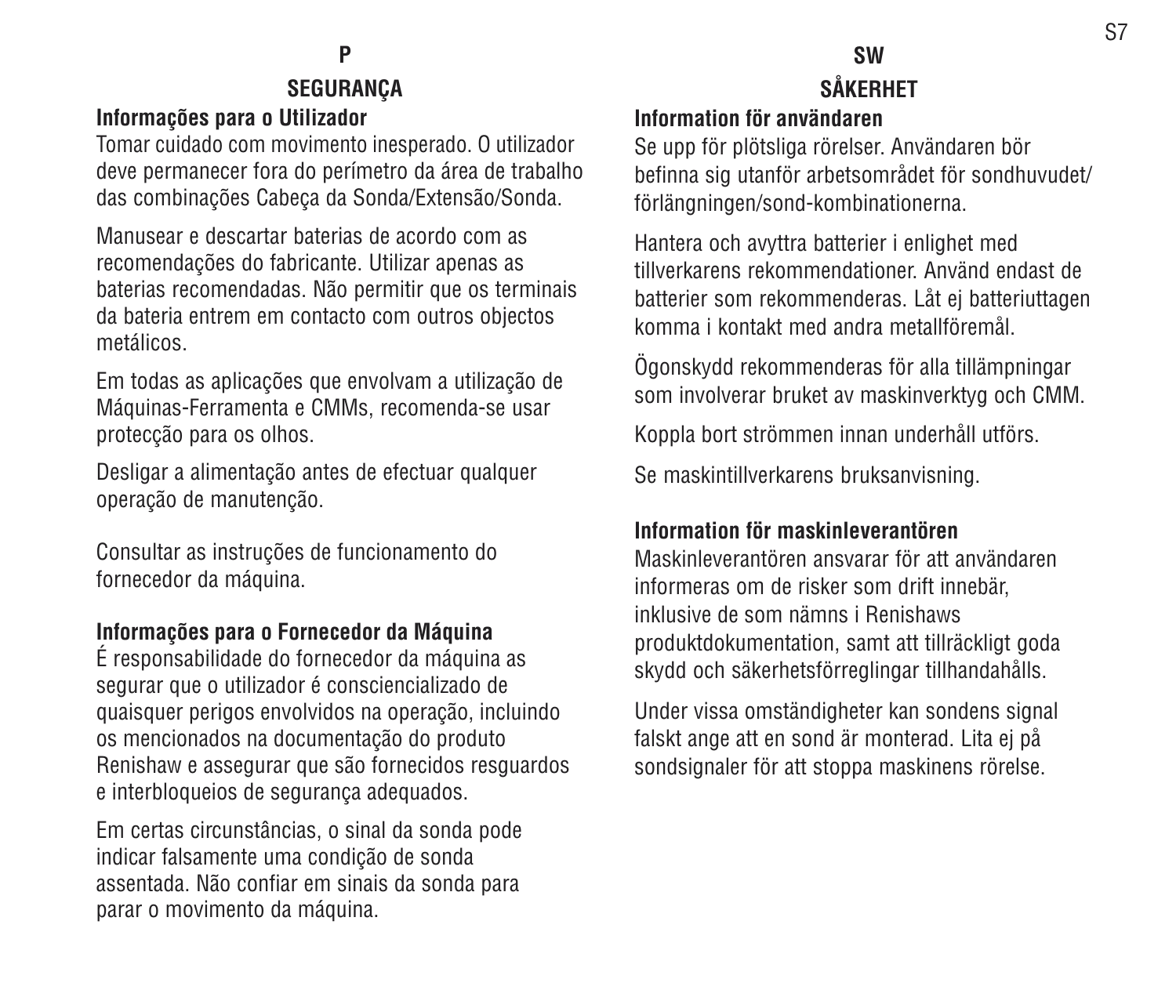### **P**

#### **SEGURANÇA Informações para o Utilizador**

Tomar cuidado com movimento inesperado. O utilizador deve permanecer fora do perímetro da área de trabalho das combinações Cabeça da Sonda/Extensão/Sonda.

Manusear e descartar baterias de acordo com asrecomendações do fabricante. Utilizar apenas as baterias recomendadas. Não permitir que os terminais da bateria entrem em contacto com outros objectos metálicos.

Em todas as aplicações que envolvam a utilização de Máquinas-Ferramenta e CMMs, recomenda-se usar protecção para os olhos.

Desligar a alimentação antes de efectuar qualquer operação de manutenção.

Consultar as instruções de funcionamento do fornecedor da máquina.

### **Informações para o Fornecedor da Máquina** É responsabilidade do fornecedor da máquina as

segurar que o utilizador é consciencializado de quaisquer perigos envolvidos na operação, incluindo os mencionados na documentação do produto Renishaw e assegurar que são fornecidos resguardos e interbloqueios de segurança adequados.

Em certas circunstâncias, o sinal da sonda pode indicar falsamente uma condição de sonda assentada. Não confiar em sinais da sonda para parar o movimento da máquina.

### **SWSÅKERHET**

#### **Information för användaren**

Se upp för plötsliga rörelser. Användaren bör befinna sig utanför arbetsområdet för sondhuvudet/ förlängningen/sond-kombinationerna.

Hantera och avyttra batterier i enlighet med tillverkarens rekommendationer. Använd endast debatterier som rekommenderas. Låt ej batteriuttagen komma i kontakt med andra metallföremål.

Ögonskydd rekommenderas för alla tillämpningar som involverar bruket av maskinverktyg och CMM.

Koppla bort strömmen innan underhåll utförs.

Se maskintillverkarens bruksanvisning.

#### **Information för maskinleverantören**

Maskinleverantören ansvarar för att användareninformeras om de risker som drift innebär, inklusive de som nämns i Renishawsproduktdokumentation, samt att tillräckligt goda skydd och säkerhetsförreglingar tillhandahålls.

Under vissa omständigheter kan sondens signal falskt ange att en sond är monterad. Lita ej på sondsignaler för att stoppa maskinens rörelse.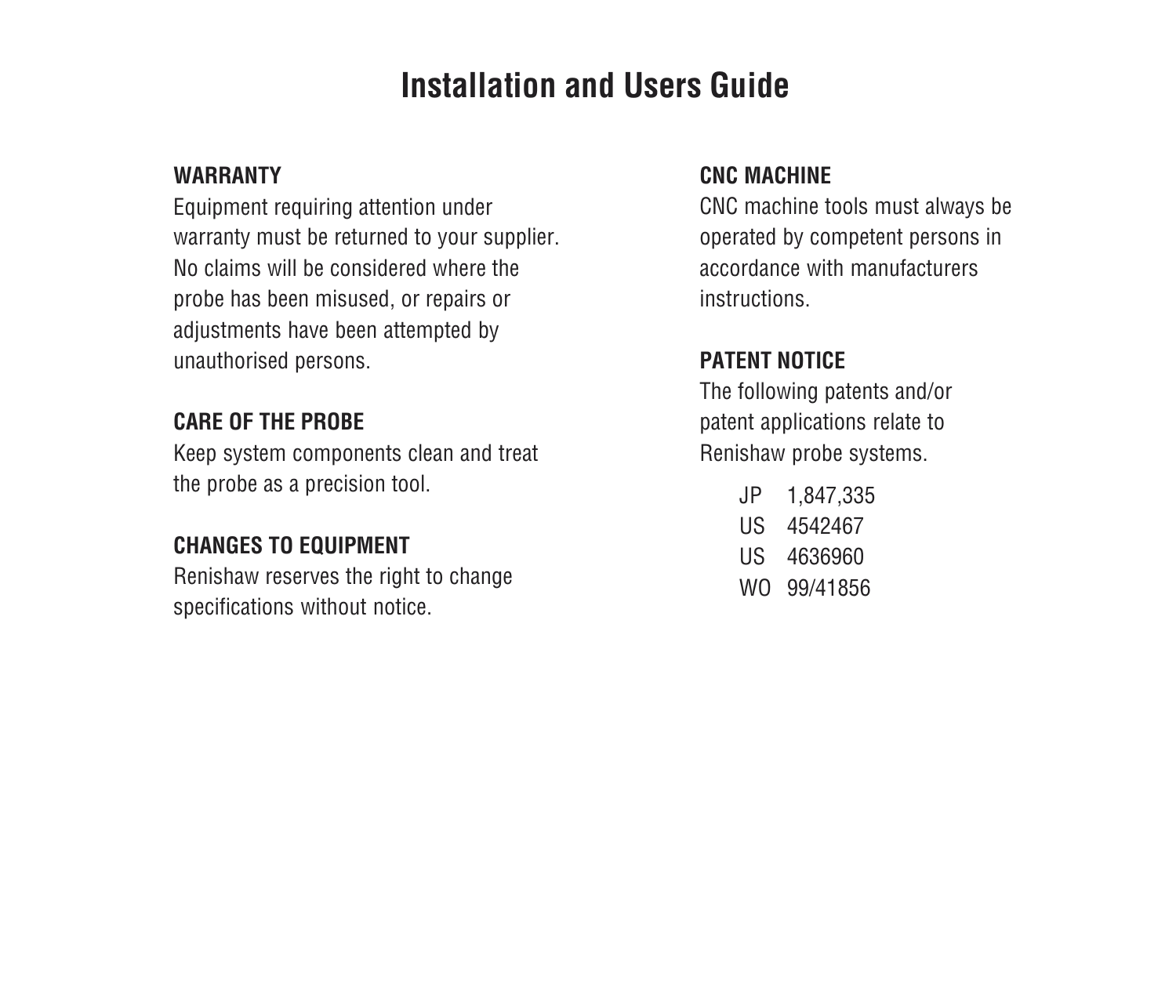### **Installation and Users Guide**

#### **WARRANTY**

Equipment requiring attention under warranty must be returned to your supplier. No claims will be considered where theprobe has been misused, or repairs or adjustments have been attempted by unauthorised persons.

#### **CARE OF THE PROBE**

Keep system components clean and treat the probe as a precision tool.

#### **CHANGES TO EQUIPMENT**

Renishaw reserves the right to change specifications without notice.

#### **CNC MACHINE**

CNC machine tools must always be operated by competent persons in accordance with manufacturersinstructions.

#### **PATENT NOTICE**

The following patents and/or patent applications relate to Renishaw probe systems.

- JP 1,847,335
- US 4542467
- US 4636960
- WO 99/41856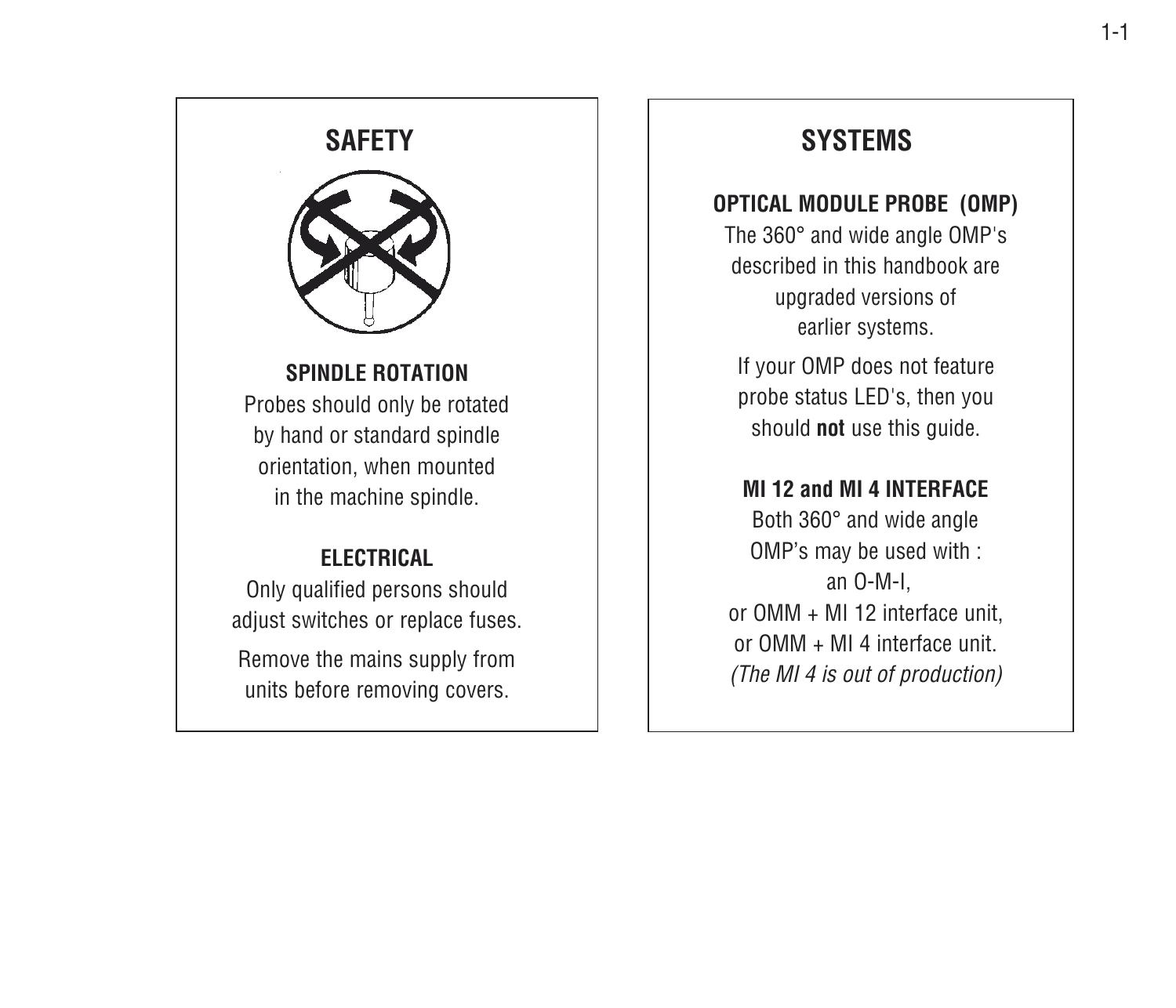#### **SAFETY**



#### **SPINDLE ROTATION**

Probes should only be rotated by hand or standard spindle orientation, when mounted in the machine spindle.

#### **ELECTRICAL**

Only qualified persons should adjust switches or replace fuses.

Remove the mains supply from units before removing covers.

#### **SYSTEMS**

#### **OPTICAL MODULE PROBE (OMP)**

The 360° and wide angle OMP's described in this handbook areupgraded versions of earlier systems.

If your OMP does not feature probe status LED's, then you should **not** use this guide.

#### **MI 12 and MI 4 INTERFACE**

Both 360° and wide angle OMP's may be used with : an O-M-I, or OMM + MI 12 interface unit, or OMM + MI 4 interface unit.(The MI 4 is out of production)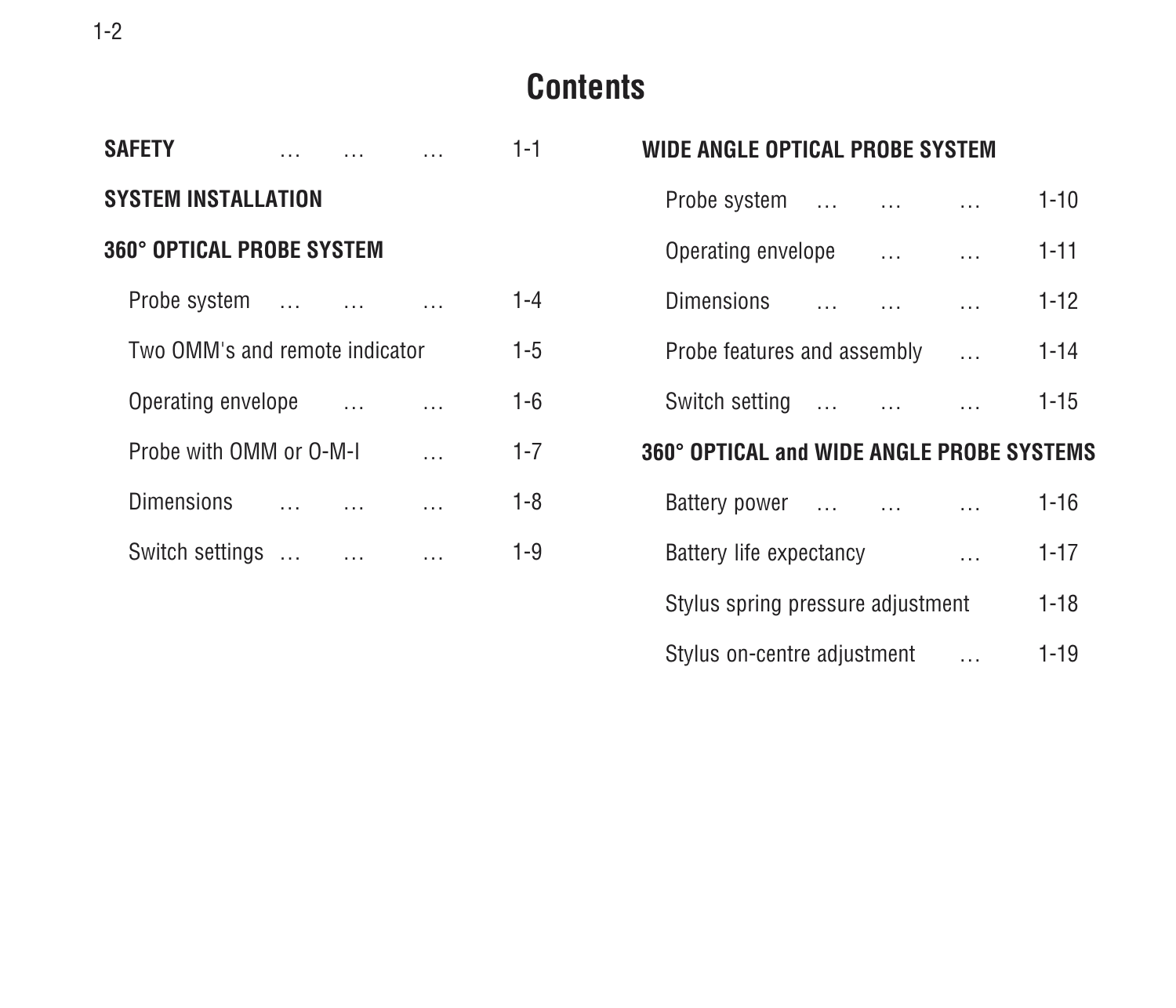#### 1-2

#### **Contents**

| <b>SAFETY</b>                    |  |           | 1-1     |
|----------------------------------|--|-----------|---------|
| <b>SYSTEM INSTALLATION</b>       |  |           |         |
| <b>360° OPTICAL PROBE SYSTEM</b> |  |           |         |
| Probe system                     |  |           | $1 - 4$ |
| Two OMM's and remote indicator   |  |           | $1 - 5$ |
| Operating envelope               |  | $\ddotsc$ | $1 - 6$ |
| Probe with OMM or O-M-I          |  |           | $1 - 7$ |
| Dimensions                       |  |           | $1 - 8$ |
| Switch settings                  |  |           | 1-9     |

| WIDE ANGLE OPTICAL PROBE SYSTEM           |                          |               |          |
|-------------------------------------------|--------------------------|---------------|----------|
| Probe system                              | $\sim$                   | $\cdots$      | $1 - 10$ |
| Operating envelope                        | $\overline{\phantom{a}}$ | $\cdots$      | $1 - 11$ |
| Dimensions                                | $\ddotsc$                | $\sim$ 100    | $1 - 12$ |
| Probe features and assembly               |                          | $\sim$ $\sim$ | $1 - 14$ |
| Switch setting                            |                          | $\cdots$      | $1 - 15$ |
| 360° OPTICAL and WIDE ANGLE PROBE SYSTEMS |                          |               |          |
| Battery power                             | $\sim 100$               | $\cdots$      | $1 - 16$ |
| Battery life expectancy                   |                          | $\cdots$      | $1 - 17$ |
| Stylus spring pressure adjustment         |                          |               | $1 - 18$ |
| Stylus on-centre adjustment               |                          |               | $1 - 19$ |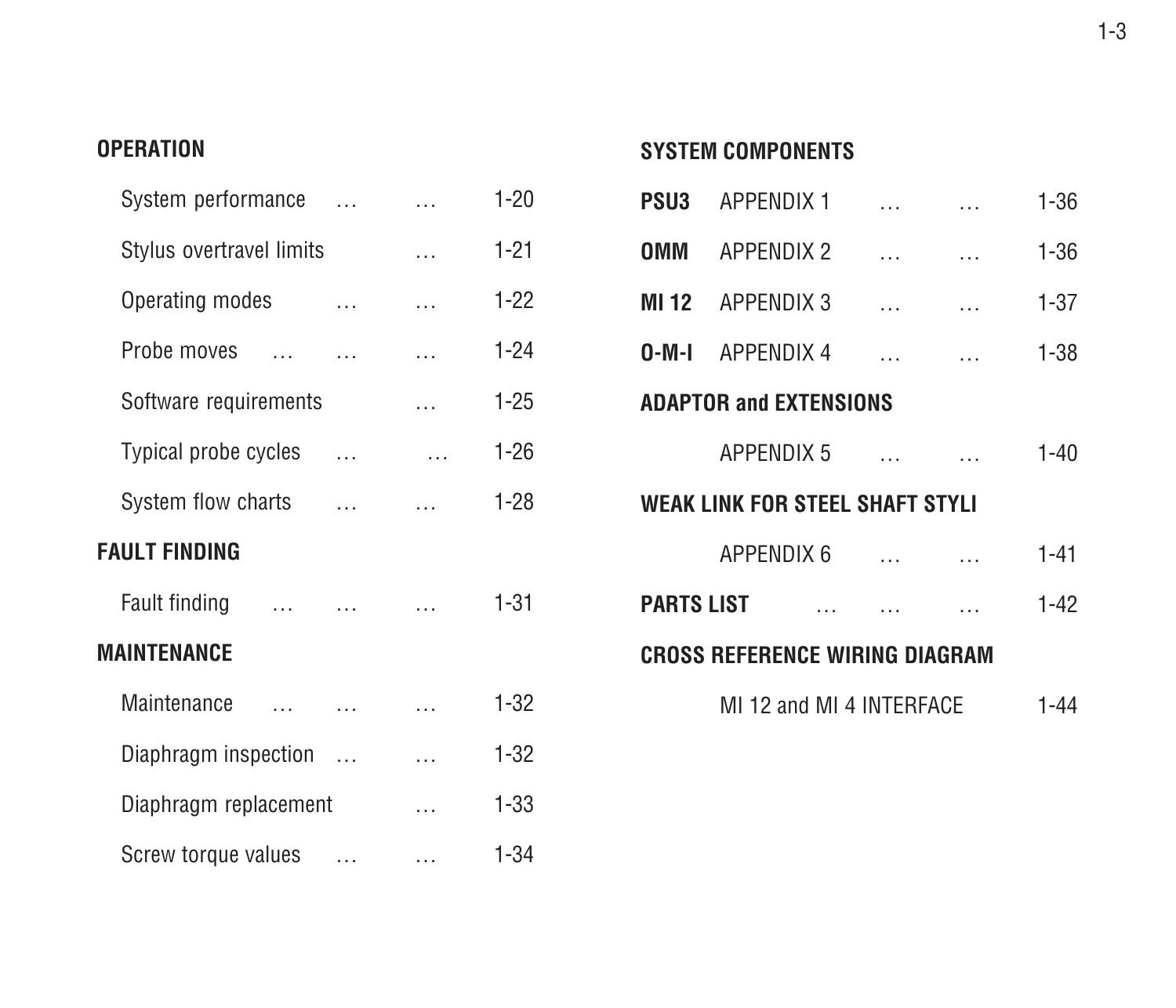#### **OPERATION**

| System performance       |                             |          | $\cdots$                  | $1 - 20$ |
|--------------------------|-----------------------------|----------|---------------------------|----------|
| Stylus overtravel limits |                             |          | $\cdots$                  | $1 - 21$ |
| Operating modes          | $\sim$ $\sim$               |          | $\ddotsc$                 | $1 - 22$ |
| Probe moves              | $\sim$ $\sim$ $\sim$ $\sim$ |          | $\cdots$                  | $1 - 24$ |
| Software requirements    |                             |          | $\cdots$                  | $1 - 25$ |
| Typical probe cycles     | $\sim$ $\sim$               |          | $\sim 100$ and $\sim 100$ | $1 - 26$ |
| System flow charts       |                             |          | $\ddotsc$                 | $1 - 28$ |
| FAULT FINDING            |                             |          |                           |          |
| Fault finding            | $\sim$ $\sim$ $\sim$        |          | $\cdots$                  | $1 - 31$ |
| MAINTENANCE              |                             |          |                           |          |
| Maintenance<br>$\ddotsc$ | $\sim$ $\sim$ $\sim$ $\sim$ |          | $\cdots$                  | $1 - 32$ |
| Diaphragm inspection     |                             |          | $\ldots$                  | $1 - 32$ |
| Diaphragm replacement    |                             |          | $\cdots$                  | $1 - 33$ |
| Screw torque values      |                             | $\cdots$ | $\cdots$                  | $1 - 34$ |

#### **SYSTEM COMPONENTS**

|                                 | <b>PSU3</b> APPENDIX 1                |        | $\sim$ $\sim$ $\sim$ $\sim$       | $1 - 36$ |  |
|---------------------------------|---------------------------------------|--------|-----------------------------------|----------|--|
|                                 | <b>OMM APPENDIX 2</b>                 |        | المستحدث المتلاب                  | $1 - 36$ |  |
|                                 | MI12 APPENDIX 3                       | $\sim$ | $\sim 100$ and $\sim 100$         | $1 - 37$ |  |
|                                 | <b>0-M-I</b> APPENDIX 4               |        | and the company of the company of | $1 - 38$ |  |
|                                 | <b>ADAPTOR and EXTENSIONS</b>         |        |                                   |          |  |
|                                 | <b>APPENDIX 5</b>                     |        | and the state of the state of the | $1 - 40$ |  |
| WEAK LINK FOR STEEL SHAFT STYLI |                                       |        |                                   |          |  |
|                                 | <b>APPENDIX 6</b>                     |        | and the state of the state of the | $1 - 41$ |  |
| <b>PARTS LIST</b>               |                                       |        |                                   | $1-42$   |  |
|                                 | <b>CROSS REFERENCE WIRING DIAGRAM</b> |        |                                   |          |  |
|                                 | MI 12 and MI 4 INTERFACE              |        |                                   | 1-44     |  |
|                                 |                                       |        |                                   |          |  |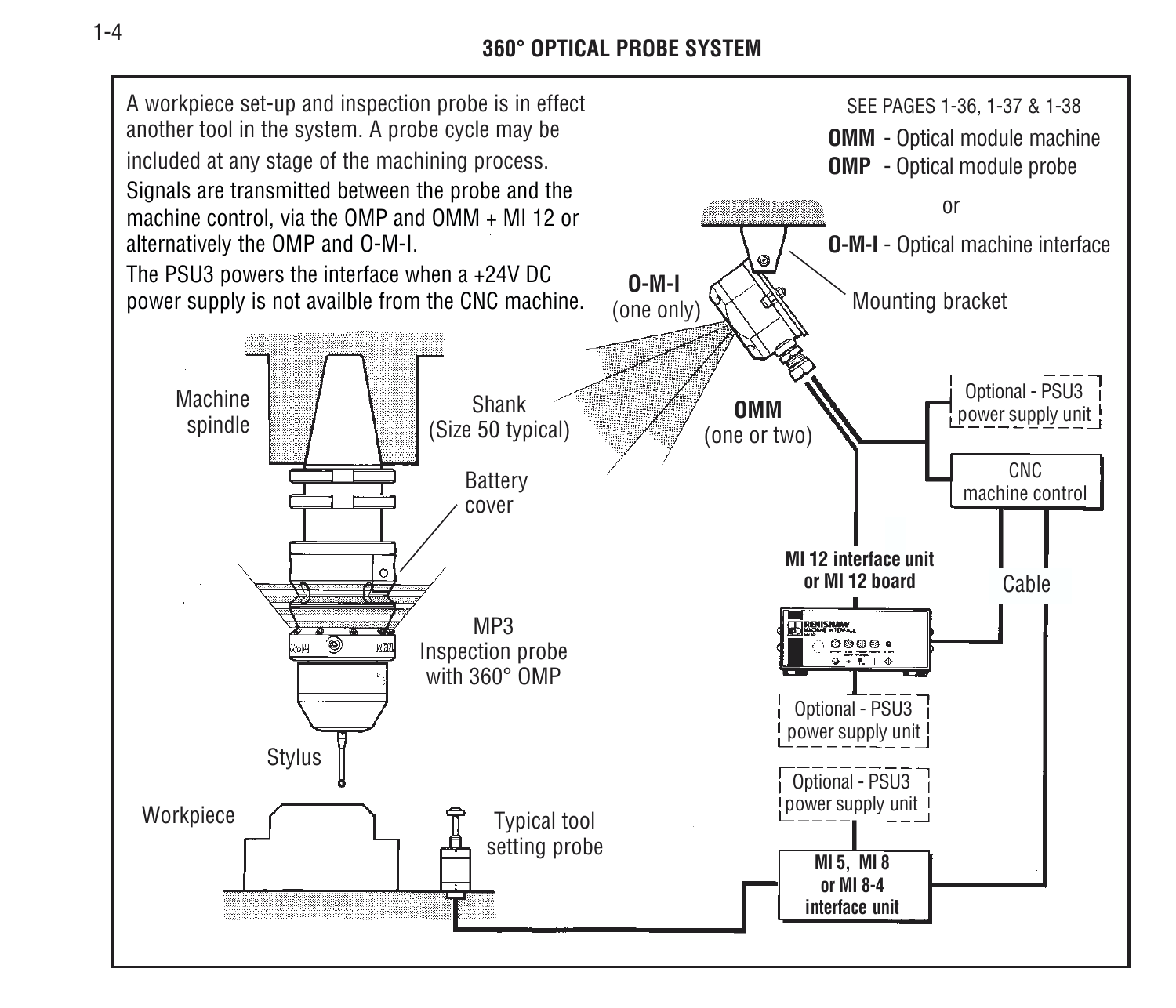**360° OPTICAL PROBE SYSTEM**

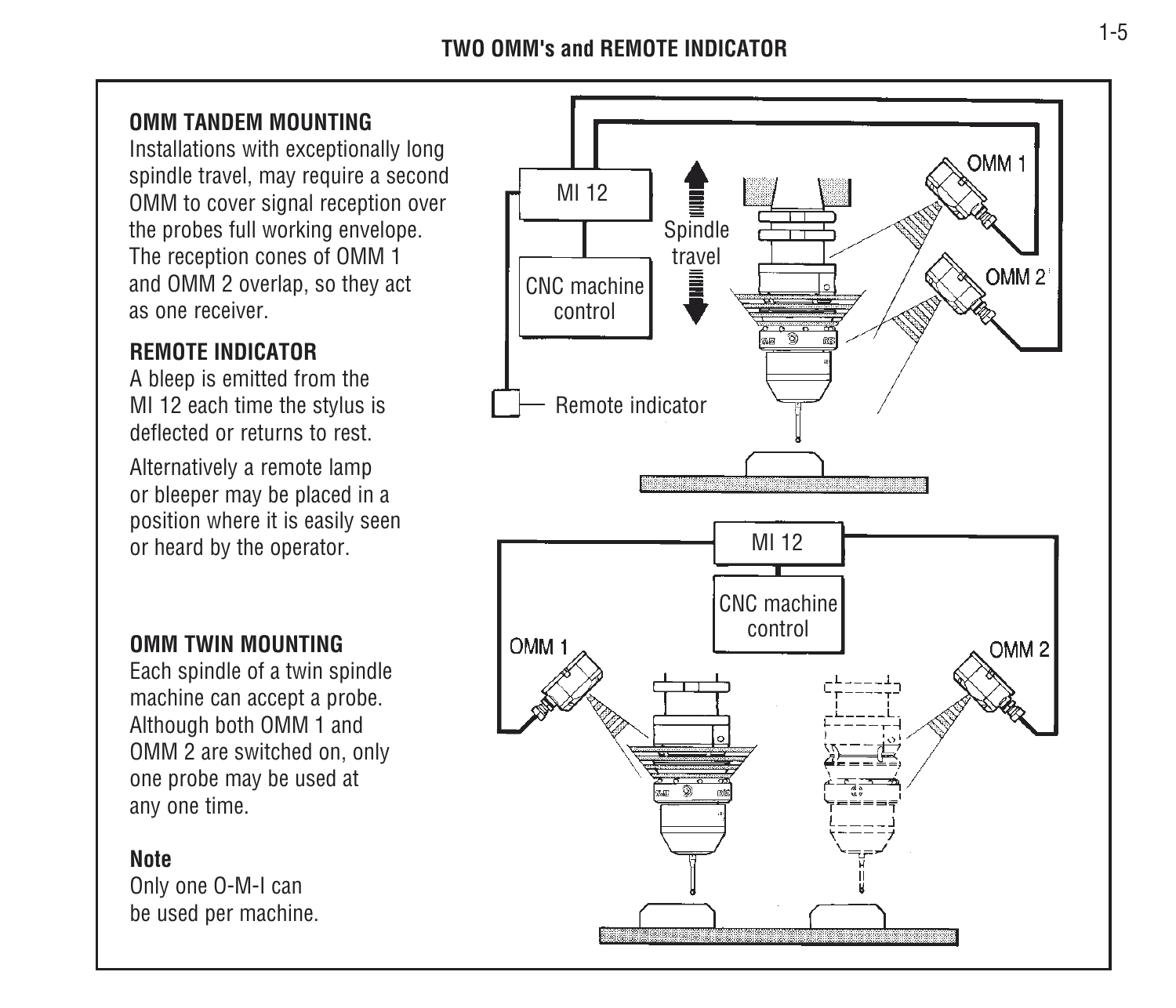#### **TWO OMM's and REMOTE INDICATOR**

#### **OMM TANDEM MOUNTING**

Installations with exceptionally long spindle travel, may require a second OMM to cover signal reception over the probes full working envelope. The reception cones of OMM 1 and OMM 2 overlap, so they act as one receiver.

#### **REMOTE INDICATOR**

A bleep is emitted from the MI 12 each time the stylus is deflected or returns to rest.

Alternatively a remote lamp or bleeper may be placed in a position where it is easily seen or heard by the operator.

#### **OMM TWIN MOUNTING**

Each spindle of a twin spindle machine can accept a probe. Although both OMM 1 and OMM 2 are switched on, only one probe may be used at any one time.

#### **Note**

Only one O-M-I can be used per machine.

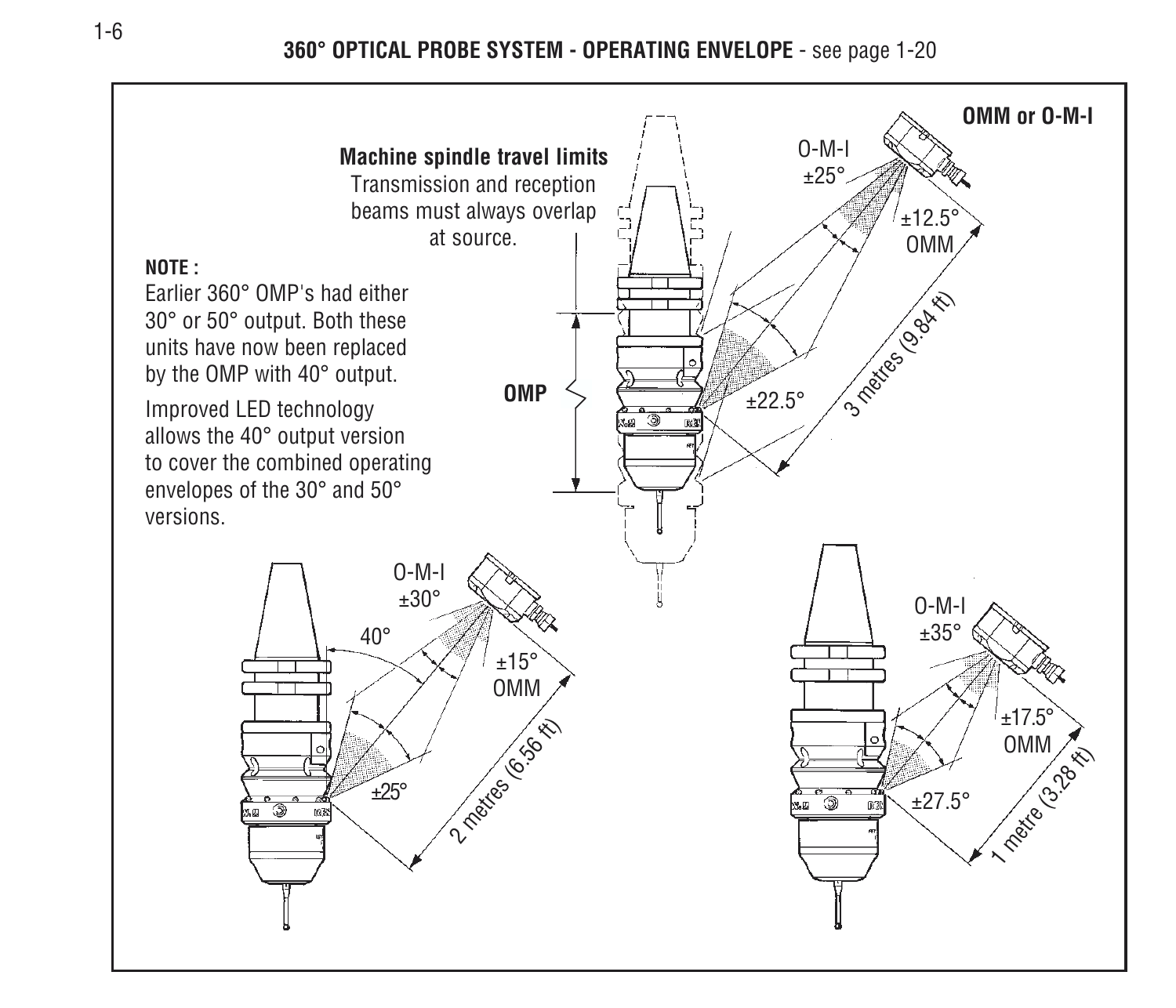**360° OPTICAL PROBE SYSTEM - OPERATING ENVELOPE** - see page 1-20

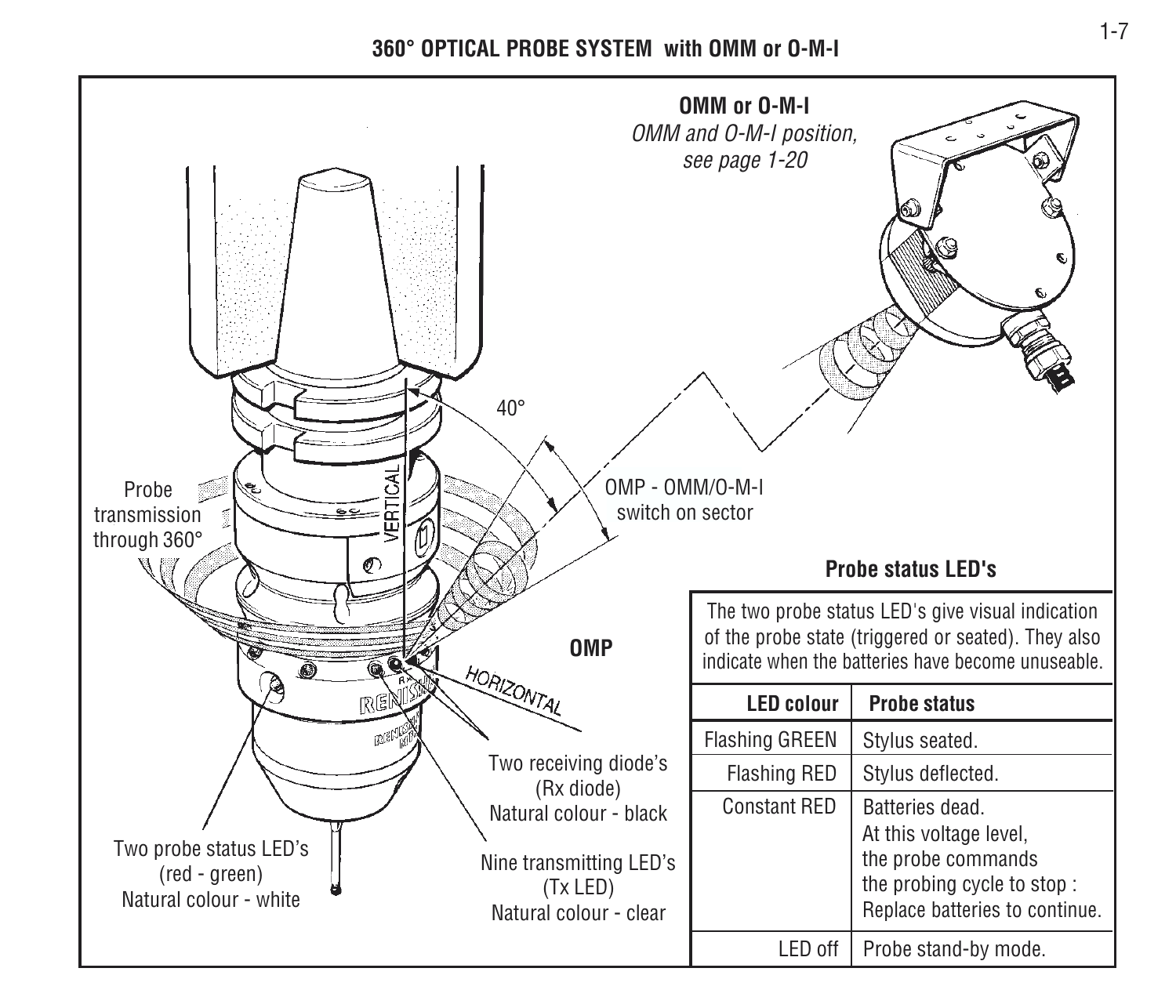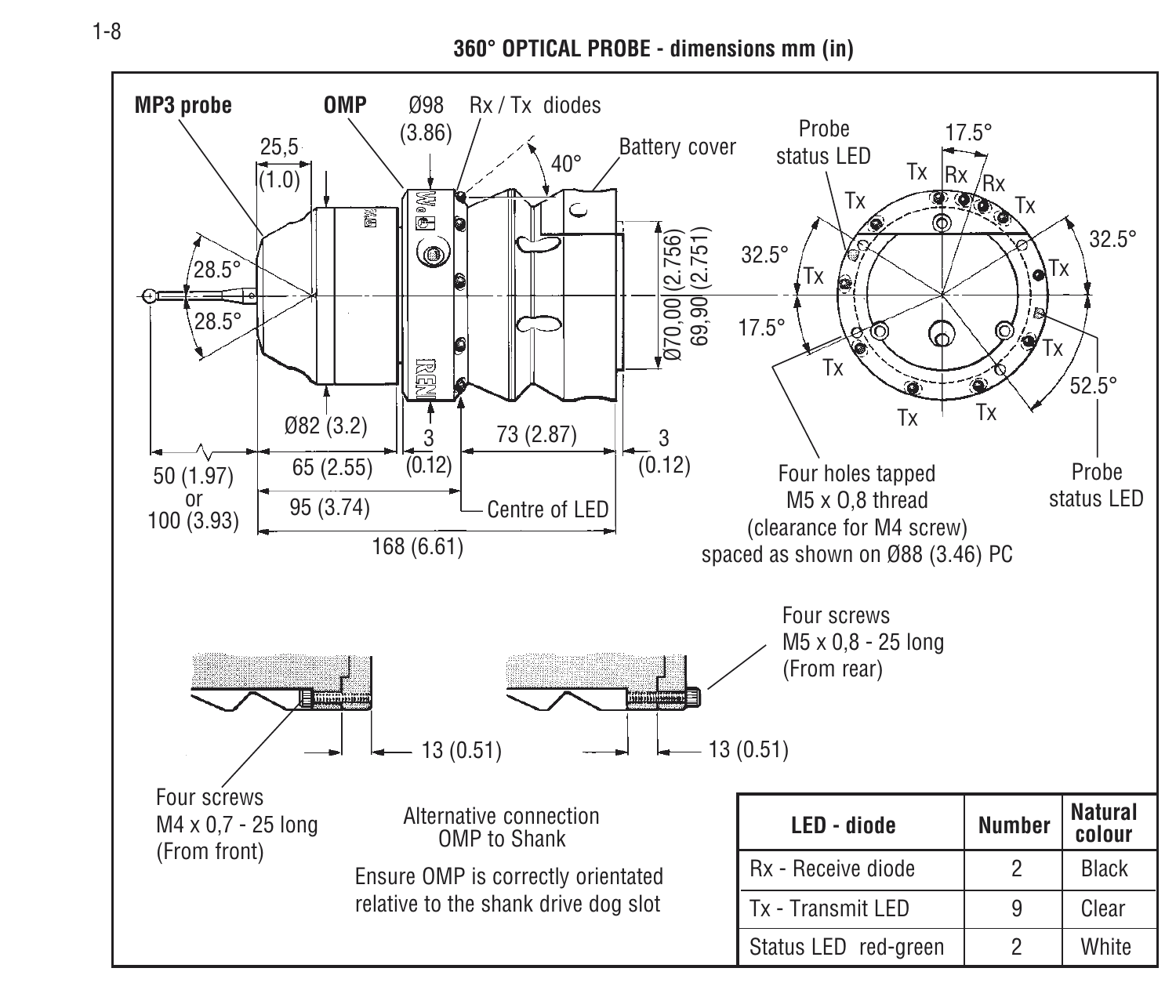**360° OPTICAL PROBE - dimensions mm (in)**

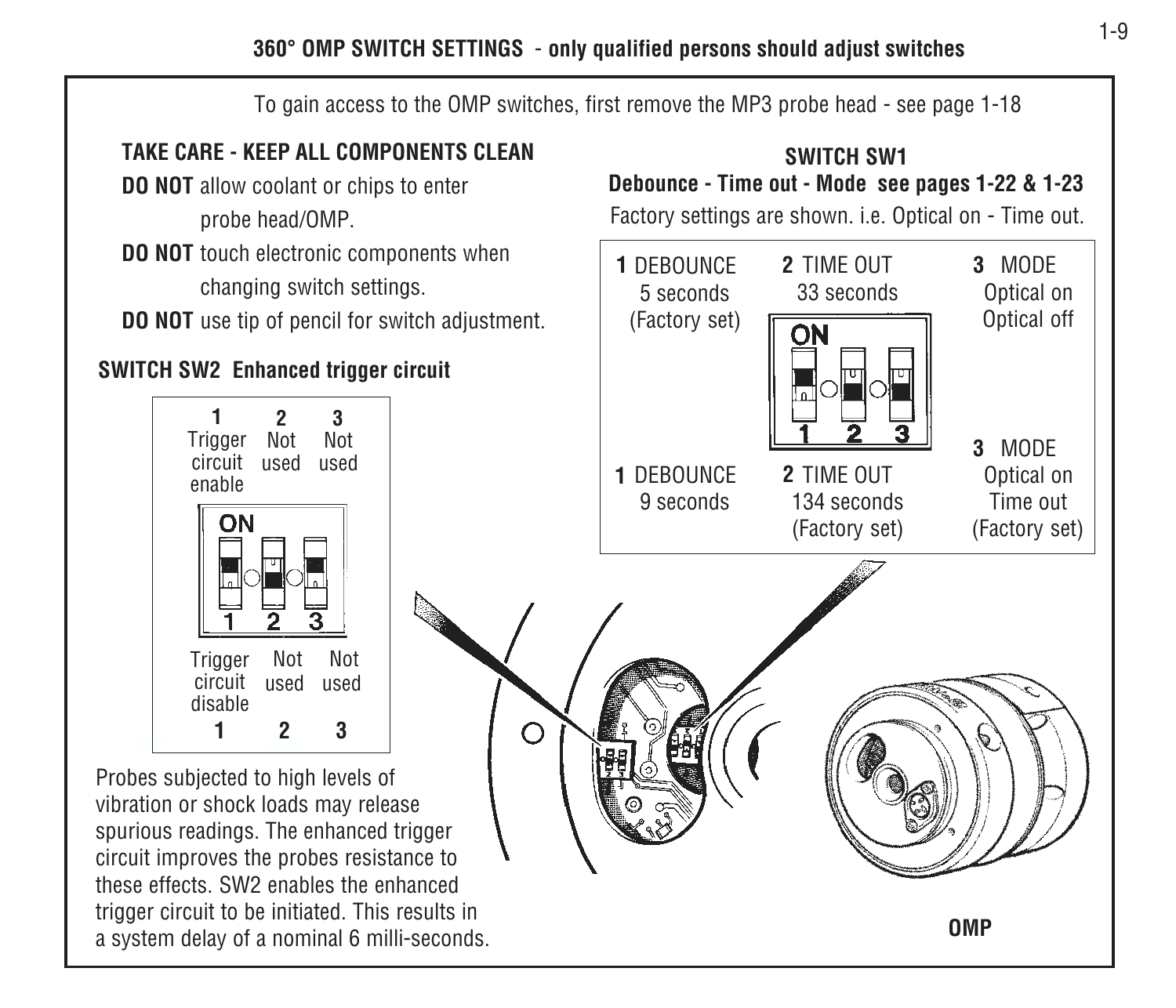**360° OMP SWITCH SETTINGS** - **only qualified persons should adjust switches**

To gain access to the OMP switches, first remove the MP3 probe head - see page 1-18

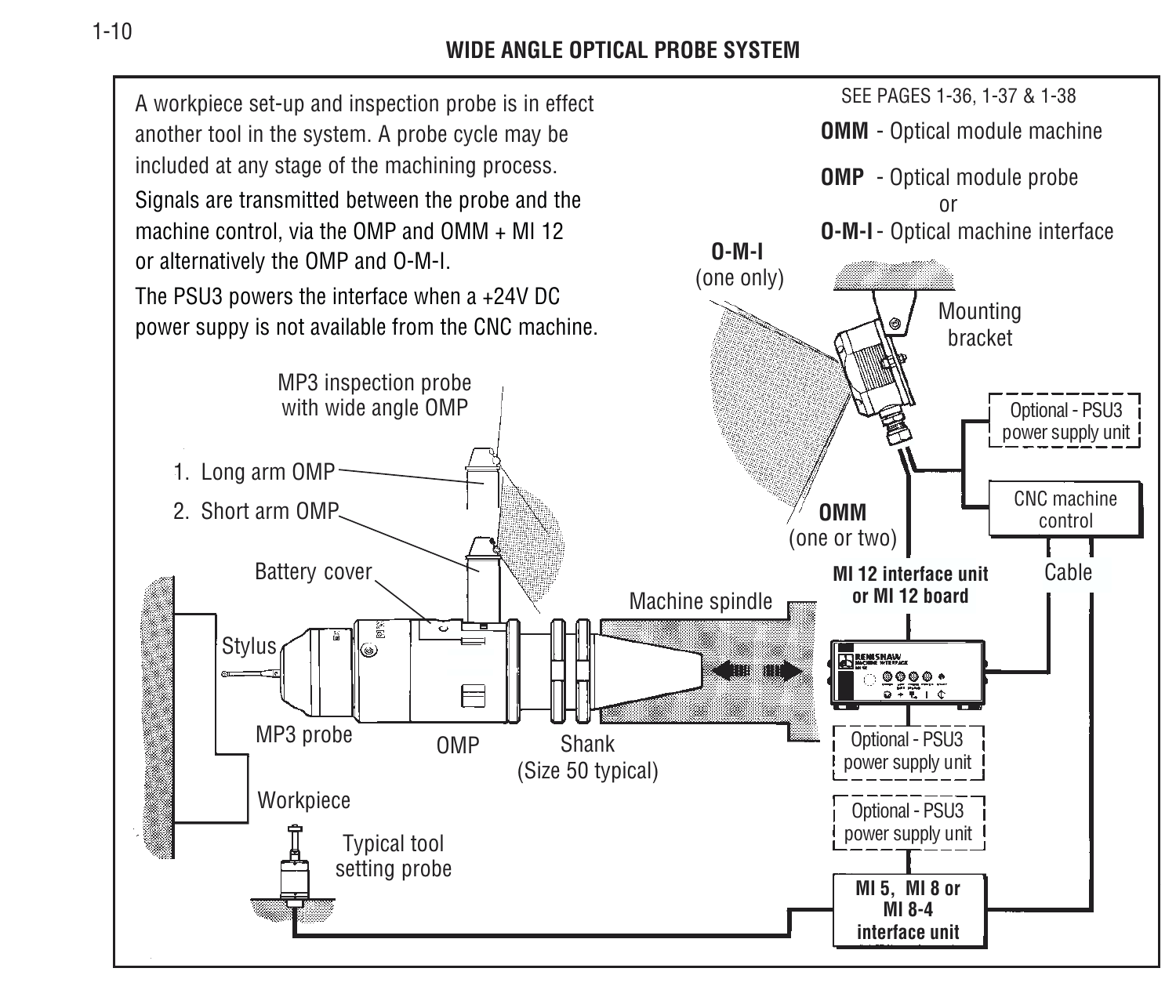#### **WIDE ANGLE OPTICAL PROBE SYSTEM**

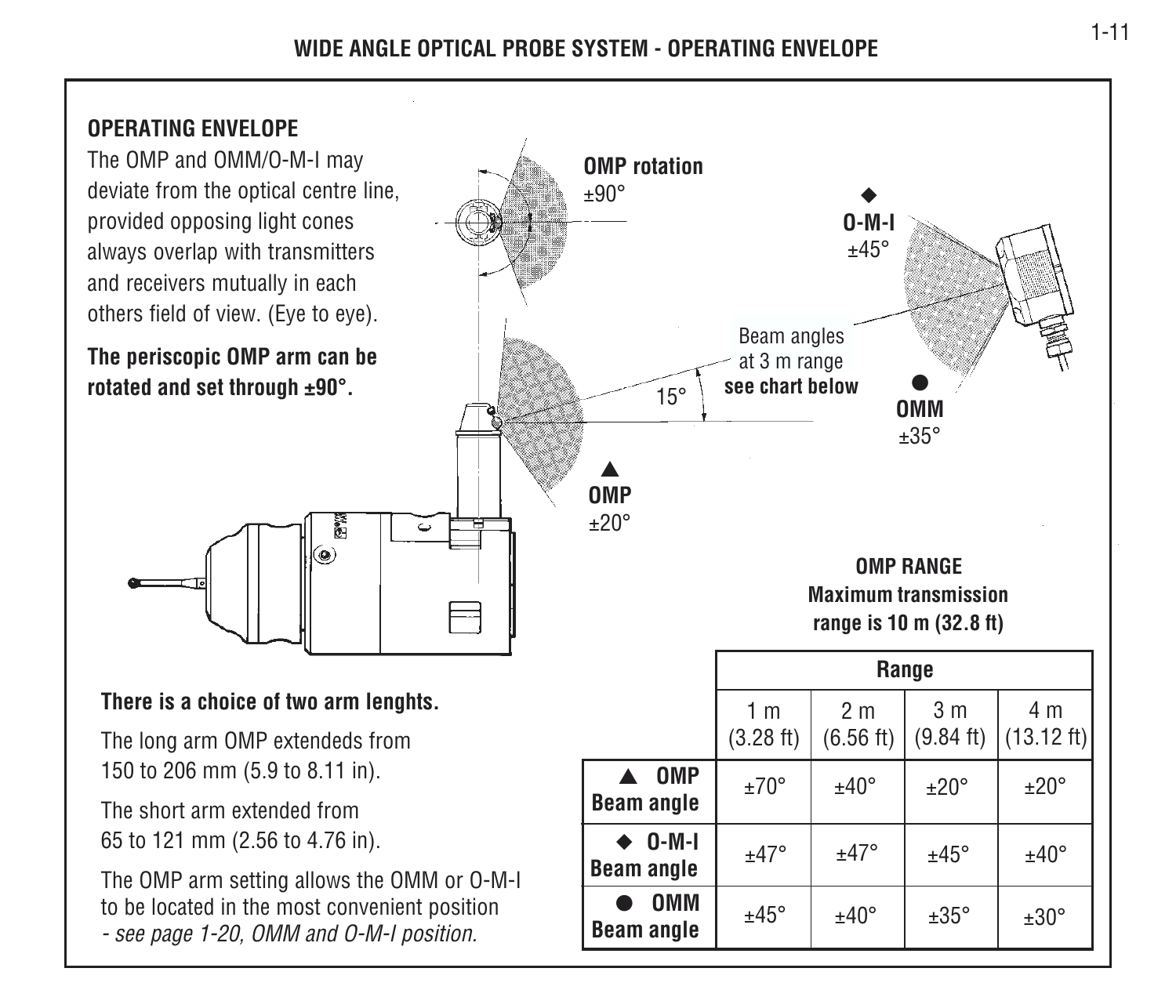#### **WIDE ANGLE OPTICAL PROBE SYSTEM - OPERATING ENVELOPE**

#### **OPERATING ENVELOPE**

The OMP and OMM/O-M-I may deviate from the optical centre line, provided opposing light cones always overlap with transmitters and receivers mutually in each others field of view. (Eye to eye).

**The periscopic OMP arm can be rotated and set through ±90°.**



#### **There is a choice of two arm lenghts.**

The long arm OMP extendeds from 150 to 206 mm (5.9 to 8.11 in).

The short arm extended from65 to 121 mm (2.56 to 4.76 in).

The OMP arm setting allows the OMM or O-M-I to be located in the most convenient position - see page 1-20, OMM and O-M-I position.

**ٰ**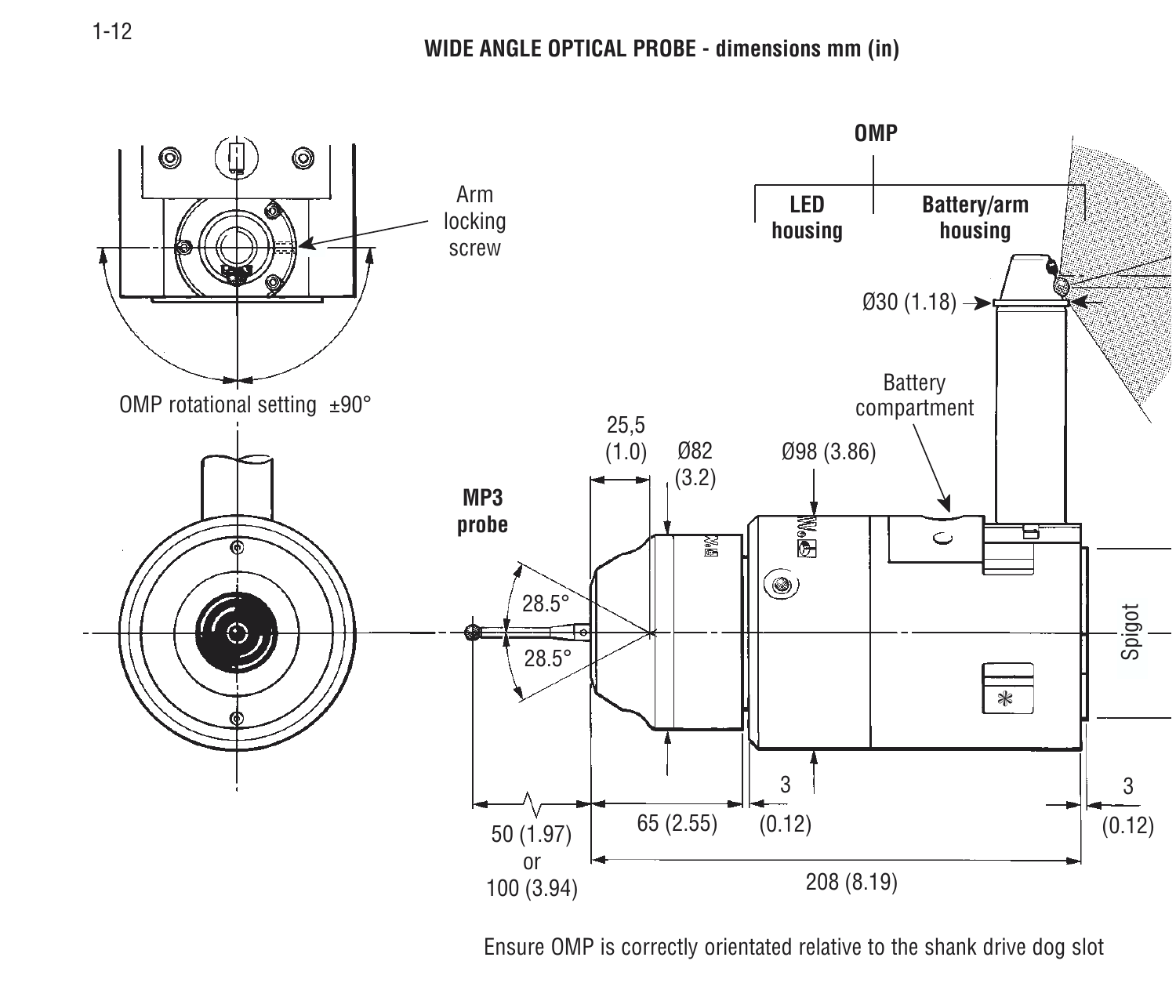

Ensure OMP is correctly orientated relative to the shank drive dog slot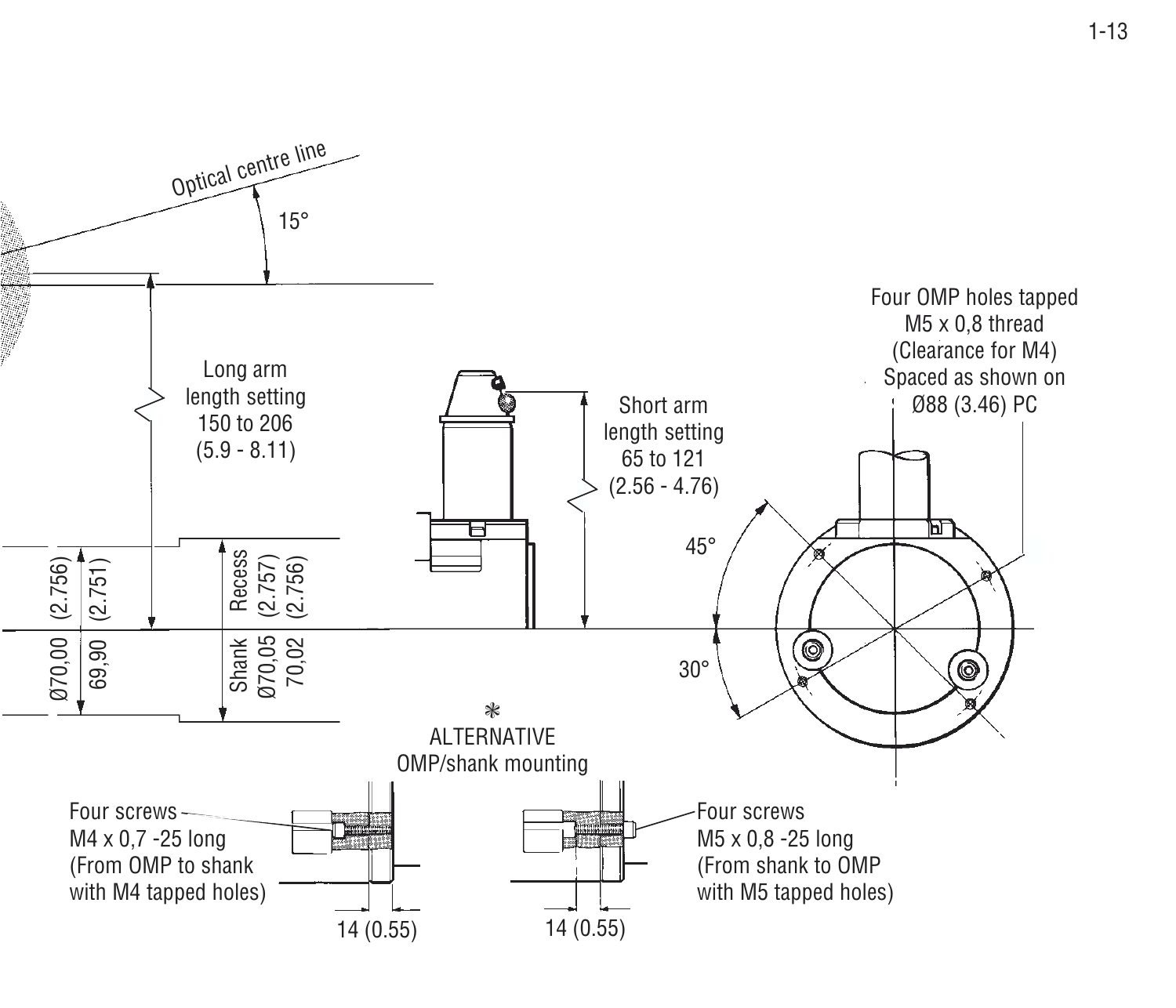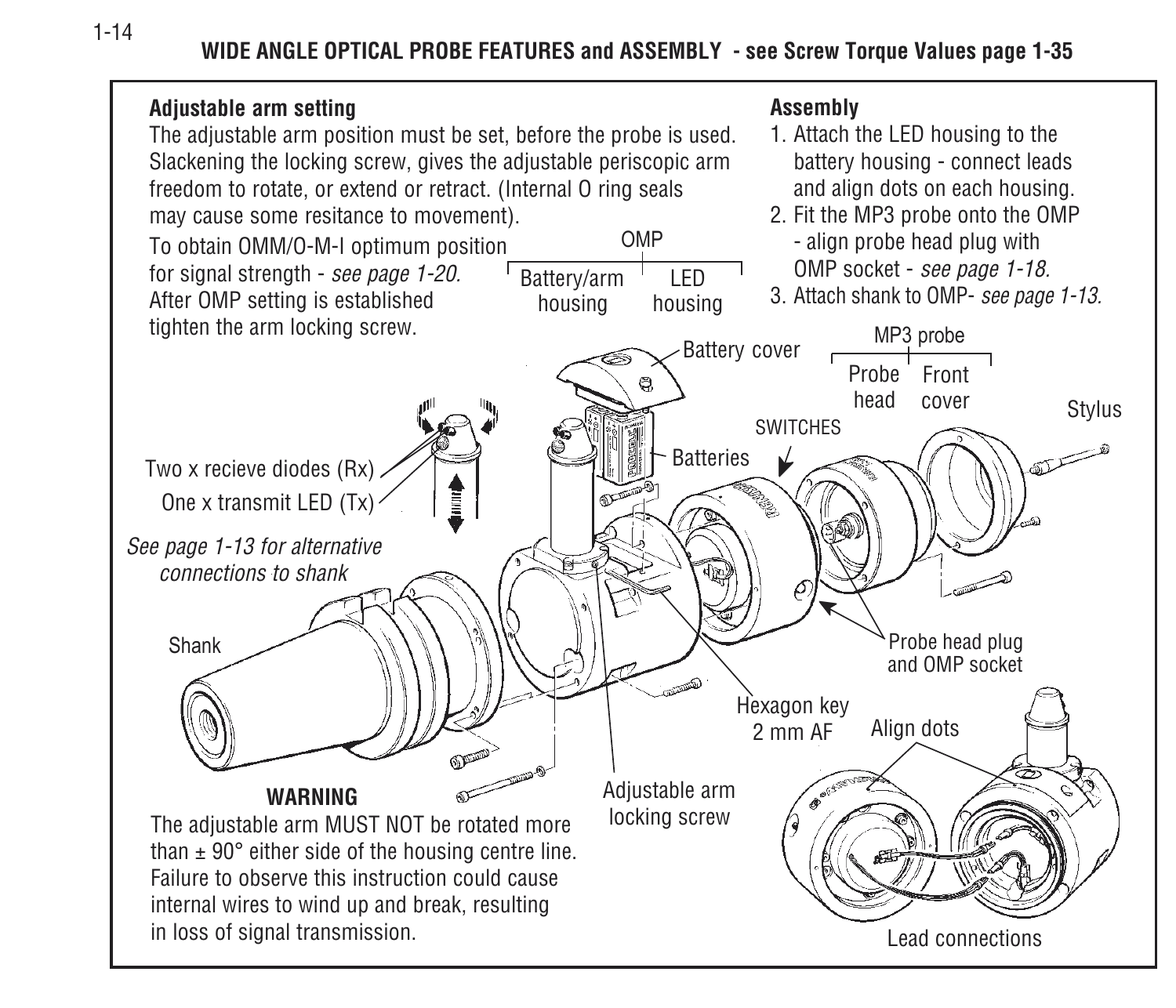**WIDE ANGLE OPTICAL PROBE FEATURES and ASSEMBLY - see Screw Torque Values page 1-35**



1-14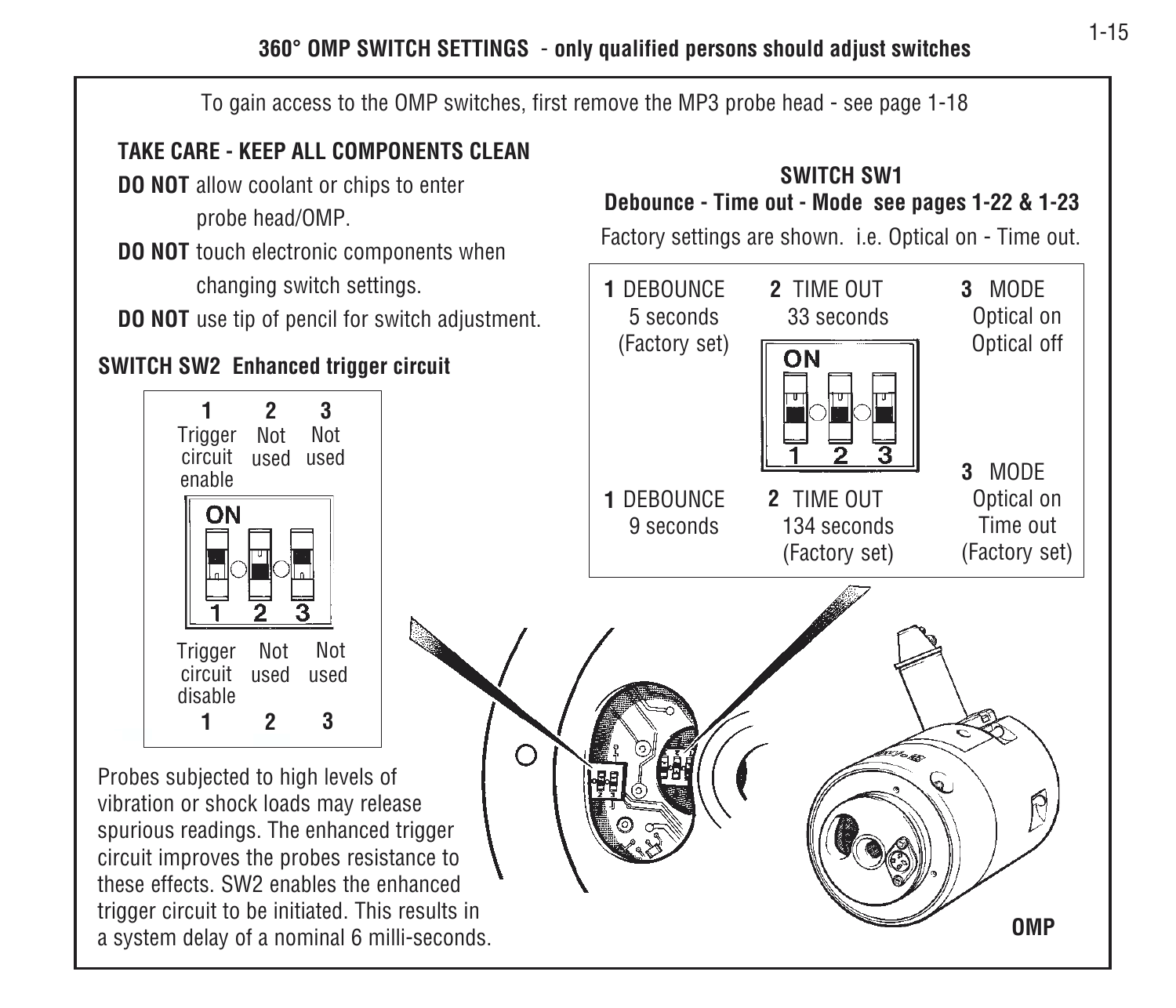**360° OMP SWITCH SETTINGS** - **only qualified persons should adjust switches**

To gain access to the OMP switches, first remove the MP3 probe head - see page 1-18

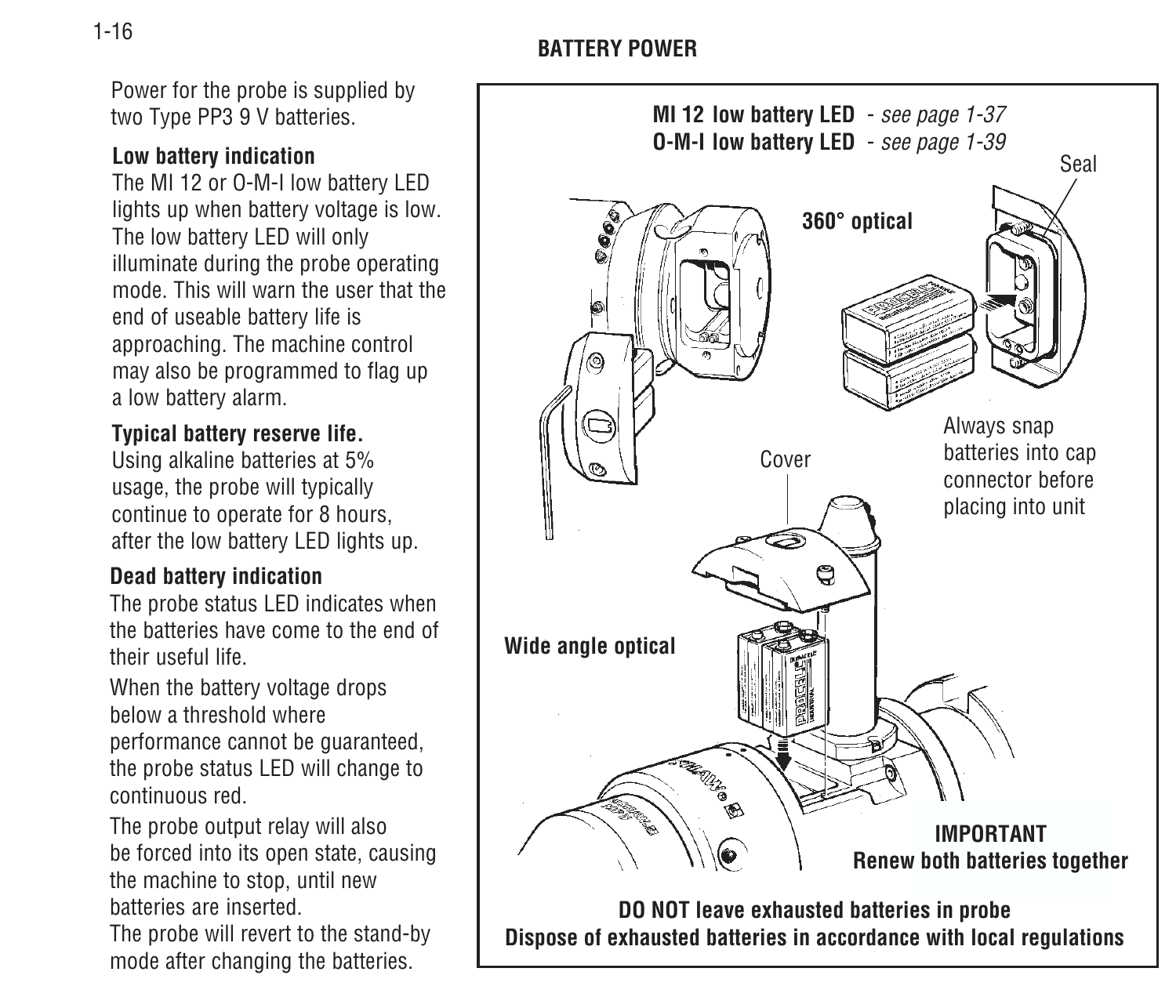Power for the probe is supplied by two Type PP3 9 V batteries.

#### **Low battery indication**

The MI 12 or O-M-I low battery LED lights up when battery voltage is low. The low battery LED will only illuminate during the probe operating mode. This will warn the user that theend of useable battery life is approaching. The machine control may also be programmed to flag up a low battery alarm.

#### **Typical battery reserve life.**

Using alkaline batteries at 5% usage, the probe will typically continue to operate for 8 hours, after the low battery LED lights up.

#### **Dead battery indication**

The probe status LED indicates when the batteries have come to the end oftheir useful life.

When the battery voltage drops below a threshold whereperformance cannot be guaranteed, the probe status LED will change to continuous red.

The probe output relay will also be forced into its open state, causing the machine to stop, until new batteries are inserted.

The probe will revert to the stand-by mode after changing the batteries.

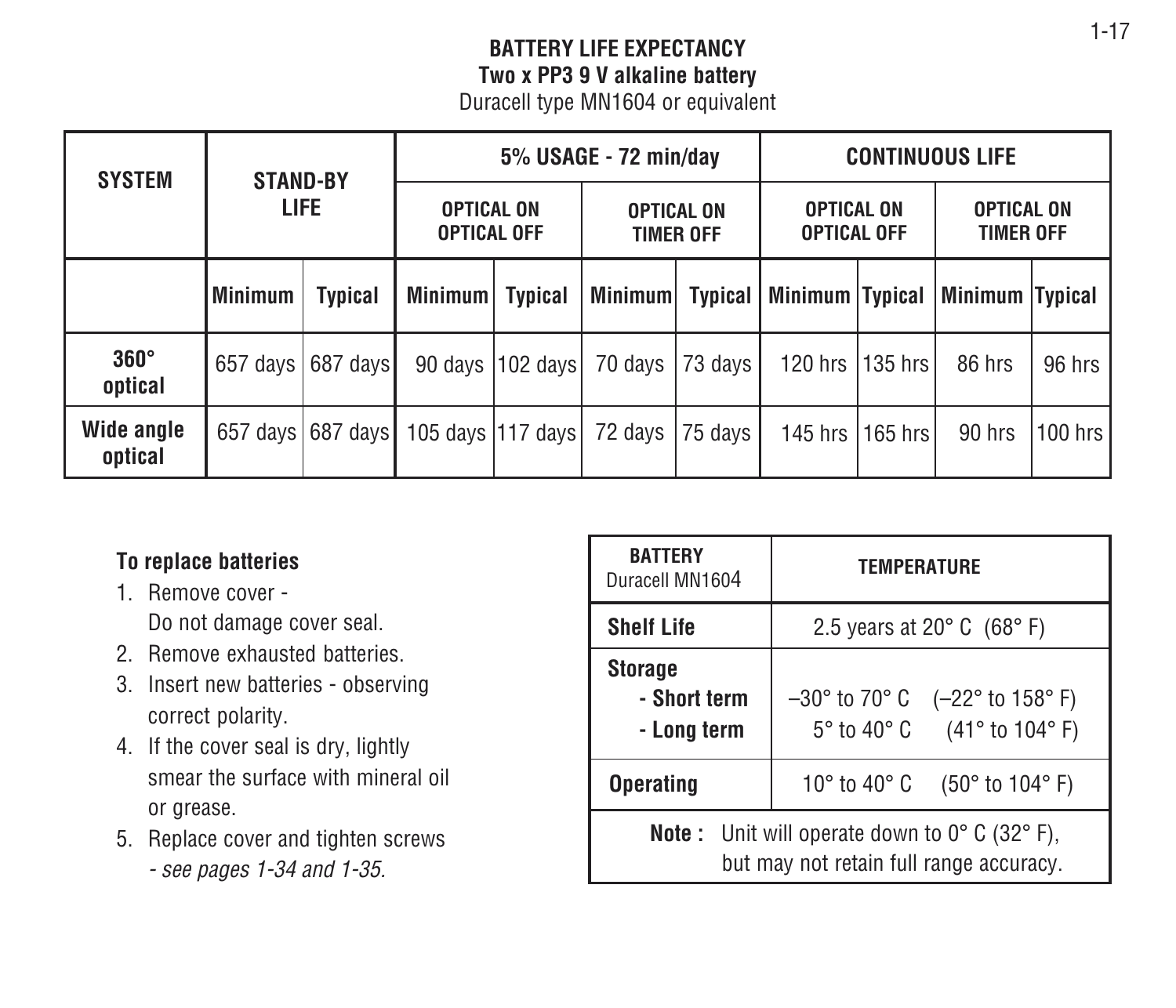#### **BATTERY LIFE EXPECTANCYTwo x PP3 9 V alkaline battery** Duracell type MN1604 or equivalent

| <b>SYSTEM</b>          | <b>STAND-BY</b><br><b>LIFE</b> |                     | 5% USAGE - 72 min/day                   |                     |                                       | <b>CONTINUOUS LIFE</b> |                                         |         |                                       |         |
|------------------------|--------------------------------|---------------------|-----------------------------------------|---------------------|---------------------------------------|------------------------|-----------------------------------------|---------|---------------------------------------|---------|
|                        |                                |                     | <b>OPTICAL ON</b><br><b>OPTICAL OFF</b> |                     | <b>OPTICAL ON</b><br><b>TIMER OFF</b> |                        | <b>OPTICAL ON</b><br><b>OPTICAL OFF</b> |         | <b>OPTICAL ON</b><br><b>TIMER OFF</b> |         |
|                        | Minimum                        | Typical             | <b>Minimum</b>                          | <b>Typical</b>      | <b>Minimum</b>                        | <b>Typical</b>         | Minimum   Typical                       |         | Minimum Typical                       |         |
| $360^\circ$<br>optical | 657 days I                     | 687 days            | 90 days                                 | 102 davsl           | 70 days                               | 73 days l              | 120 hrs                                 | 135 hrs | 86 hrs                                | 96 hrs  |
| Wide angle<br>optical  |                                | 657 days 687 days I |                                         | 105 days   117 days | 72 days                               | 75 days                | 145 hrs                                 | 165 hrs | 90 hrs                                | 100 hrs |

#### **To replace batteries**

- 1. Remove cover -Do not damage cover seal.
- 2. Remove exhausted batteries.
- 3. Insert new batteries observing correct polarity.
- 4. If the cover seal is dry, lightly smear the surface with mineral oilor grease.
- 5. Replace cover and tighten screws - see pages 1-34 and 1-35.

| <b>BATTERY</b><br>Duracell MN1604                                                                                  | <b>TEMPERATURE</b>                                                                       |  |  |
|--------------------------------------------------------------------------------------------------------------------|------------------------------------------------------------------------------------------|--|--|
| <b>Shelf Life</b>                                                                                                  | 2.5 years at 20 $^{\circ}$ C (68 $^{\circ}$ F)                                           |  |  |
| <b>Storage</b><br>- Short term<br>- Long term                                                                      | $-30^{\circ}$ to 70° C $(-22^{\circ}$ to 158° F)<br>$5^{\circ}$ to 40° C (41° to 104° F) |  |  |
| <b>Operating</b>                                                                                                   | 10° to 40° C<br>$(50^{\circ}$ to 104 $^{\circ}$ F)                                       |  |  |
| <b>Note:</b> Unit will operate down to $0^{\circ}$ C (32 $^{\circ}$ F),<br>but may not retain full range accuracy. |                                                                                          |  |  |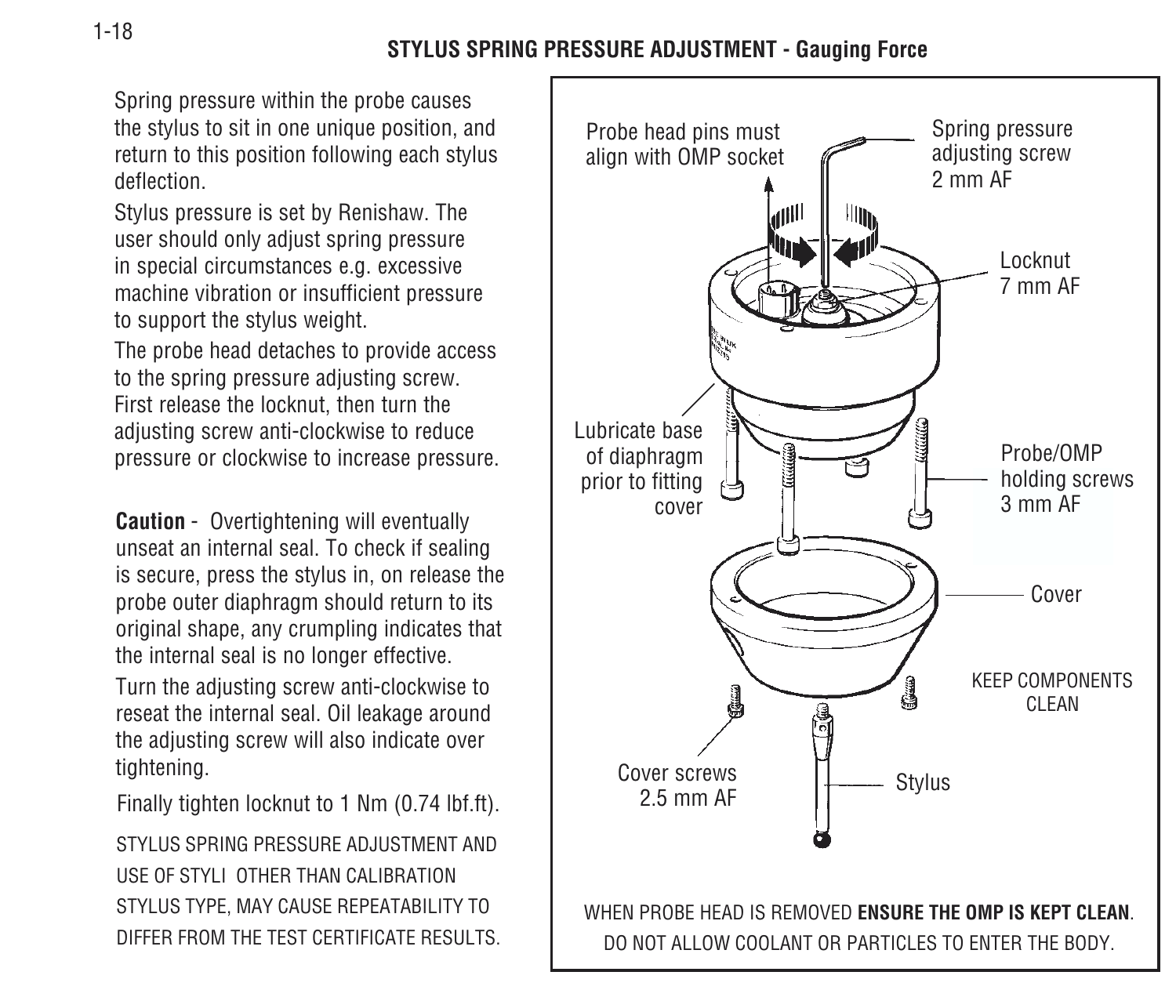Spring pressure within the probe causes the stylus to sit in one unique position, and return to this position following each stylus deflection.

Stylus pressure is set by Renishaw. The user should only adjust spring pressure in special circumstances e.g. excessive machine vibration or insufficient pressure to support the stylus weight.

The probe head detaches to provide access to the spring pressure adjusting screw. First release the locknut, then turn the adjusting screw anti-clockwise to reduce pressure or clockwise to increase pressure.

**Caution** - Overtightening will eventually unseat an internal seal. To check if sealing is secure, press the stylus in, on release the probe outer diaphragm should return to its original shape, any crumpling indicates that the internal seal is no longer effective.

Turn the adjusting screw anti-clockwise to reseat the internal seal. Oil leakage around the adjusting screw will also indicate over tightening.

Finally tighten locknut to 1 Nm (0.74 lbf.ft).

STYLUS SPRING PRESSURE ADJUSTMENT AND USE OF STYLI OTHER THAN CALIBRATIONSTYLUS TYPE, MAY CAUSE REPEATABILITY TO DIFFER FROM THE TEST CERTIFICATE RESULTS.

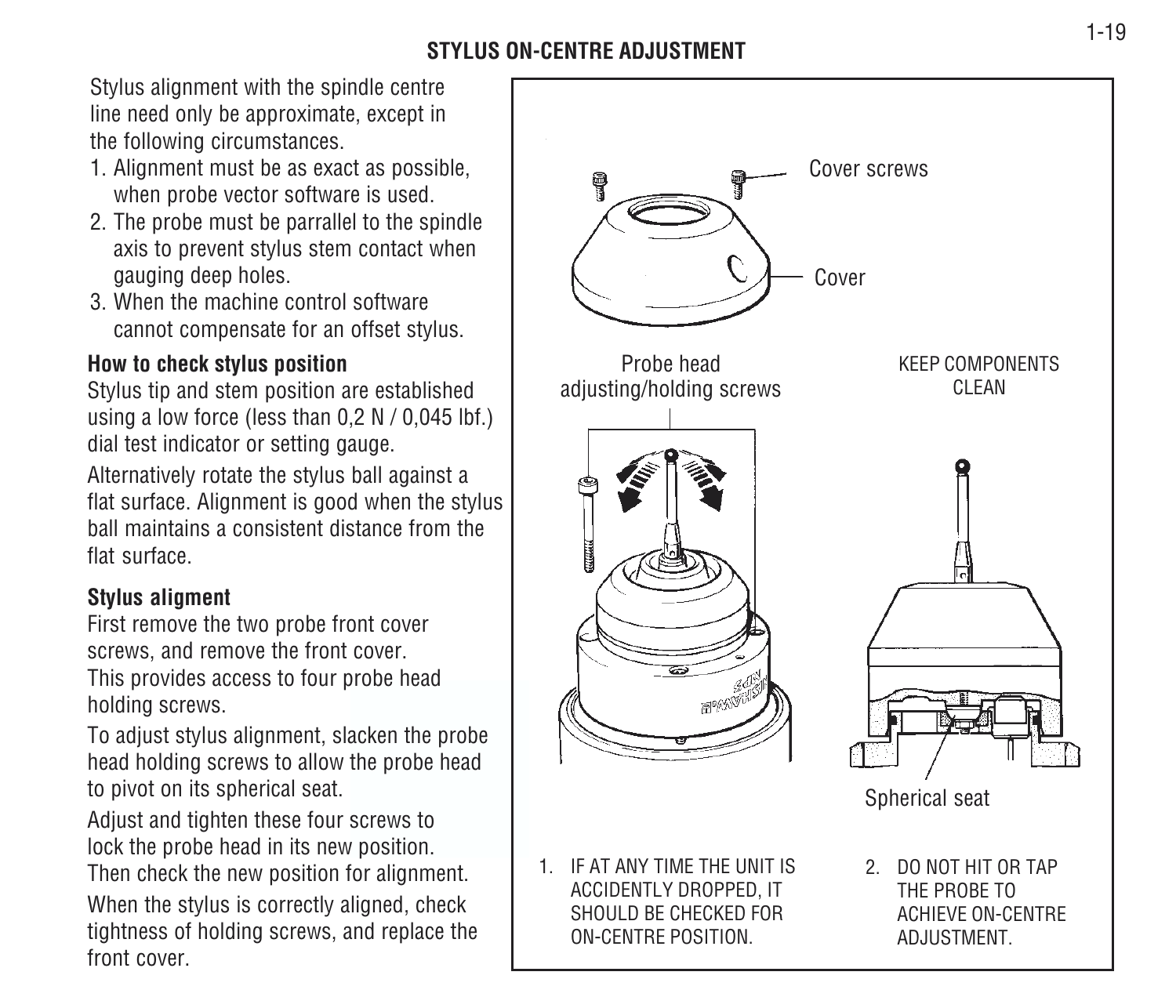#### **STYLUS ON-CENTRE ADJUSTMENT**

Stylus alignment with the spindle centre line need only be approximate, except in the following circumstances.

- 1. Alignment must be as exact as possible, when probe vector software is used.
- 2. The probe must be parrallel to the spindle axis to prevent stylus stem contact when gauging deep holes.
- 3. When the machine control softwarecannot compensate for an offset stylus.

#### **How to check stylus position**

Stylus tip and stem position are established using a low force (less than 0,2 N / 0,045 lbf.) dial test indicator or setting gauge.

Alternatively rotate the stylus ball against a flat surface. Alignment is good when the stylus ball maintains a consistent distance from theflat surface.

#### **Stylus aligment**

First remove the two probe front cover screws, and remove the front cover. This provides access to four probe head holding screws.

To adjust stylus alignment, slacken the probe head holding screws to allow the probe head to pivot on its spherical seat.

Adjust and tighten these four screws to lock the probe head in its new position.

Then check the new position for alignment. When the stylus is correctly aligned, check tightness of holding screws, and replace the front cover.

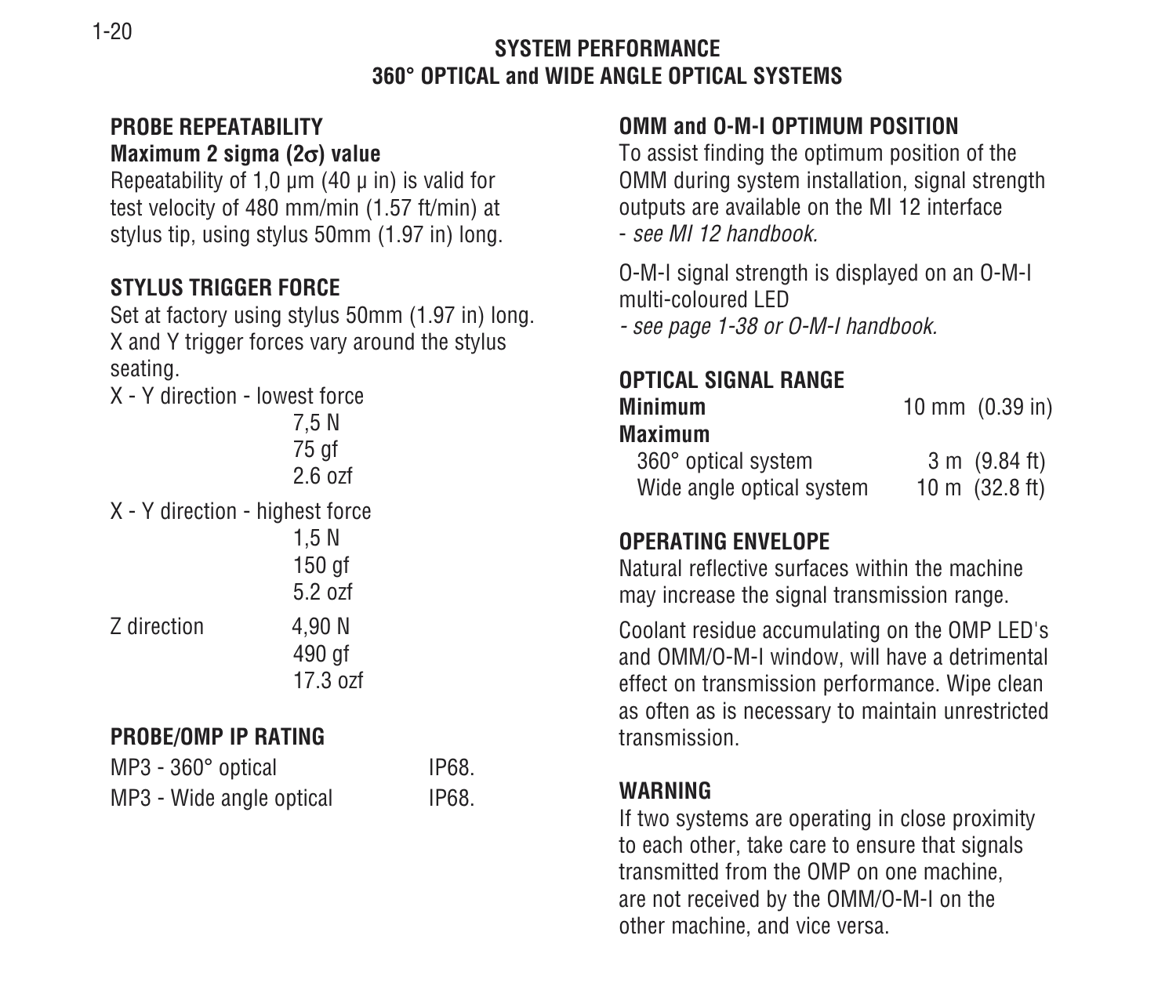#### **SYSTEM PERFORMANCE360° OPTICAL and WIDE ANGLE OPTICAL SYSTEMS**

#### **PROBE REPEATABILITYMaximum 2 sigma (2** <sup>σ</sup>**) value**

Repeatability of 1,0  $\mu$ m (40  $\mu$  in) is valid for test velocity of 480 mm/min (1.57 ft/min) at stylus tip, using stylus 50mm (1.97 in) long.

#### **STYLUS TRIGGER FORCE**

Set at factory using stylus 50mm (1.97 in) long. X and Y trigger forces vary around the stylus seating.

X - Y direction - lowest force7,5 N 75 gf 2.6 ozfX - Y direction - highest force 1,5 N 150 gf 5.2 ozfZ direction 4.90 N 490 gf 17.3 ozf

#### **PROBE/OMP IP RATING**

| MP3 - 360° optical       | IP68. |
|--------------------------|-------|
| MP3 - Wide angle optical | IP68. |

#### **OMM and O-M-I OPTIMUM POSITION**

To assist finding the optimum position of the OMM during system installation, signal strength outputs are available on the MI 12 interface - see MI 12 handbook.

O-M-I signal strength is displayed on an O-M-I multi-coloured LED- see page 1-38 or O-M-I handbook.

#### **OPTICAL SIGNAL RANGE**

| Minimum                   | 10 mm $(0.39 \text{ in})$ |
|---------------------------|---------------------------|
| Maximum                   |                           |
| 360° optical system       | $3 \text{ m}$ (9.84 ft)   |
| Wide angle optical system | 10 m $(32.8 \text{ ft})$  |

#### **OPERATING ENVELOPE**

Natural reflective surfaces within the machinemay increase the signal transmission range.

Coolant residue accumulating on the OMP LED's and OMM/O-M-I window, will have a detrimental effect on transmission performance. Wipe clean as often as is necessary to maintain unrestricted transmission.

#### **WARNING**

If two systems are operating in close proximity to each other, take care to ensure that signals transmitted from the OMP on one machine, are not received by the OMM/O-M-I on the other machine, and vice versa.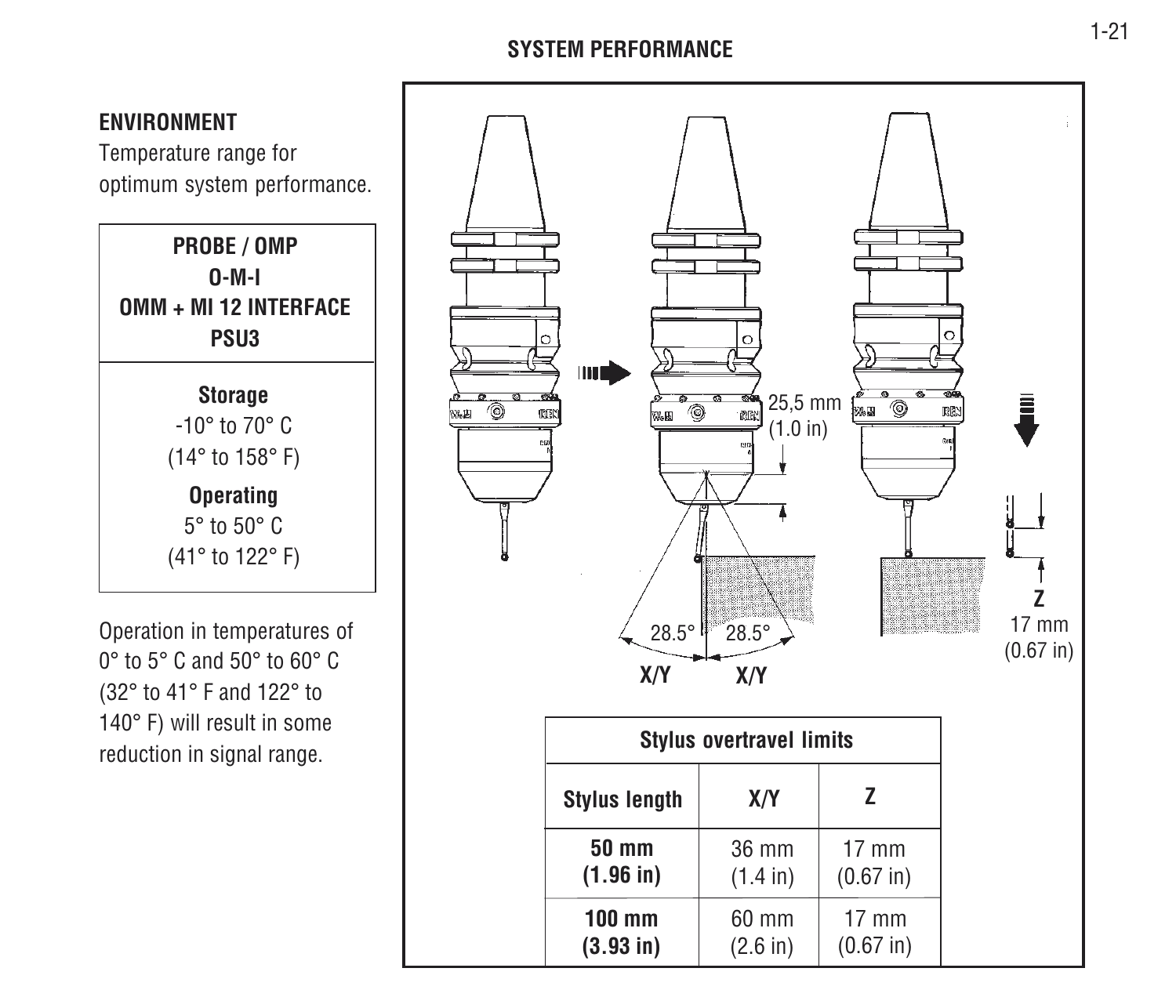#### **SYSTEM PERFORMANCE**

#### **ENVIRONMENT**

Temperature range for optimum system performance.



Operation in temperatures of 0° to 5° C and 50° to 60° C(32° to 41° F and 122° to 140° F) will result in some reduction in signal range.

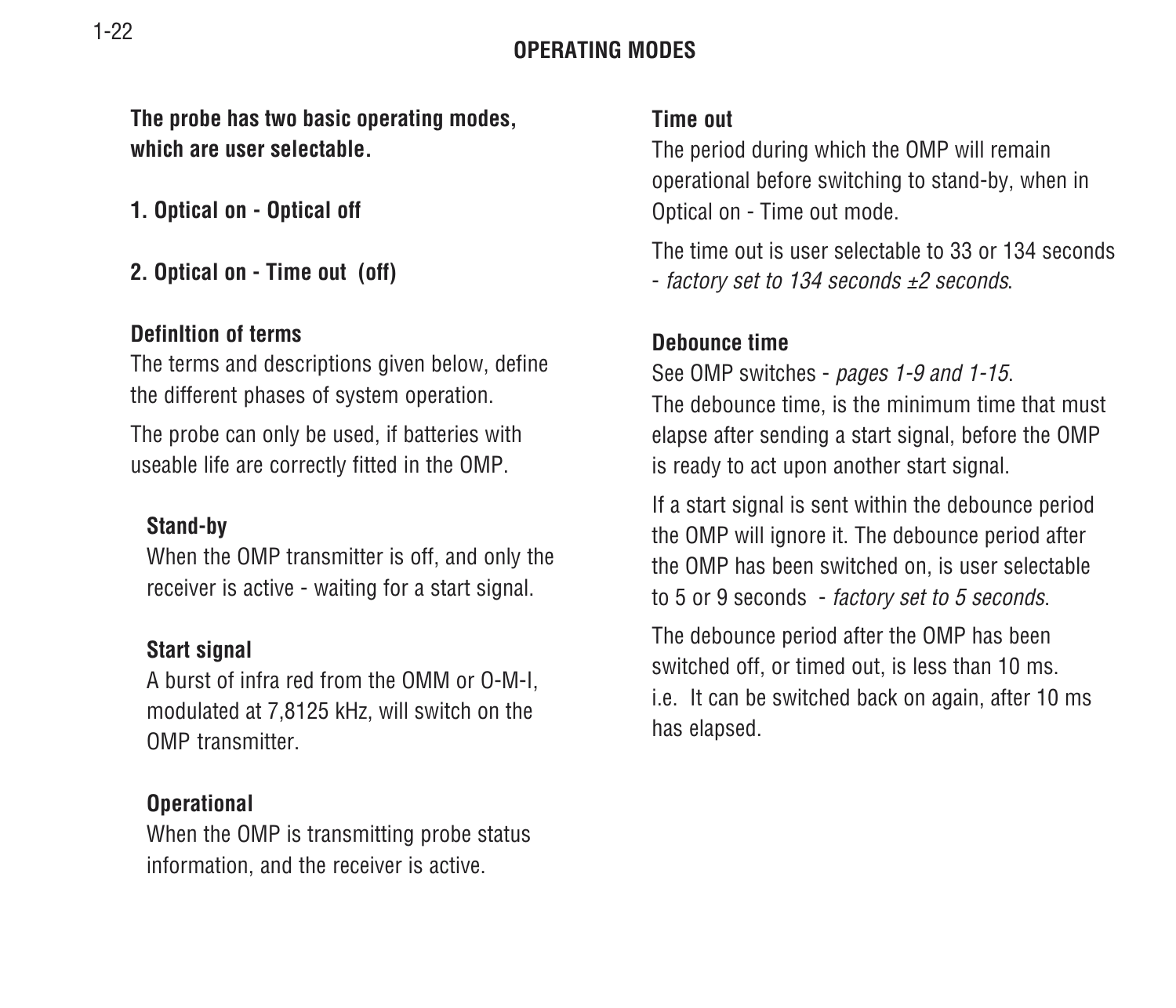#### **OPERATING MODES**

**The probe has two basic operating modes, which are user selectable.**

**1. Optical on - Optical off**

**2. Optical on - Time out (off)**

#### **DefinItion of terms**

The terms and descriptions given below, define the different phases of system operation.

The probe can only be used, if batteries with useable life are correctly fitted in the OMP.

#### **Stand-by**

When the OMP transmitter is off, and only the receiver is active - waiting for a start signal.

#### **Start signal**

A burst of infra red from the OMM or O-M-I, modulated at 7,8125 kHz, will switch on the OMP transmitter.

#### **Operational**

When the OMP is transmitting probe status information, and the receiver is active.

#### **Time out**

The period during which the OMP will remain operational before switching to stand-by, when in Optical on - Time out mode.

The time out is user selectable to 33 or 134 seconds- factory set to 134 seconds ±2 seconds.

#### **Debounce time**

See OMP switches - pages 1-9 and 1-15. The debounce time, is the minimum time that must elapse after sending a start signal, before the OMP is ready to act upon another start signal.

If a start signal is sent within the debounce period the OMP will ignore it. The debounce period after the OMP has been switched on, is user selectable to 5 or 9 seconds - factory set to 5 seconds.

The debounce period after the OMP has been switched off, or timed out, is less than 10 ms. i.e. It can be switched back on again, after 10 ms has elapsed.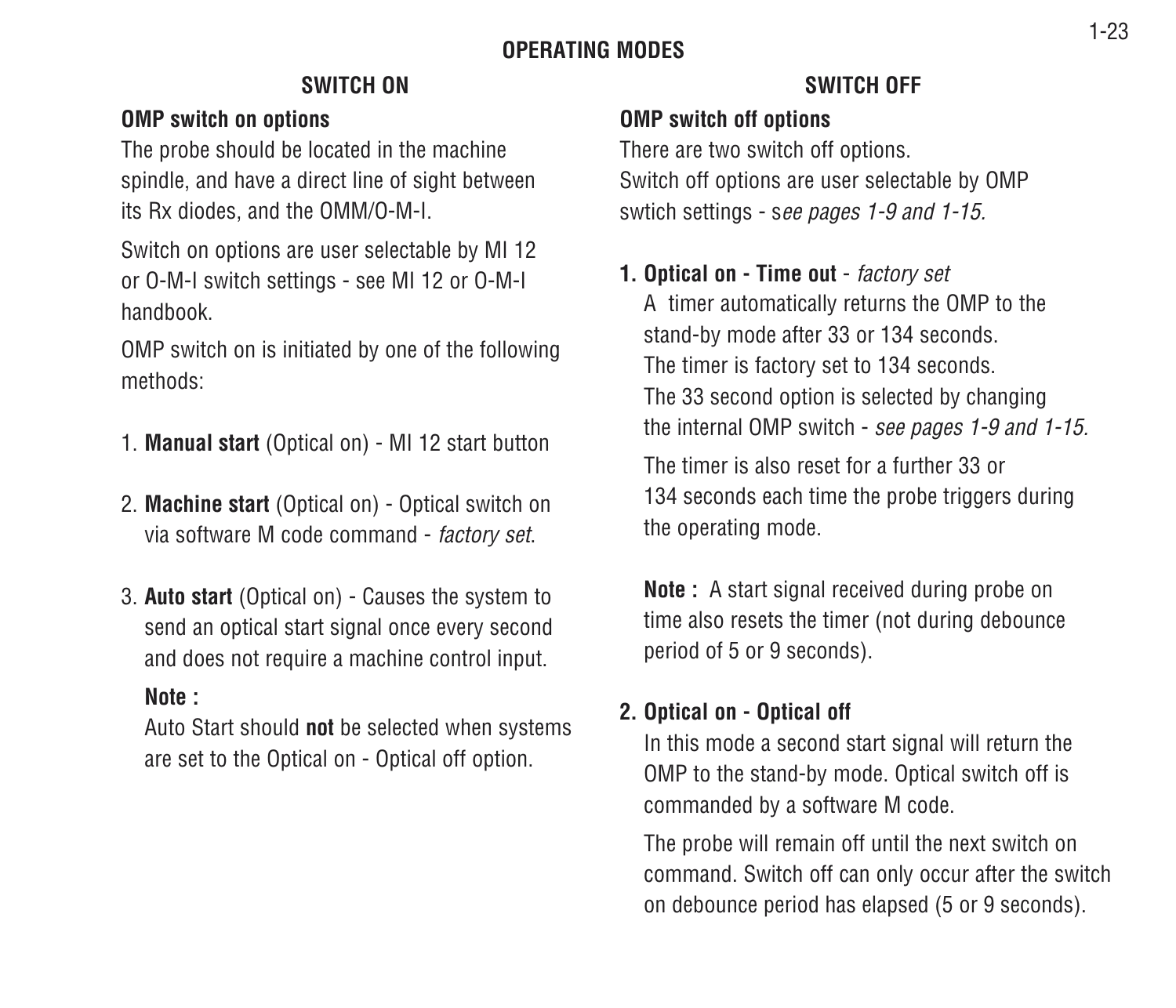#### **OPERATING MODES**

#### **OMP switch on options**

The probe should be located in the machine spindle, and have a direct line of sight between its Rx diodes, and the OMM/O-M-I.

Switch on options are user selectable by MI 12 or O-M-I switch settings - see MI 12 or O-M-I handbook.

OMP switch on is initiated by one of the following methods:

- 1. **Manual start** (Optical on) MI 12 start button
- 2. **Machine start** (Optical on) Optical switch on via software M code command - factory set.
- 3. **Auto start** (Optical on) Causes the system to send an optical start signal once every second and does not require a machine control input.

#### **Note :**

Auto Start should **not** be selected when systems are set to the Optical on - Optical off option.

#### **SWITCH ON SWITCH OFF**

#### **OMP switch off options**

There are two switch off options. Switch off options are user selectable by OMP swtich settings - see pages 1-9 and 1-15.

#### **1. Optical on - Time out** - factory set

A timer automatically returns the OMP to the stand-by mode after 33 or 134 seconds. The timer is factory set to 134 seconds. The 33 second option is selected by changing the internal OMP switch - see pages 1-9 and 1-15.

The timer is also reset for a further 33 or134 seconds each time the probe triggers during the operating mode.

**Note**: A start signal received during probe on time also resets the timer (not during debounce period of 5 or 9 seconds).

#### **2. Optical on - Optical off**

In this mode a second start signal will return the OMP to the stand-by mode. Optical switch off is commanded by a software M code.

The probe will remain off until the next switch on command. Switch off can only occur after the switch on debounce period has elapsed (5 or 9 seconds).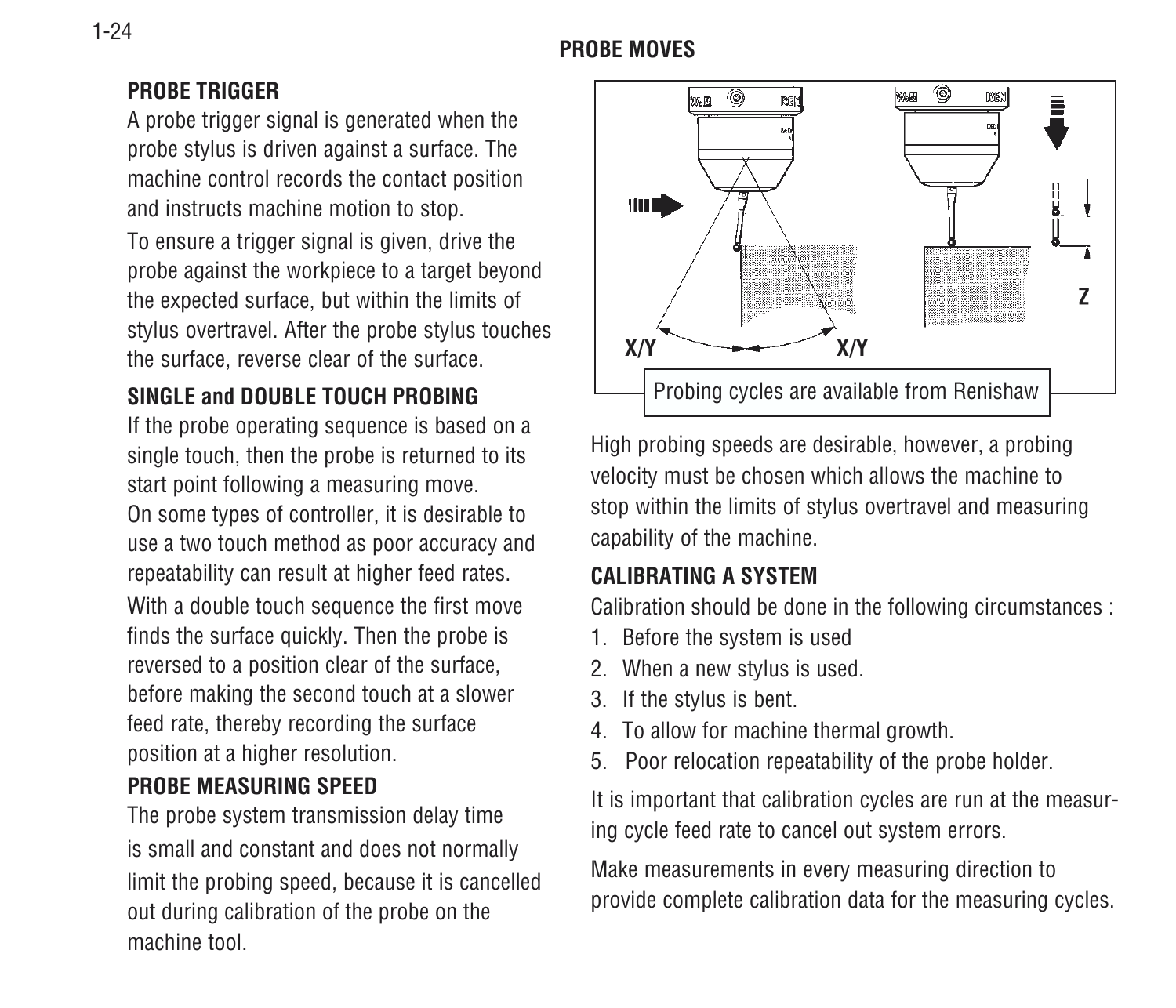#### **PROBE MOVES**

#### **PROBE TRIGGER**

A probe trigger signal is generated when the probe stylus is driven against a surface. The machine control records the contact position and instructs machine motion to stop.

To ensure a trigger signal is given, drive the probe against the workpiece to a target beyond the expected surface, but within the limits of stylus overtravel. After the probe stylus touches the surface, reverse clear of the surface.

#### **SINGLE and DOUBLE TOUCH PROBING**

If the probe operating sequence is based on a single touch, then the probe is returned to its start point following a measuring move. On some types of controller, it is desirable to use a two touch method as poor accuracy and repeatability can result at higher feed rates. With a double touch sequence the first move finds the surface quickly. Then the probe is reversed to a position clear of the surface, before making the second touch at a slower feed rate, thereby recording the surface position at a higher resolution.

#### **PROBE MEASURING SPEED**

The probe system transmission delay time is small and constant and does not normally limit the probing speed, because it is cancelled out during calibration of the probe on the machine tool.



High probing speeds are desirable, however, a probing velocity must be chosen which allows the machine to stop within the limits of stylus overtravel and measuring capability of the machine.

#### **CALIBRATING A SYSTEM**

Calibration should be done in the following circumstances :

- 1. Before the system is used
- 2. When a new stylus is used.
- 3. If the stylus is bent.
- 4. To allow for machine thermal growth.
- 5. Poor relocation repeatability of the probe holder.

It is important that calibration cycles are run at the measuring cycle feed rate to cancel out system errors.

Make measurements in every measuring direction to provide complete calibration data for the measuring cycles.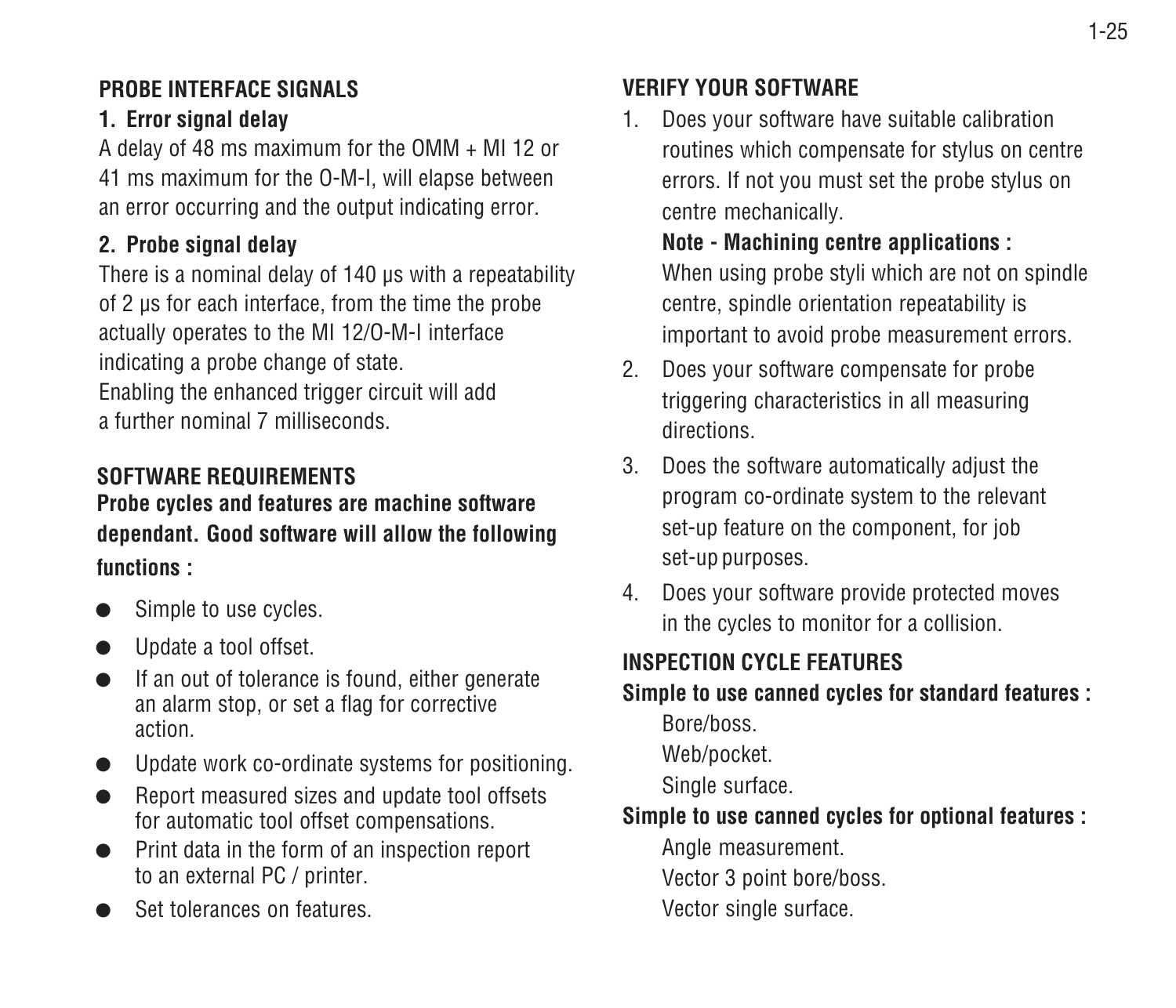#### **PROBE INTERFACE SIGNALS**

#### **1. Error signal delay**

A delay of 48 ms maximum for the OMM + MI 12 or 41 ms maximum for the O-M-I, will elapse between an error occurring and the output indicating error.

#### **2. Probe signal delay**

There is a nominal delay of 140 us with a repeatability of 2 µs for each interface, from the time the probe actually operates to the MI 12/O-M-I interface indicating a probe change of state.

Enabling the enhanced trigger circuit will add a further nominal 7 milliseconds.

#### **SOFTWARE REQUIREMENTS**

**Probe cycles and features are machine software dependant. Good software will allow the following functions :**

- ●Simple to use cycles.
- ●Update a tool offset.
- $\bullet$  If an out of tolerance is found, either generate an alarm stop, or set a flag for corrective action.
- Update work co-ordinate systems for positioning.
- ● Report measured sizes and update tool offsets for automatic tool offset compensations.
- ● Print data in the form of an inspection report to an external PC / printer.
- ●Set tolerances on features.

#### **VERIFY YOUR SOFTWARE**

1. Does your software have suitable calibration routines which compensate for stylus on centre errors. If not you must set the probe stylus on centre mechanically.

**Note - Machining centre applications :** When using probe styli which are not on spindle centre, spindle orientation repeatability is important to avoid probe measurement errors.

- 2. Does your software compensate for probe triggering characteristics in all measuring directions.
- 3. Does the software automatically adjust the program co-ordinate system to the relevant set-up feature on the component, for job set-up purposes.
- 4. Does your software provide protected moves in the cycles to monitor for a collision.

#### **INSPECTION CYCLE FEATURES**

**Simple to use canned cycles for standard features :**

Bore/boss.

Web/pocket.

Single surface.

#### **Simple to use canned cycles for optional features :**

Angle measurement.

Vector 3 point bore/boss.

Vector single surface.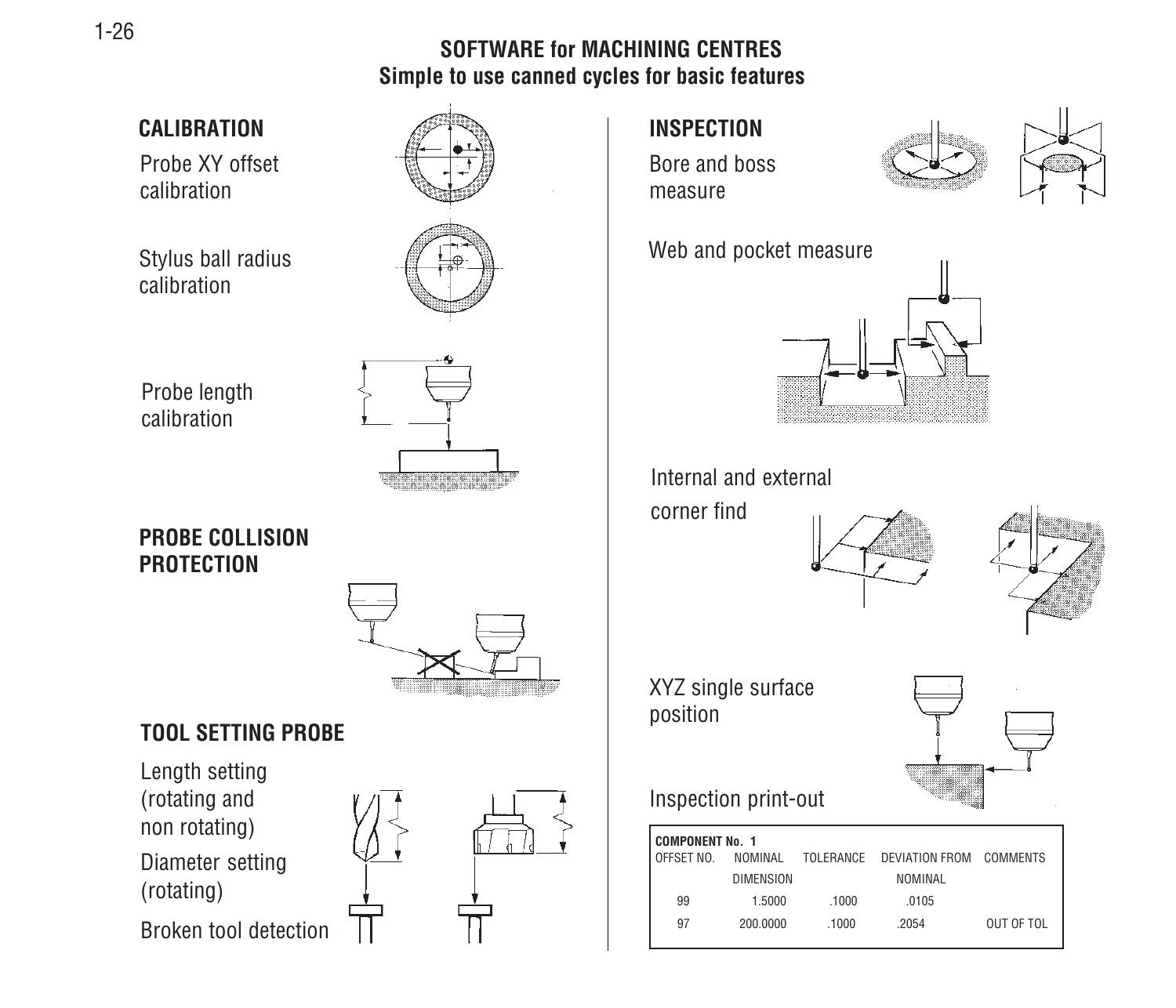#### **SOFTWARE for MACHINING CENTRESSimple to use canned cycles for basic features**



1-26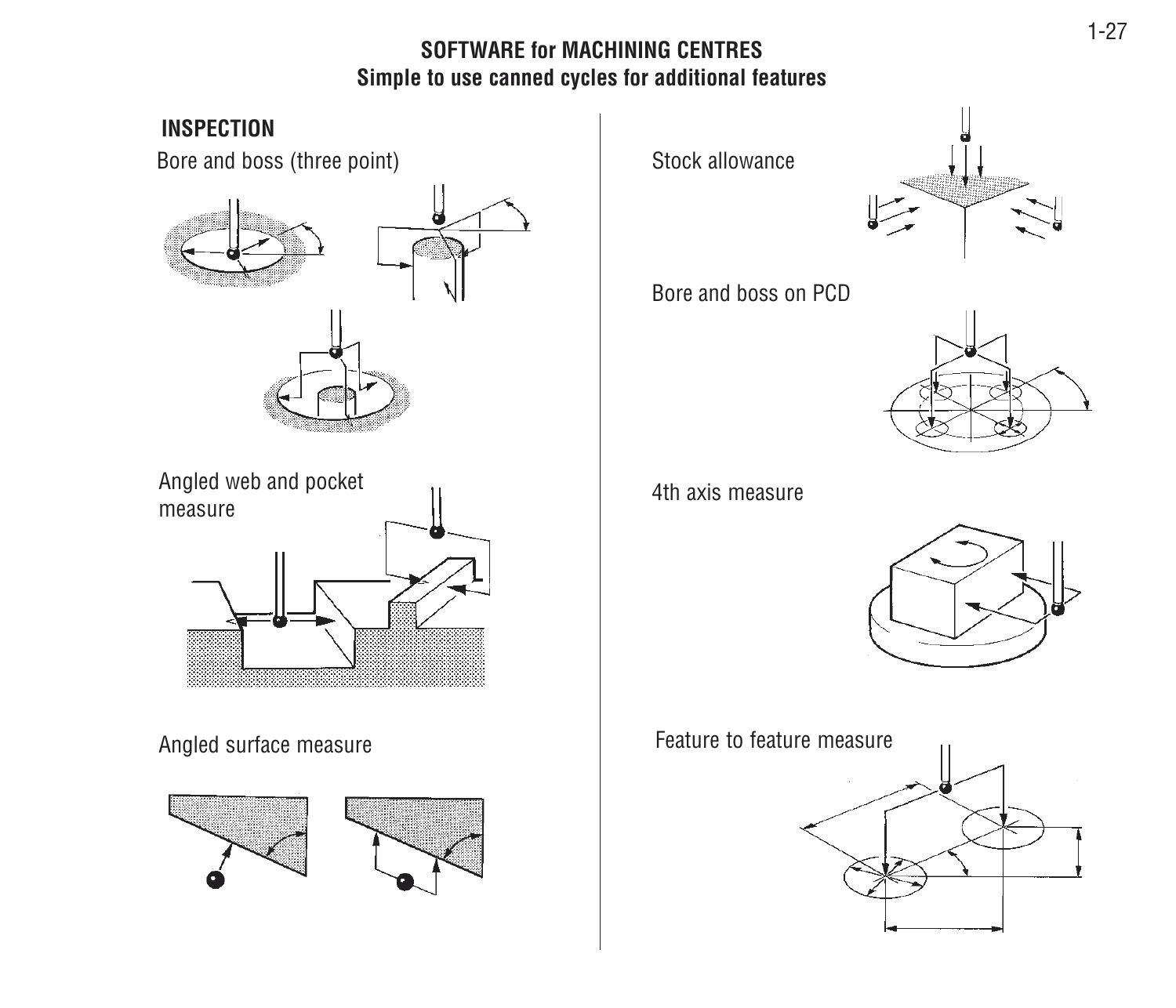#### **SOFTWARE for MACHINING CENTRESSimple to use canned cycles for additional features**

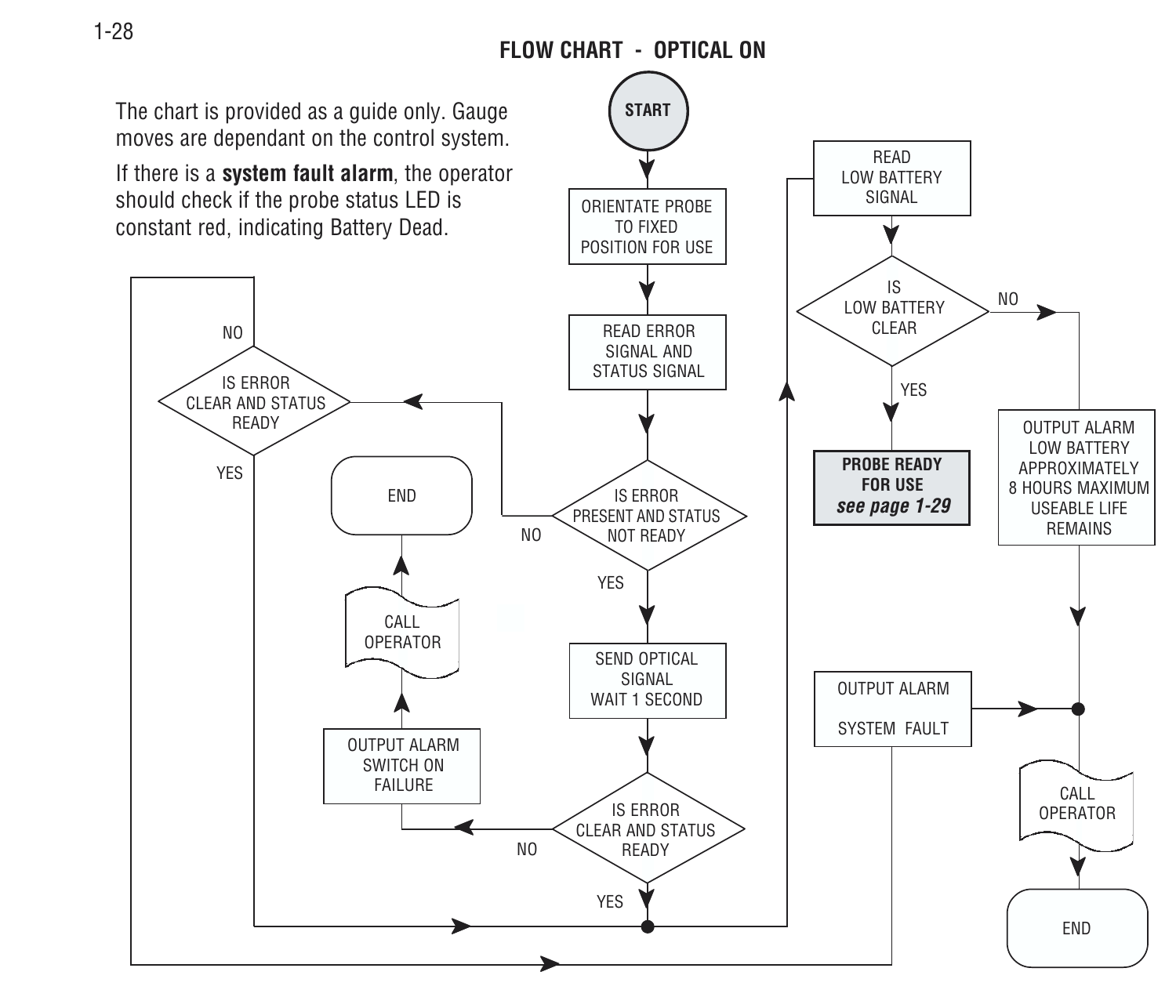#### **FLOW CHART - OPTICAL ON**

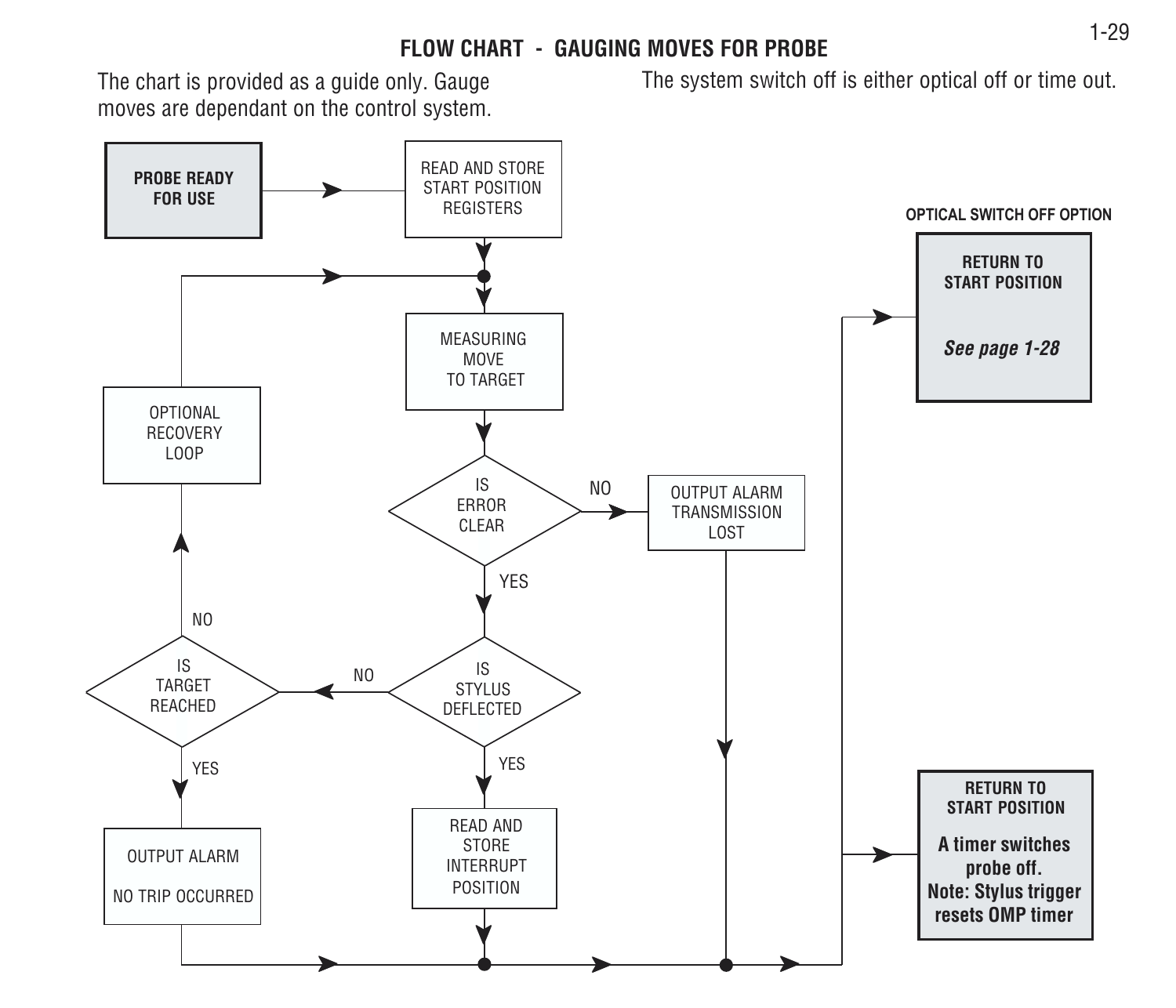#### **FLOW CHART - GAUGING MOVES FOR PROBE**

The chart is provided as a guide only. Gauge moves are dependant on the control system. The system switch off is either optical off or time out.

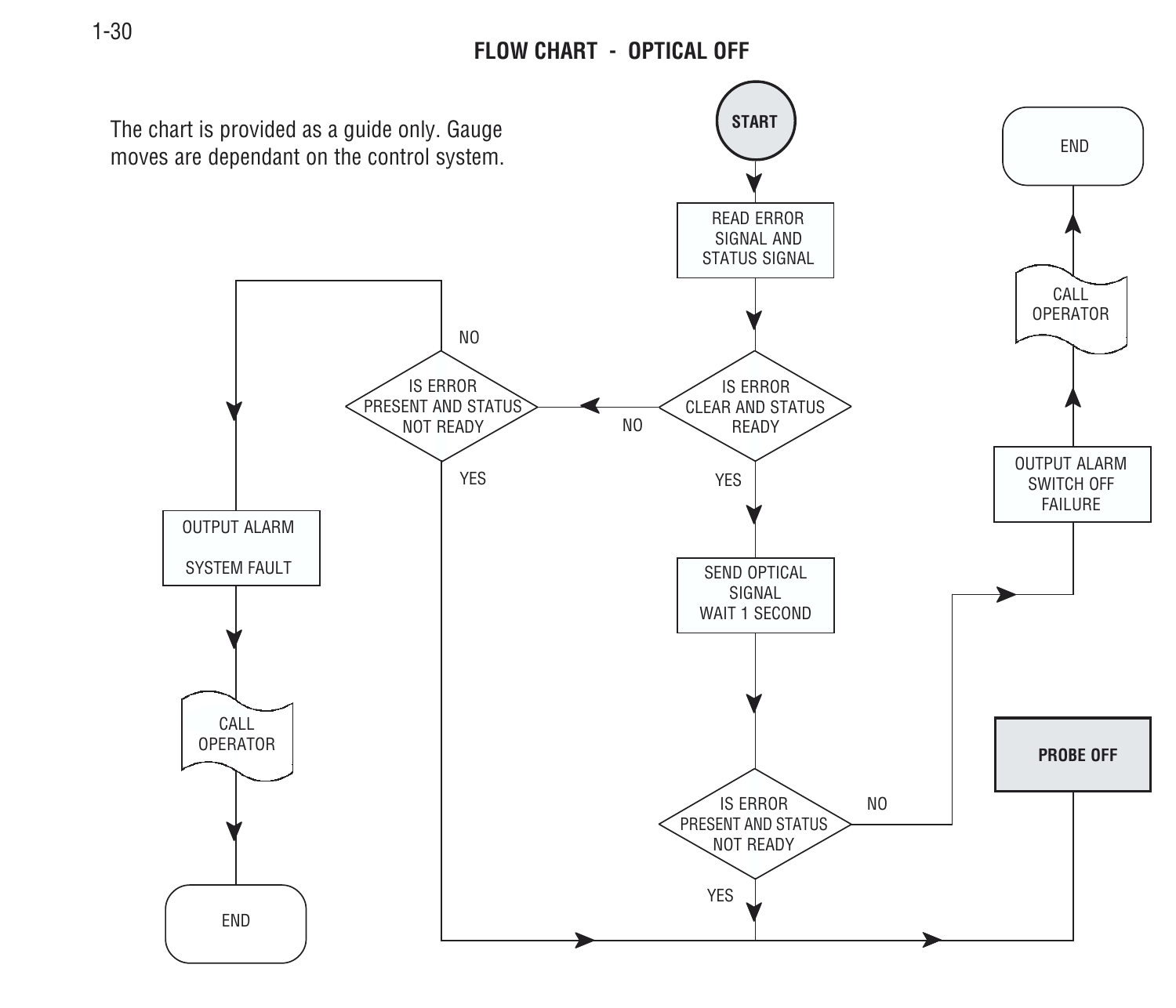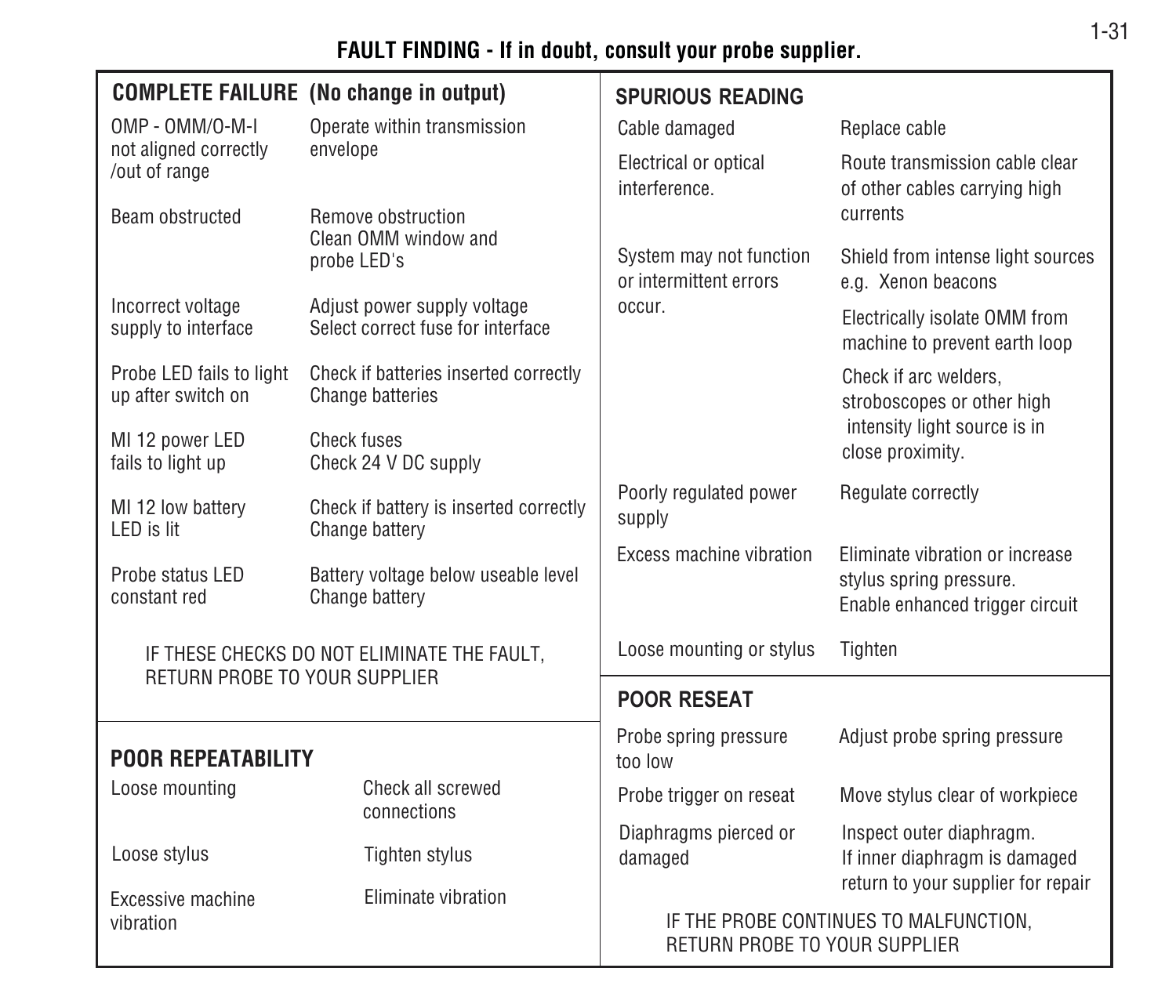### **FAULT FINDING - If in doubt, consult your probe supplier.**

|                                                | <b>COMPLETE FAILURE</b> (No change in output)                    | <b>SPURIOUS READING</b>                                                 |                                                                 |  |
|------------------------------------------------|------------------------------------------------------------------|-------------------------------------------------------------------------|-----------------------------------------------------------------|--|
| OMP - OMM/O-M-I                                | Operate within transmission                                      | Cable damaged                                                           | Replace cable                                                   |  |
| not aligned correctly<br>/out of range         | envelope                                                         | Electrical or optical<br>interference.                                  | Route transmission cable clear<br>of other cables carrying high |  |
| Beam obstructed                                | <b>Remove obstruction</b><br>Clean OMM window and                |                                                                         | currents                                                        |  |
|                                                | probe LED's                                                      | System may not function<br>or intermittent errors                       | Shield from intense light sources<br>e.g. Xenon beacons         |  |
| Incorrect voltage<br>supply to interface       | Adjust power supply voltage<br>Select correct fuse for interface | occur.                                                                  | Electrically isolate OMM from<br>machine to prevent earth loop  |  |
| Probe LED fails to light<br>up after switch on | Check if batteries inserted correctly<br><b>Change batteries</b> |                                                                         | Check if arc welders.<br>stroboscopes or other high             |  |
| MI 12 power LED<br>fails to light up           | Check fuses<br>Check 24 V DC supply                              |                                                                         | intensity light source is in<br>close proximity.                |  |
| MI 12 low battery<br>LED is lit                | Check if battery is inserted correctly<br>Change battery         | Poorly regulated power<br>supply                                        | Regulate correctly                                              |  |
| Probe status LED<br>constant red               | Battery voltage below useable level<br>Change battery            | Excess machine vibration                                                | Fliminate vibration or increase<br>stylus spring pressure.      |  |
|                                                |                                                                  |                                                                         | Enable enhanced trigger circuit                                 |  |
| RETURN PROBE TO YOUR SUPPLIER                  | IF THESE CHECKS DO NOT ELIMINATE THE FAULT.                      | Loose mounting or stylus                                                | Tighten                                                         |  |
|                                                |                                                                  | <b>POOR RESEAT</b>                                                      |                                                                 |  |
| <b>POOR REPEATABILITY</b>                      |                                                                  | Probe spring pressure<br>too low                                        | Adjust probe spring pressure                                    |  |
| Loose mounting                                 | Check all screwed<br>connections                                 | Probe trigger on reseat                                                 | Move stylus clear of workpiece                                  |  |
| Loose stylus                                   | Tighten stylus                                                   | Diaphragms pierced or<br>damaged                                        | Inspect outer diaphragm.<br>If inner diaphragm is damaged       |  |
| Excessive machine                              | Eliminate vibration                                              |                                                                         | return to your supplier for repair                              |  |
| vibration                                      |                                                                  | IF THE PROBE CONTINUES TO MALFUNCTION.<br>RETURN PROBE TO YOUR SUPPLIER |                                                                 |  |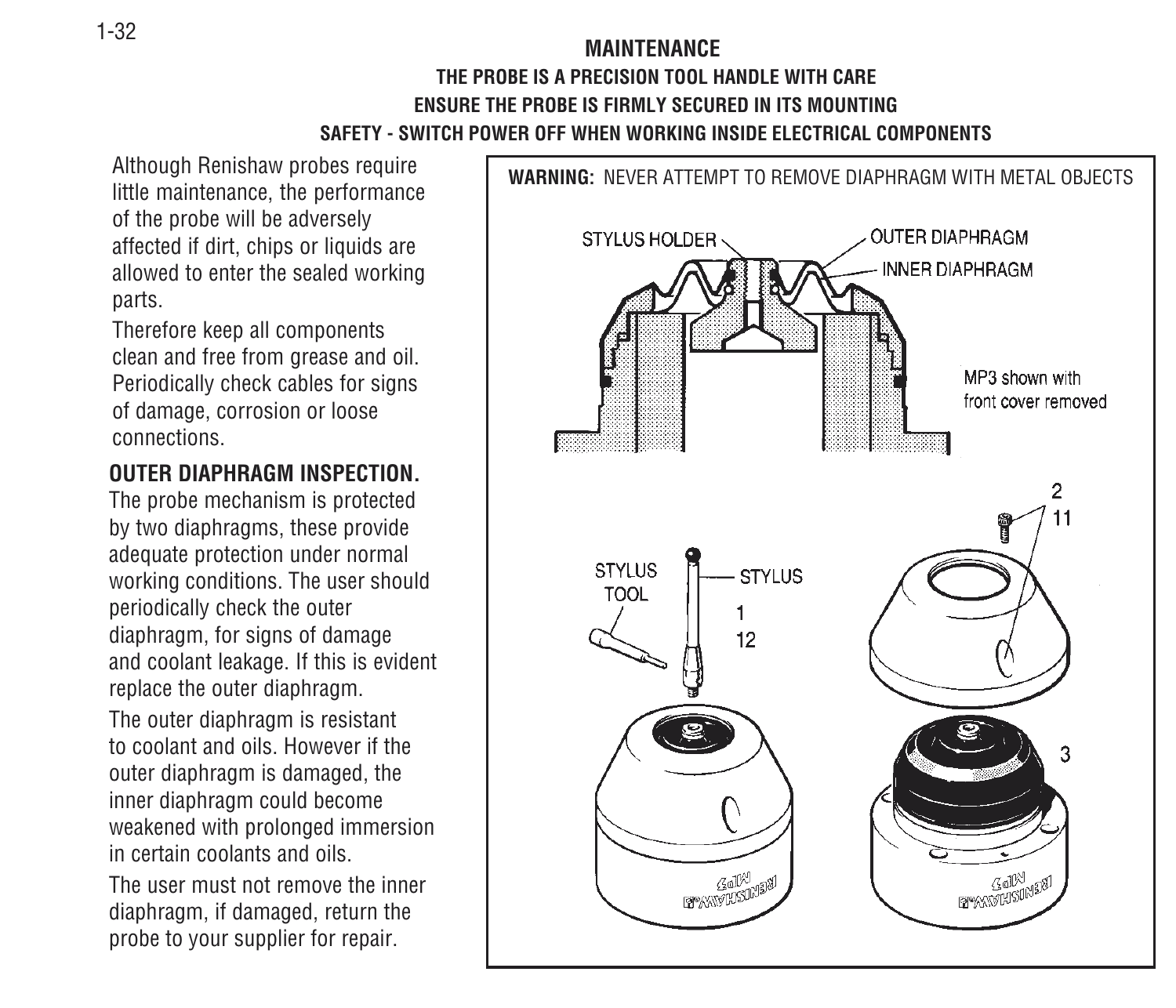#### **MAINTENANCETHE PROBE IS A PRECISION TOOL HANDLE WITH CAREENSURE THE PROBE IS FIRMLY SECURED IN ITS MOUNTINGSAFETY - SWITCH POWER OFF WHEN WORKING INSIDE ELECTRICAL COMPONENTS**

Although Renishaw probes require little maintenance, the performance of the probe will be adversely affected if dirt, chips or liquids are allowed to enter the sealed working parts.

Therefore keep all components clean and free from grease and oil. Periodically check cables for signs of damage, corrosion or loose connections.

#### **OUTER DIAPHRAGM INSPECTION.**

The probe mechanism is protected by two diaphragms, these provide adequate protection under normal working conditions. The user should periodically check the outer diaphragm, for signs of damage and coolant leakage. If this is evident replace the outer diaphragm.

The outer diaphragm is resistant to coolant and oils. However if theouter diaphragm is damaged, the inner diaphragm could become weakened with prolonged immersion in certain coolants and oils.

The user must not remove the innerdiaphragm, if damaged, return the probe to your supplier for repair.

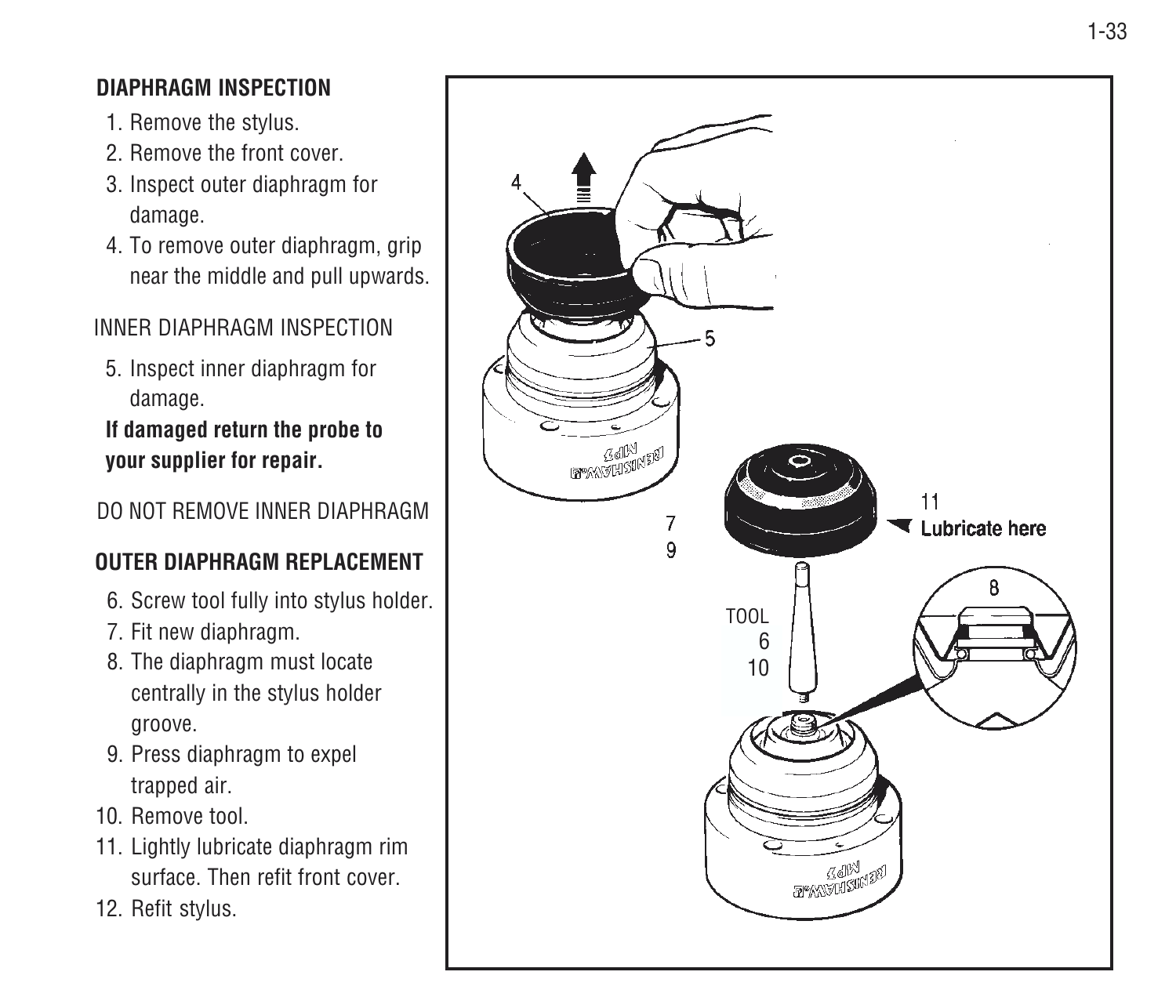#### 1-33

#### **DIAPHRAGM INSPECTION**

- 1. Remove the stylus.
- 2. Remove the front cover.
- 3. Inspect outer diaphragm for damage.
- 4. To remove outer diaphragm, grip near the middle and pull upwards.

#### INNER DIAPHRAGM INSPECTION

5. Inspect inner diaphragm for damage.

**If damaged return the probe to your supplier for repair.**

#### DO NOT REMOVE INNER DIAPHRAGM

#### **OUTER DIAPHRAGM REPLACEMENT**

- 6. Screw tool fully into stylus holder.
- 7. Fit new diaphragm.
- 8. The diaphragm must locate centrally in the stylus holder groove.
- 9. Press diaphragm to expel trapped air.
- 10. Remove tool.
- 11. Lightly lubricate diaphragm rim surface. Then refit front cover.
- 12. Refit stylus.

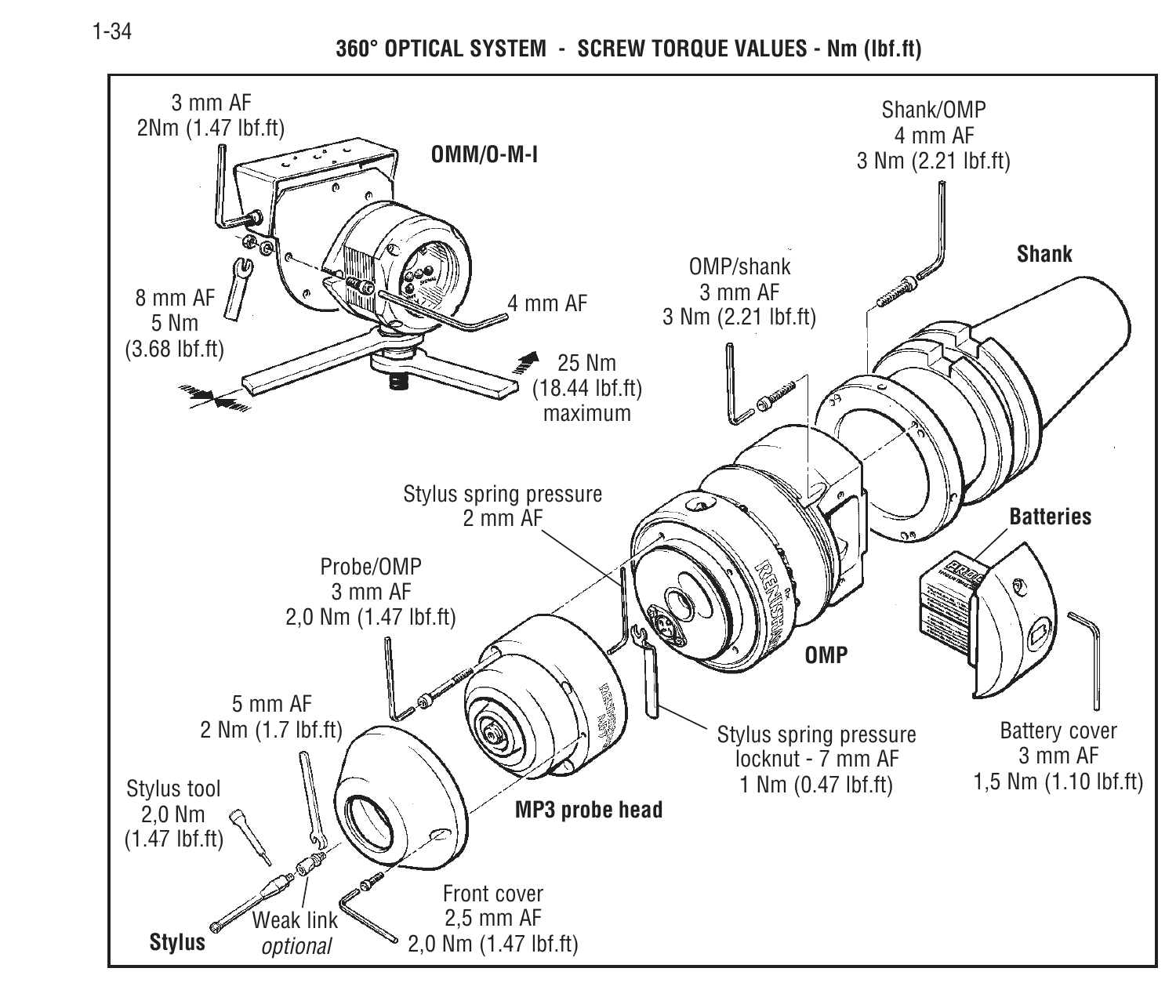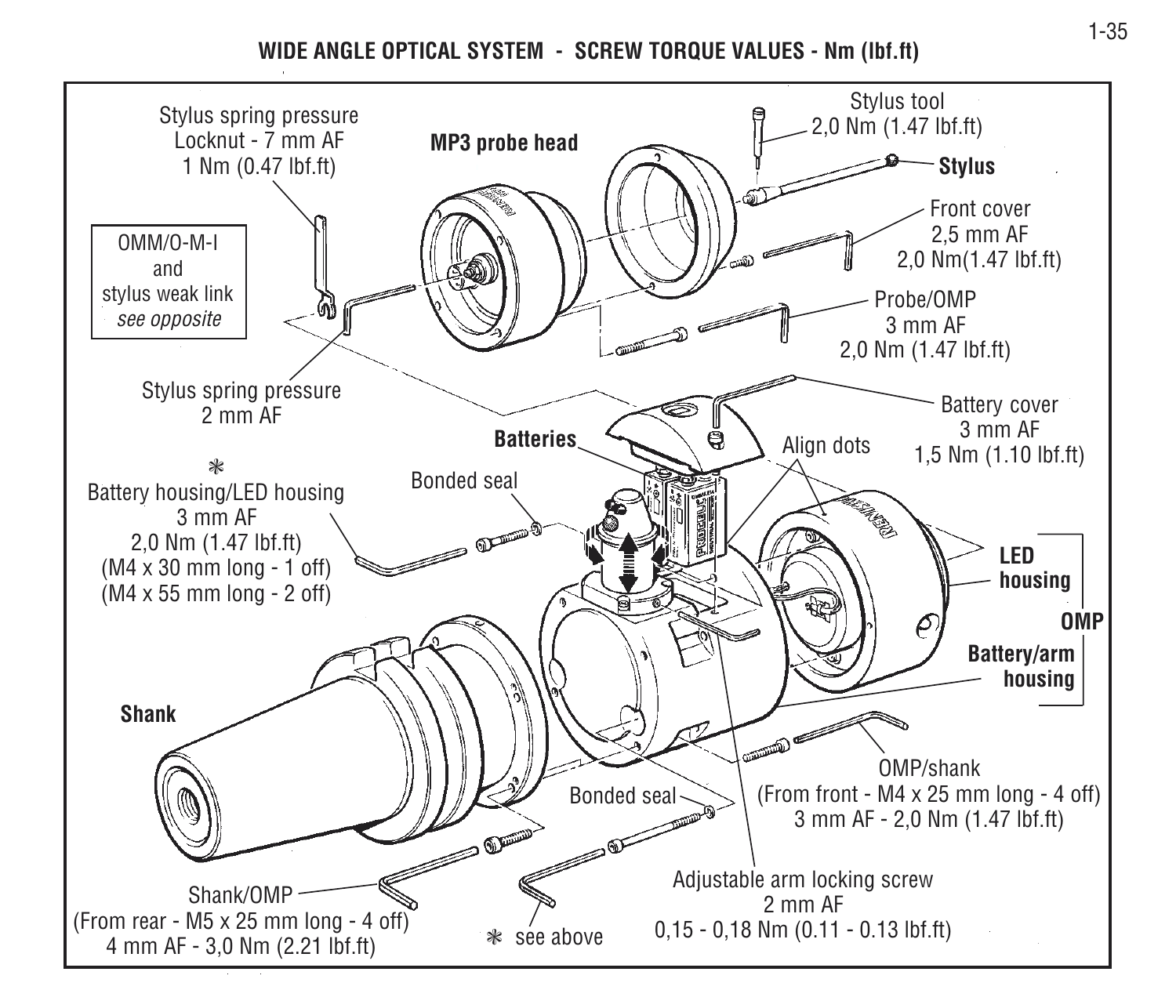**WIDE ANGLE OPTICAL SYSTEM - SCREW TORQUE VALUES - Nm (lbf.ft)**

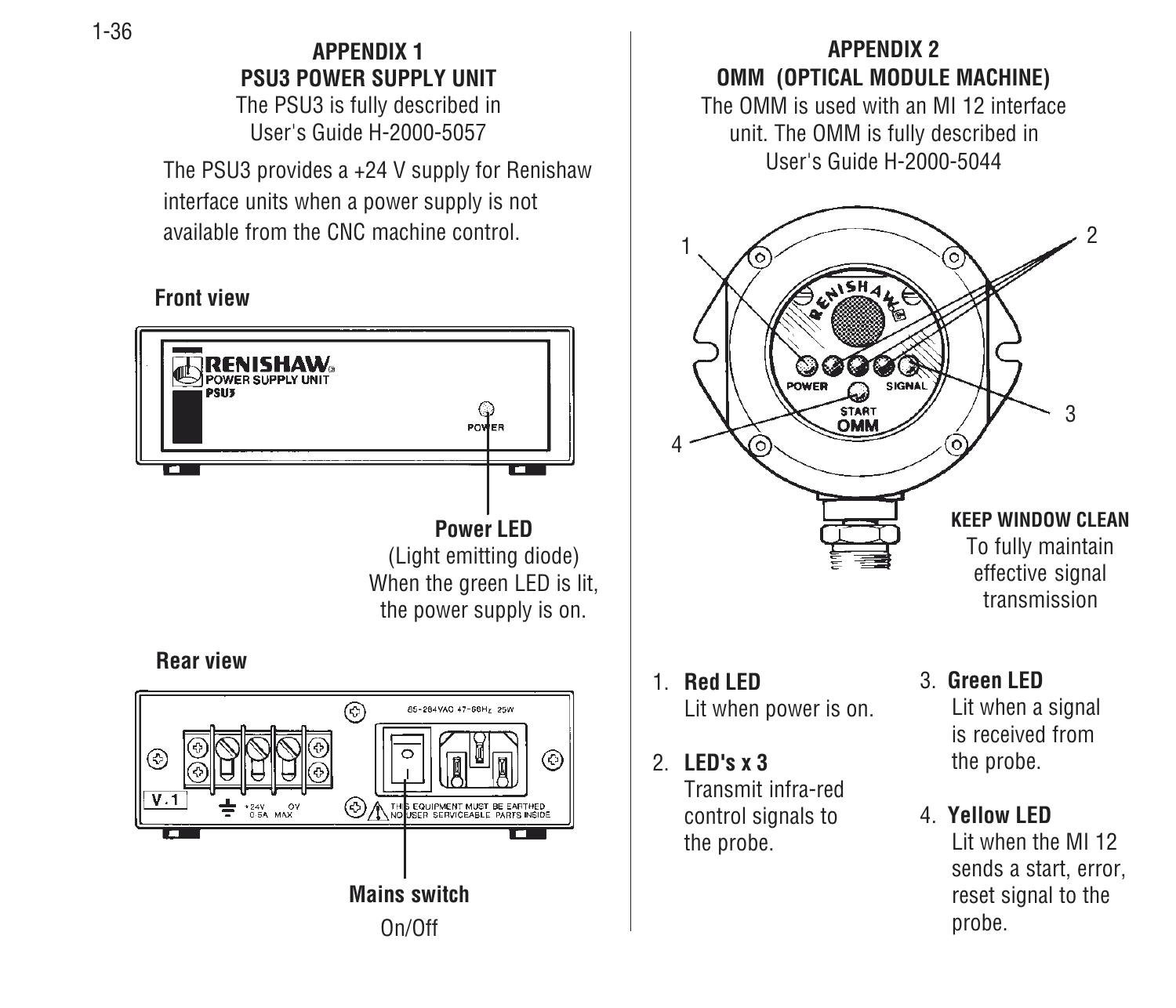**APPENDIX 1PSU3 POWER SUPPLY UNIT**

The PSU3 is fully described in User's Guide H-2000-5057

The PSU3 provides a +24 V supply for Renishaw interface units when a power supply is not available from the CNC machine control.

#### **Front view**



#### **APPENDIX 2OMM (OPTICAL MODULE MACHINE)** The OMM is used with an MI 12 interfaceunit. The OMM is fully described in User's Guide H-2000-50442 $162 \lambda$ OWER SIGNAL **START** 34**KEEP WINDOW CLEAN**To fully maintain effective signal transmission3. **Green LED**1. **Red LED**Lit when power is on. Lit when a signal is received fromthe probe. 2. **LED's x 3**Transmit infra-red

control signals to the probe.

4. **Yellow LED**Lit when the MI 12sends a start, error, reset signal to the probe.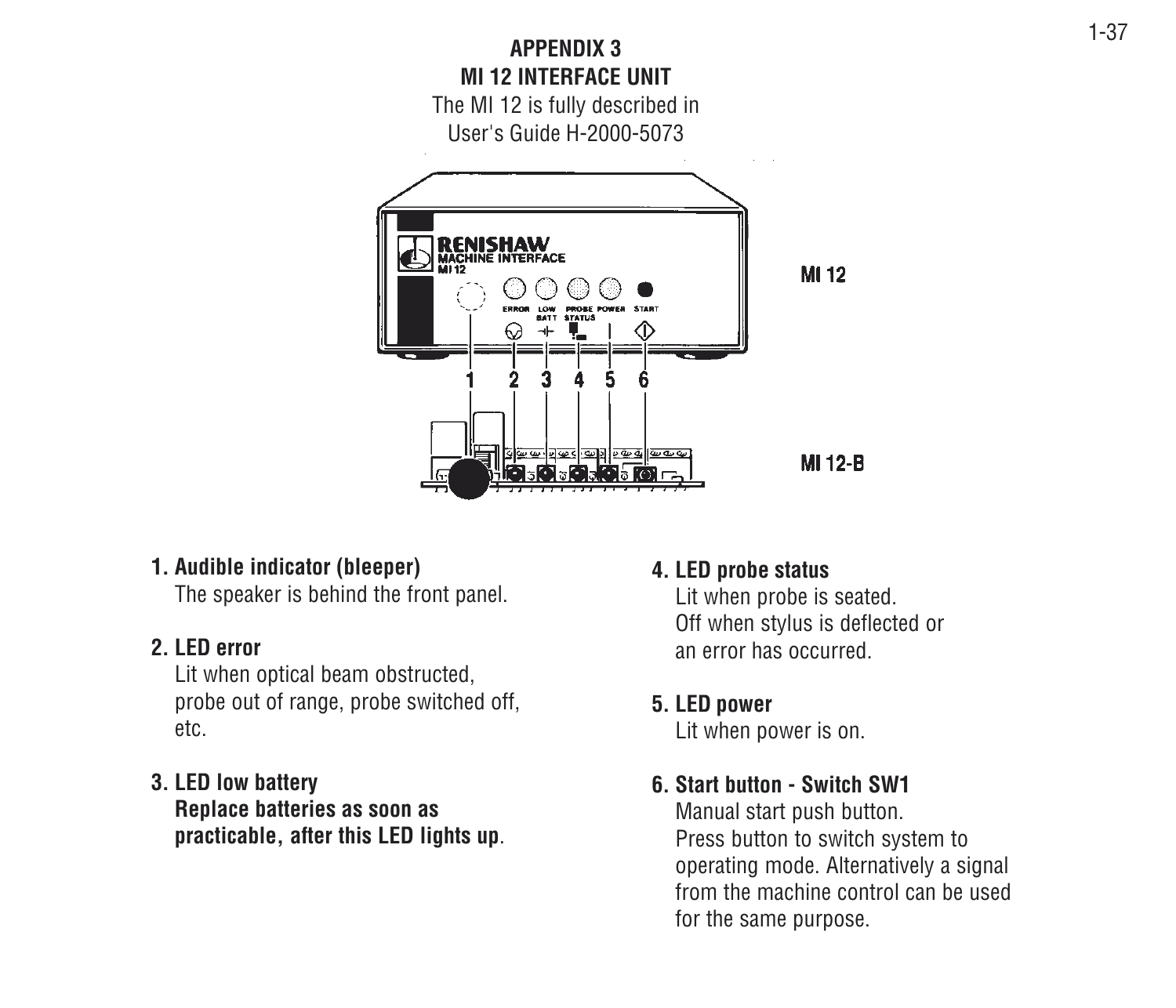

#### **1. Audible indicator (bleeper)**

The speaker is behind the front panel.

#### **2. LED error**

Lit when optical beam obstructed, probe out of range, probe switched off, etc.

#### **3. LED low battery Replace batteries as soon as**

**practicable, after this LED lights up**.

#### **4. LED probe status**

Lit when probe is seated. Off when stylus is deflected or an error has occurred.

#### **5. LED power**

Lit when power is on.

#### **6. Start button - Switch SW1**

Manual start push button. Press button to switch system to operating mode. Alternatively a signal from the machine control can be usedfor the same purpose.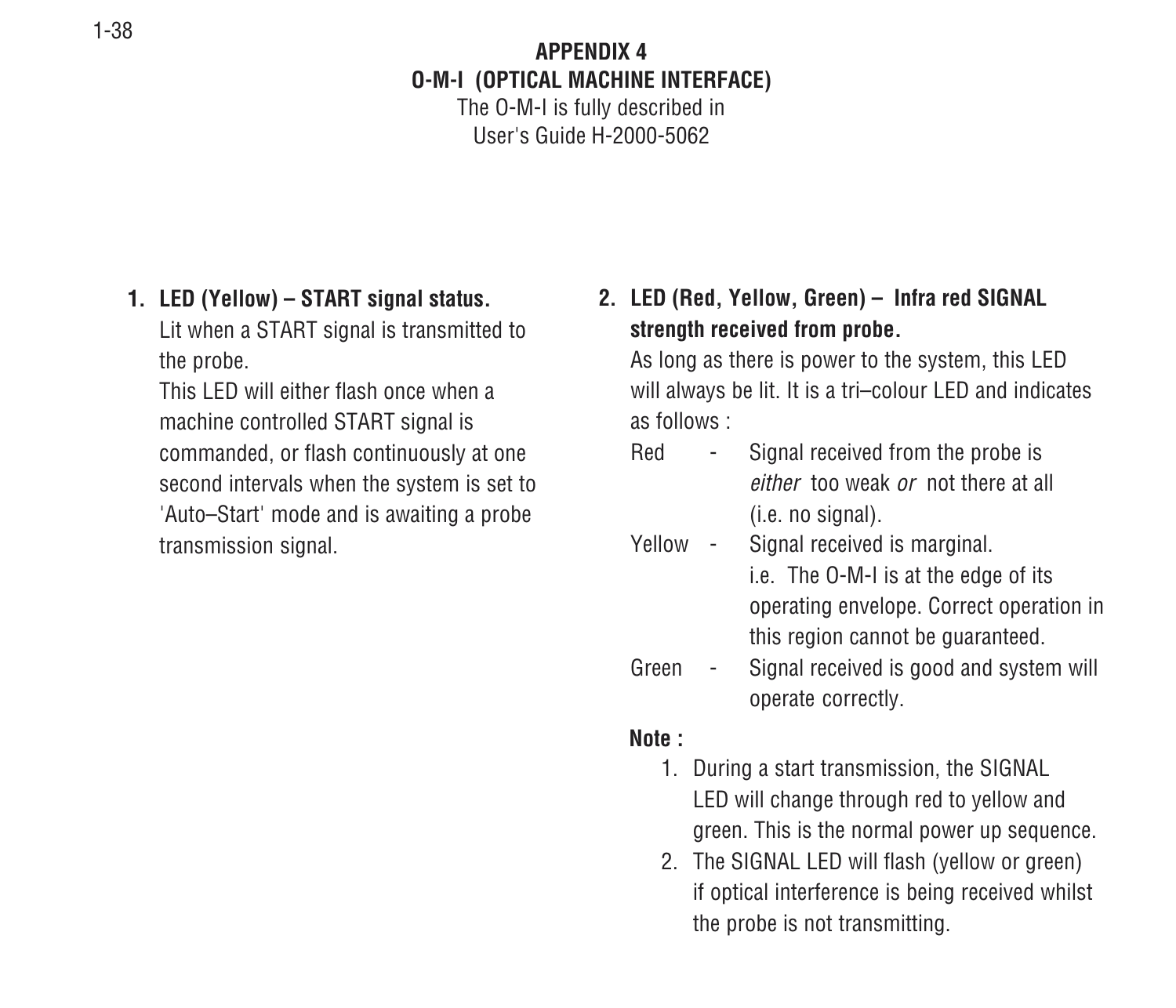#### **APPENDIX 4O-M-I (OPTICAL MACHINE INTERFACE)**

The O-M-I is fully described in User's Guide H-2000-5062

#### **1. LED (Yellow) – START signal status.**

Lit when a START signal is transmitted to the probe.

This LED will either flash once when amachine controlled START signal is commanded, or flash continuously at one second intervals when the system is set to 'Auto–Start' mode and is awaiting a probe transmission signal.

**2. LED (Red, Yellow, Green) – Infra red SIGNAL strength received from probe.**

As long as there is power to the system, this LED will always be lit. It is a tri–colour LED and indicates as follows :

- Red Signal received from the probe is either too weak or not there at all(i.e. no signal).
- Yellow Signal received is marginal. i.e. The O-M-I is at the edge of its operating envelope. Correct operation in this region cannot be guaranteed.
- Green Signal received is good and system will operate correctly.

#### **Note :**

- 1. During a start transmission, the SIGNAL LED will change through red to yellow and green. This is the normal power up sequence.
- 2. The SIGNAL LED will flash (yellow or green) if optical interference is being received whilst the probe is not transmitting.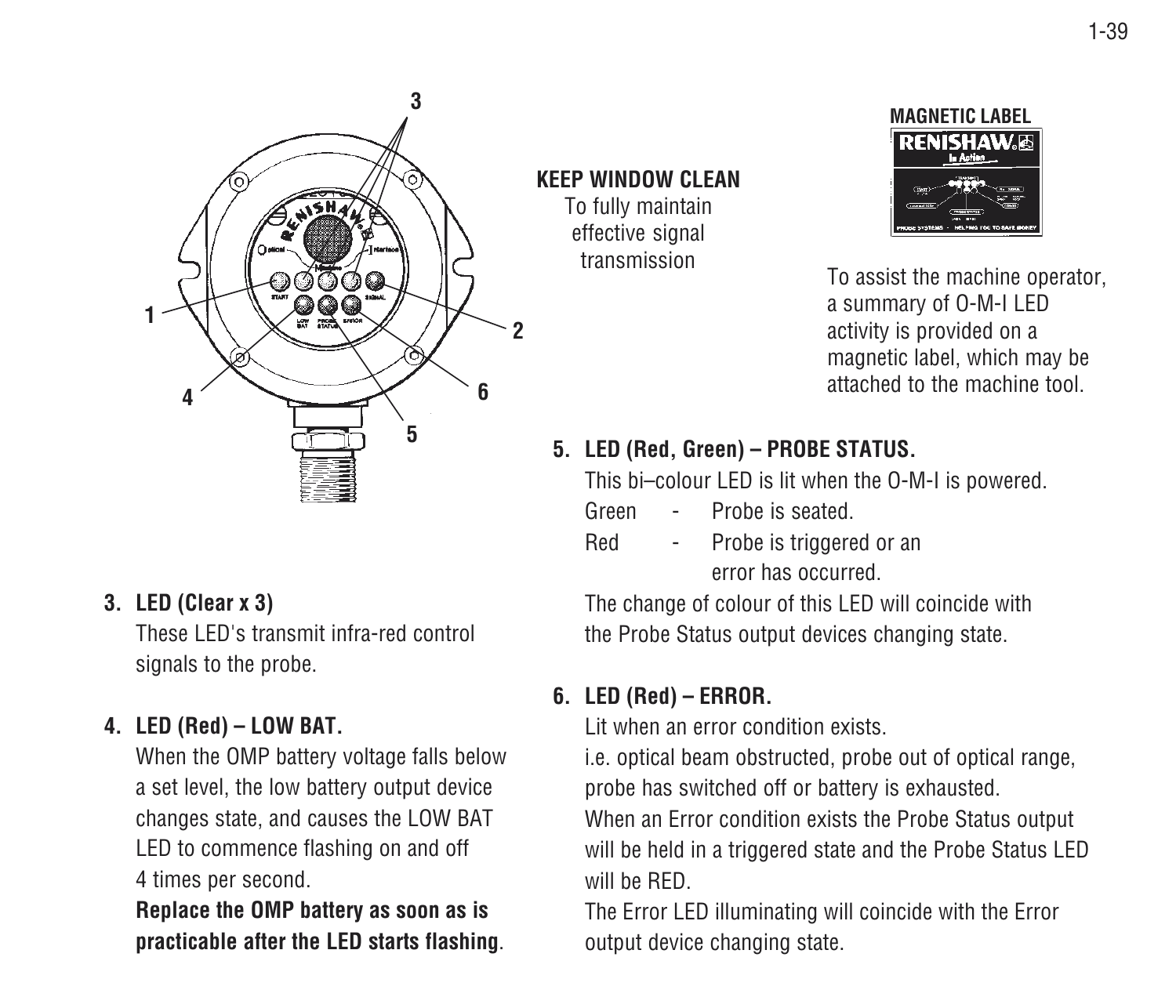

#### **3. LED (Clear x 3)**

These LED's transmit infra-red control signals to the probe.

#### **4. LED (Red) – LOW BAT.**

When the OMP battery voltage falls below a set level, the low battery output device changes state, and causes the LOW BAT LED to commence flashing on and off 4 times per second.

**Replace the OMP battery as soon as is practicable after the LED starts flashing**. **KEEP WINDOW CLEAN**To fully maintain

effective signal transmission



To assist the machine operator, a summary of O-M-I LED activity is provided on a magnetic label, which may be attached to the machine tool.

#### **5. LED (Red, Green) – PROBE STATUS.**

This bi–colour LED is lit when the O-M-I is powered.

- Green Probe is seated.
- Red Probe is triggered or an error has occurred.

The change of colour of this LED will coincide with the Probe Status output devices changing state.

#### **6. LED (Red) – ERROR.**

Lit when an error condition exists.

i.e. optical beam obstructed, probe out of optical range, probe has switched off or battery is exhausted.

When an Error condition exists the Probe Status output will be held in a triggered state and the Probe Status LED will be RED.

The Error LED illuminating will coincide with the Error output device changing state.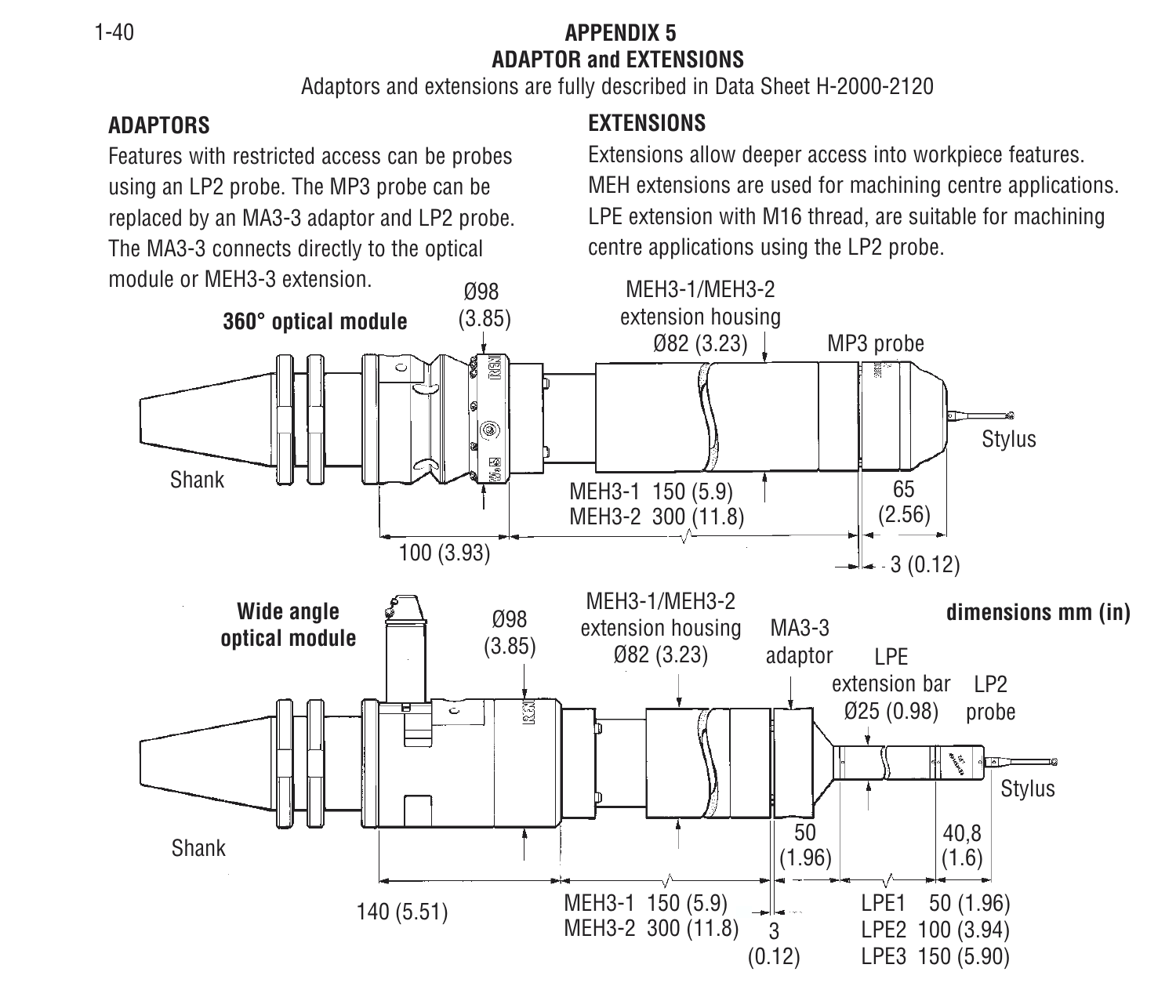#### 1-40 **APPENDIX 5ADAPTOR and EXTENSIONS**

Adaptors and extensions are fully described in Data Sheet H-2000-2120

#### **ADAPTORS**

Features with restricted access can be probes using an LP2 probe. The MP3 probe can be replaced by an MA3-3 adaptor and LP2 probe. The MA3-3 connects directly to the optical module or MEH3-3 extension.

#### **EXTENSIONS**

Extensions allow deeper access into workpiece features. MEH extensions are used for machining centre applications. LPE extension with M16 thread, are suitable for machining centre applications using the LP2 probe.

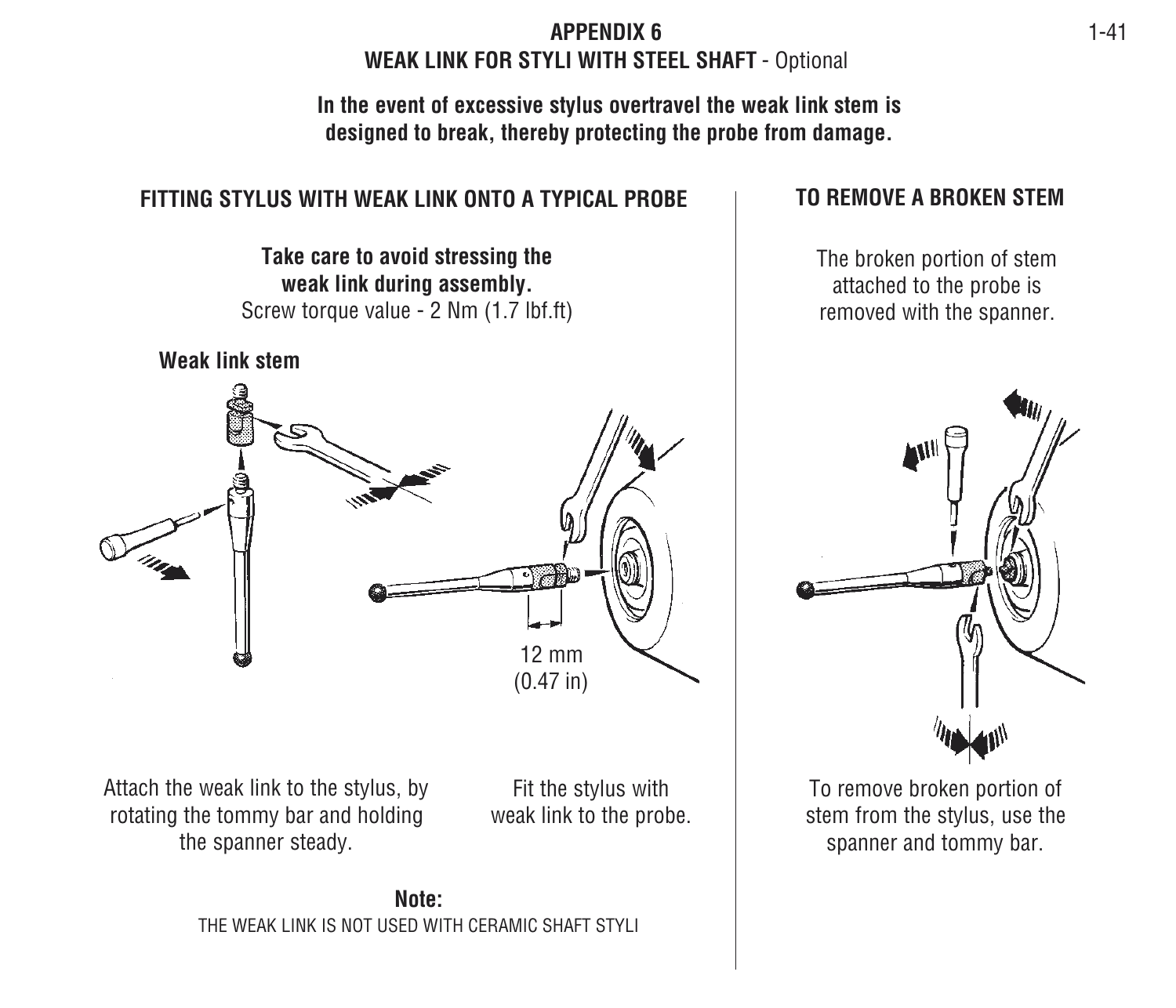#### **APPENDIX 6WEAK LINK FOR STYLI WITH STEEL SHAFT** - Optional

**In the event of excessive stylus overtravel the weak link stem is designed to break, thereby protecting the probe from damage.**

#### **FITTING STYLUS WITH WEAK LINK ONTO A TYPICAL PROBE**

**Take care to avoid stressing the weak link during assembly.** Screw torque value - 2 Nm (1.7 lbf.ft)



Attach the weak link to the stylus, by rotating the tommy bar and holding the spanner steady.

Fit the stylus with weak link to the probe.

#### **TO REMOVE A BROKEN STEM**

The broken portion of stem attached to the probe is removed with the spanner.



To remove broken portion of stem from the stylus, use the spanner and tommy bar.

**Note:**THE WEAK LINK IS NOT USED WITH CERAMIC SHAFT STYLI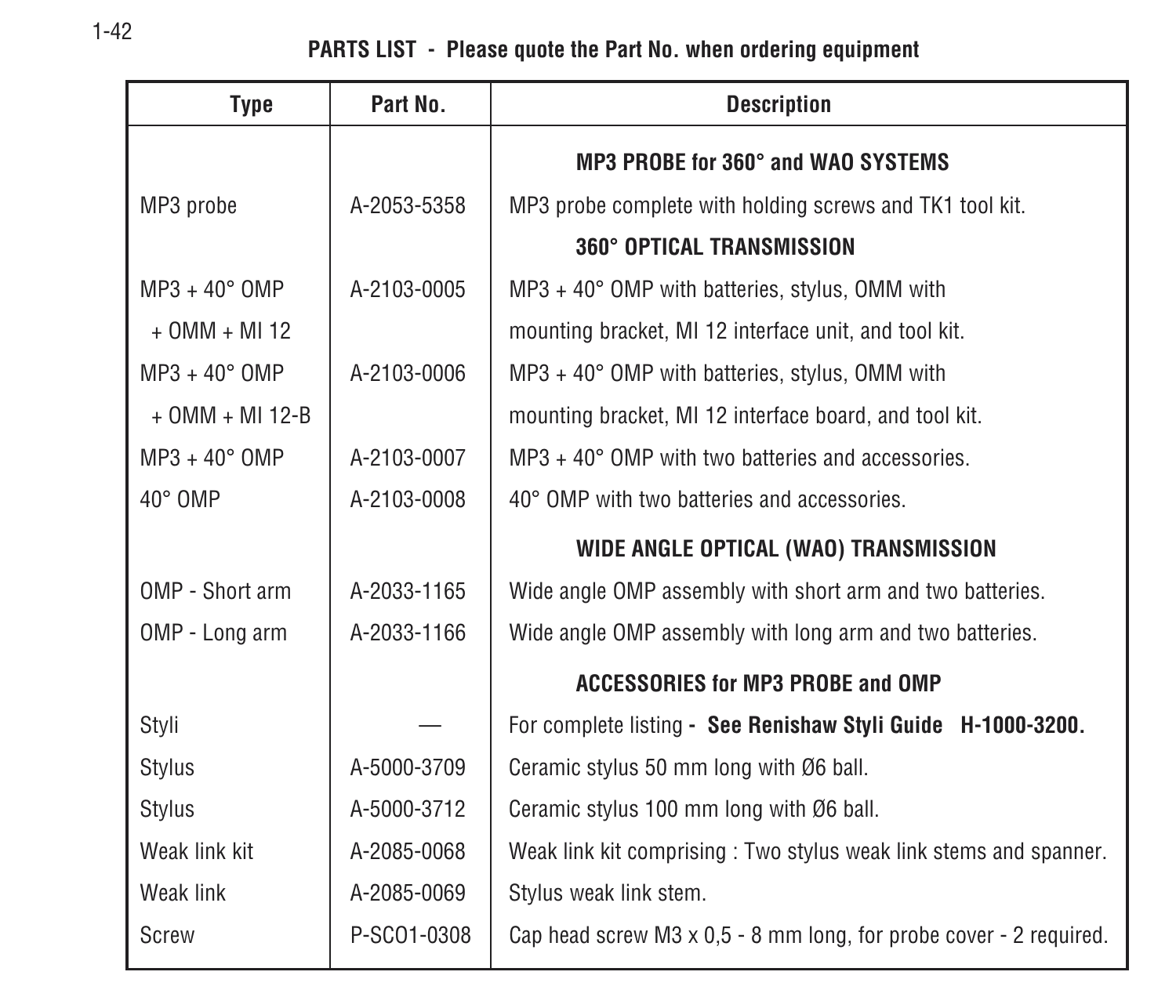#### **PARTS LIST - Please quote the Part No. when ordering equipment**

| <b>Type</b>            | Part No.    | <b>Description</b>                                                        |  |  |
|------------------------|-------------|---------------------------------------------------------------------------|--|--|
|                        |             | MP3 PROBE for 360° and WAO SYSTEMS                                        |  |  |
| MP3 probe              | A-2053-5358 | MP3 probe complete with holding screws and TK1 tool kit.                  |  |  |
|                        |             | 360° OPTICAL TRANSMISSION                                                 |  |  |
| $MP3 + 40^{\circ}$ OMP | A-2103-0005 | $MP3 + 40^{\circ}$ OMP with batteries, stylus, OMM with                   |  |  |
| $+$ OMM $+$ MI 12      |             | mounting bracket, MI 12 interface unit, and tool kit.                     |  |  |
| $MP3 + 40^{\circ}$ OMP | A-2103-0006 | $MP3 + 40^{\circ}$ OMP with batteries, stylus, OMM with                   |  |  |
| $+$ OMM $+$ MI 12-B    |             | mounting bracket, MI 12 interface board, and tool kit.                    |  |  |
| $MP3 + 40^{\circ}$ OMP | A-2103-0007 | $MP3 + 40^{\circ}$ OMP with two batteries and accessories.                |  |  |
| $40^{\circ}$ OMP       | A-2103-0008 | 40° OMP with two batteries and accessories.                               |  |  |
|                        |             | WIDE ANGLE OPTICAL (WAO) TRANSMISSION                                     |  |  |
| OMP - Short arm        | A-2033-1165 | Wide angle OMP assembly with short arm and two batteries.                 |  |  |
| OMP - Long arm         | A-2033-1166 | Wide angle OMP assembly with long arm and two batteries.                  |  |  |
|                        |             | <b>ACCESSORIES for MP3 PROBE and OMP</b>                                  |  |  |
| Styli                  |             | For complete listing - See Renishaw Styli Guide H-1000-3200.              |  |  |
| <b>Stylus</b>          | A-5000-3709 | Ceramic stylus 50 mm long with Ø6 ball.                                   |  |  |
| Stylus                 | A-5000-3712 | Ceramic stylus 100 mm long with Ø6 ball.                                  |  |  |
| Weak link kit          | A-2085-0068 | Weak link kit comprising: Two stylus weak link stems and spanner.         |  |  |
| Weak link              | A-2085-0069 | Stylus weak link stem.                                                    |  |  |
| Screw                  | P-SC01-0308 | Cap head screw $M3 \times 0.5 - 8$ mm long, for probe cover - 2 required. |  |  |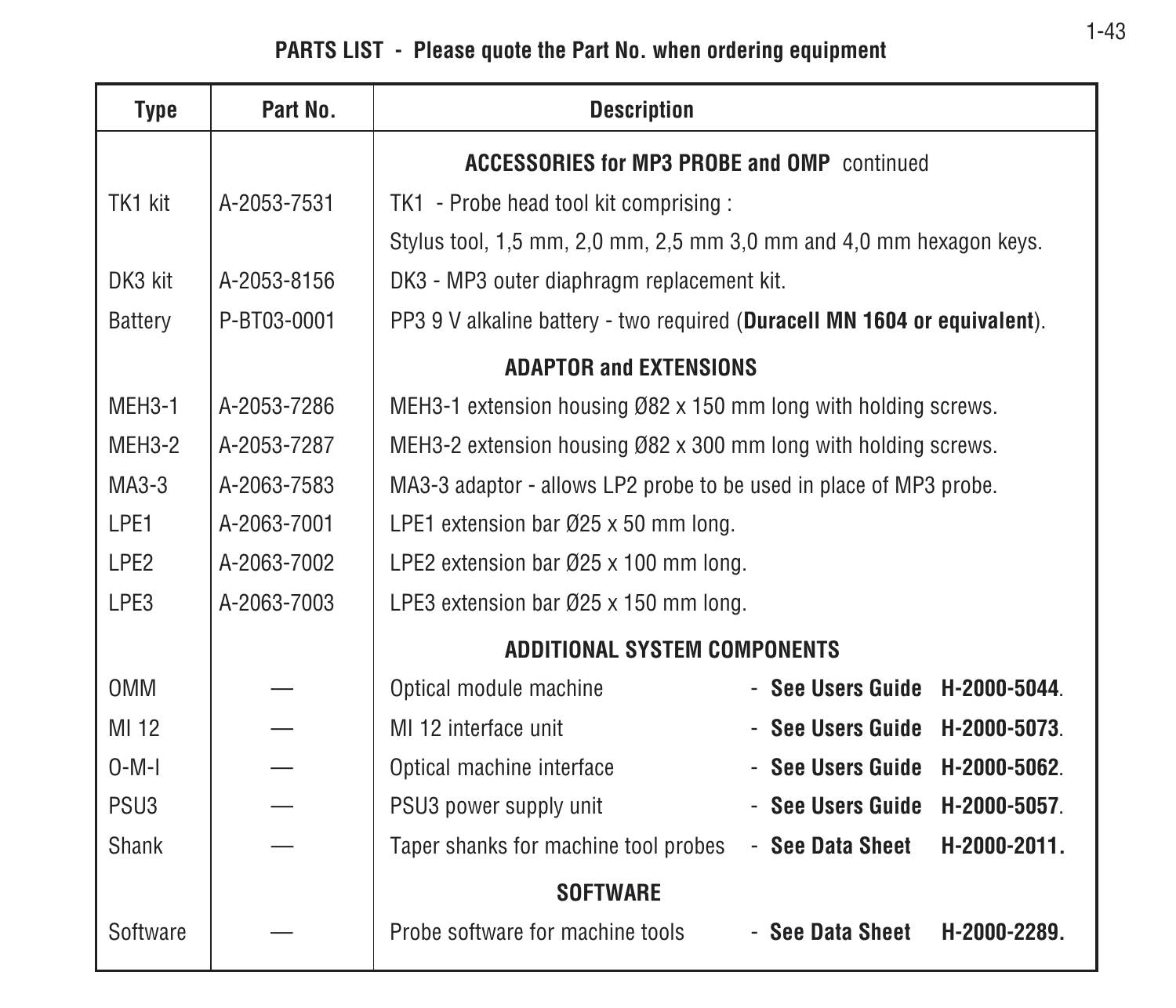#### **PARTS LIST - Please quote the Part No. when ordering equipment**

| <b>Type</b>      | Part No.    | <b>Description</b>                                                        |
|------------------|-------------|---------------------------------------------------------------------------|
|                  |             | <b>ACCESSORIES for MP3 PROBE and OMP continued</b>                        |
| TK1 kit          | A-2053-7531 | TK1 - Probe head tool kit comprising :                                    |
|                  |             | Stylus tool, 1,5 mm, 2,0 mm, 2,5 mm 3,0 mm and 4,0 mm hexagon keys.       |
| DK3 kit          | A-2053-8156 | DK3 - MP3 outer diaphragm replacement kit.                                |
| Battery          | P-BT03-0001 | PP3 9 V alkaline battery - two required (Duracell MN 1604 or equivalent). |
|                  |             | <b>ADAPTOR and EXTENSIONS</b>                                             |
| MEH3-1           | A-2053-7286 | MEH3-1 extension housing Ø82 x 150 mm long with holding screws.           |
| MEH3-2           | A-2053-7287 | MEH3-2 extension housing Ø82 x 300 mm long with holding screws.           |
| $MA3-3$          | A-2063-7583 | MA3-3 adaptor - allows LP2 probe to be used in place of MP3 probe.        |
| LPE1             | A-2063-7001 | LPE1 extension bar Ø25 x 50 mm long.                                      |
| LPE <sub>2</sub> | A-2063-7002 | LPE2 extension bar Ø25 x 100 mm long.                                     |
| LPE3             | A-2063-7003 | LPE3 extension bar Ø25 x 150 mm long.                                     |
|                  |             | <b>ADDITIONAL SYSTEM COMPONENTS</b>                                       |
| <b>OMM</b>       |             | Optical module machine<br>$-$ See Users Guide $-$ H-2000-5044.            |
| MI 12            |             | MI 12 interface unit<br>- See Users Guide<br>H-2000-5073.                 |
| $0-M-I$          |             | Optical machine interface<br>$-$ See Users Guide $-$ H-2000-5062.         |
| PSU <sub>3</sub> |             | PSU3 power supply unit<br>- See Users Guide<br>H-2000-5057.               |
| Shank            |             | Taper shanks for machine tool probes<br>- See Data Sheet<br>H-2000-2011.  |
|                  |             | <b>SOFTWARE</b>                                                           |
| Software         |             | Probe software for machine tools<br>- See Data Sheet<br>H-2000-2289.      |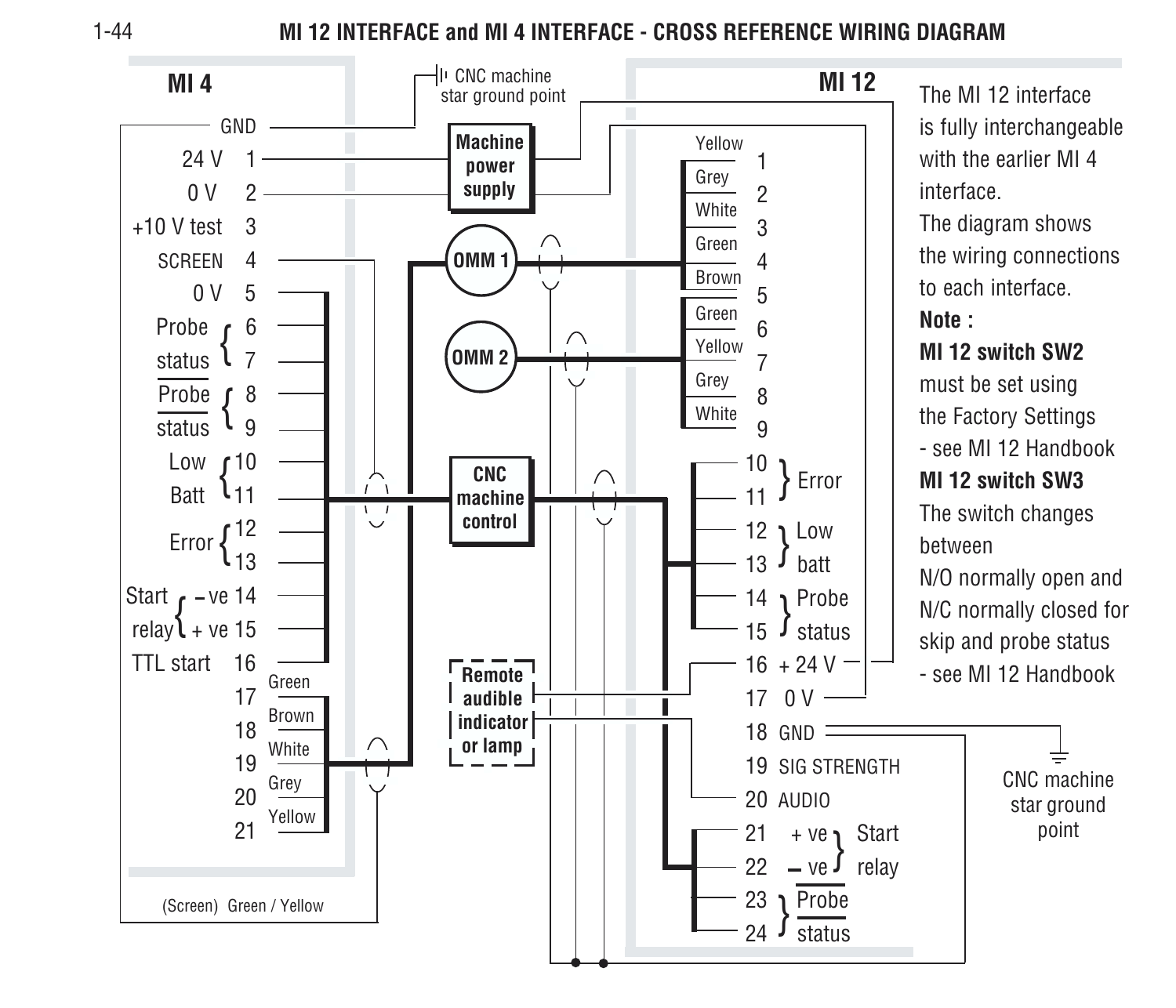1-44

#### **MI 12 INTERFACE and MI 4 INTERFACE - CROSS REFERENCE WIRING DIAGRAM**